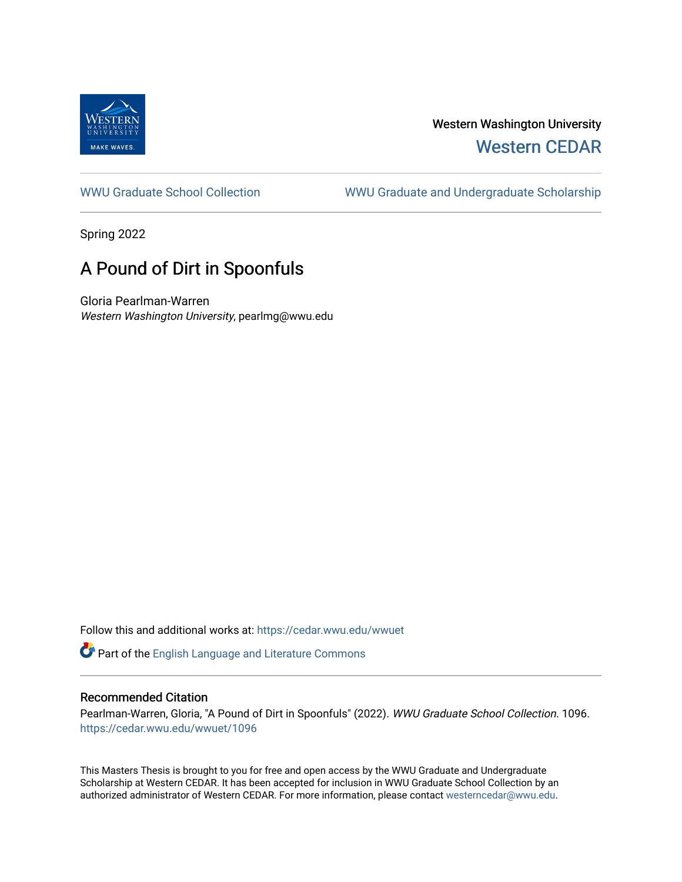

## Western Washington University [Western CEDAR](https://cedar.wwu.edu/)

[WWU Graduate School Collection](https://cedar.wwu.edu/wwuet) WWU Graduate and Undergraduate Scholarship

Spring 2022

## A Pound of Dirt in Spoonfuls

Gloria Pearlman-Warren Western Washington University, pearlmg@wwu.edu

Follow this and additional works at: [https://cedar.wwu.edu/wwuet](https://cedar.wwu.edu/wwuet?utm_source=cedar.wwu.edu%2Fwwuet%2F1096&utm_medium=PDF&utm_campaign=PDFCoverPages)

Part of the [English Language and Literature Commons](https://network.bepress.com/hgg/discipline/455?utm_source=cedar.wwu.edu%2Fwwuet%2F1096&utm_medium=PDF&utm_campaign=PDFCoverPages)

#### Recommended Citation

Pearlman-Warren, Gloria, "A Pound of Dirt in Spoonfuls" (2022). WWU Graduate School Collection. 1096. [https://cedar.wwu.edu/wwuet/1096](https://cedar.wwu.edu/wwuet/1096?utm_source=cedar.wwu.edu%2Fwwuet%2F1096&utm_medium=PDF&utm_campaign=PDFCoverPages) 

This Masters Thesis is brought to you for free and open access by the WWU Graduate and Undergraduate Scholarship at Western CEDAR. It has been accepted for inclusion in WWU Graduate School Collection by an authorized administrator of Western CEDAR. For more information, please contact [westerncedar@wwu.edu.](mailto:westerncedar@wwu.edu)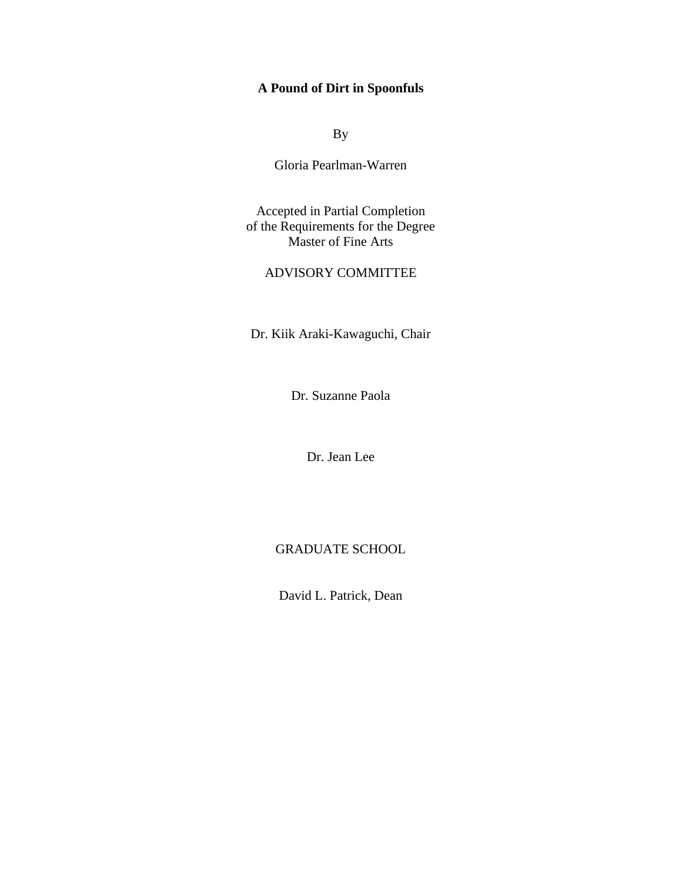### **A Pound of Dirt in Spoonfuls**

By

Gloria Pearlman-Warren

Accepted in Partial Completion of the Requirements for the Degree Master of Fine Arts

### ADVISORY COMMITTEE

Dr. Kiik Araki-Kawaguchi, Chair

Dr. Suzanne Paola

Dr. Jean Lee

#### GRADUATE SCHOOL

David L. Patrick, Dean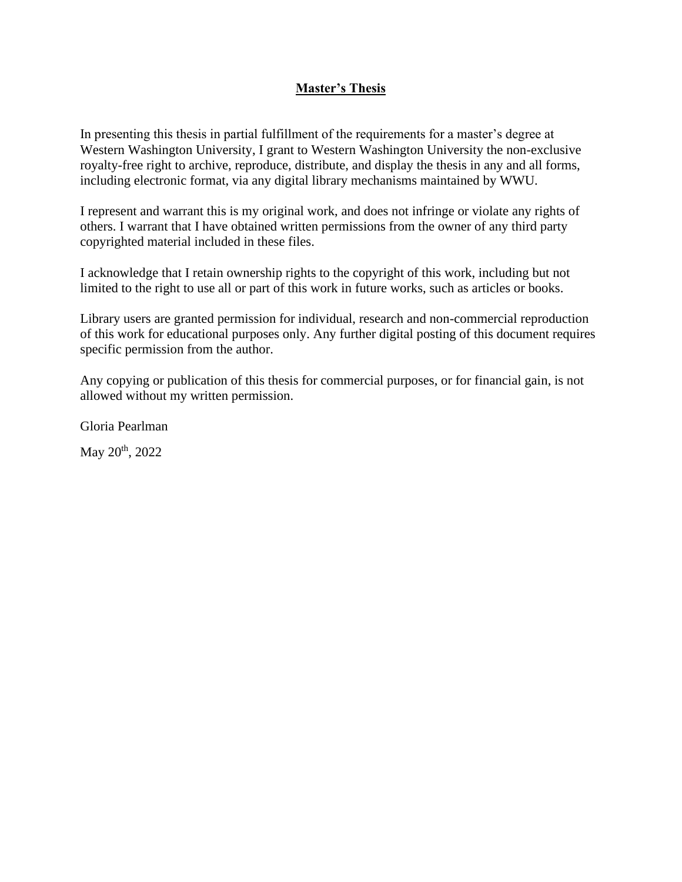### **Master's Thesis**

In presenting this thesis in partial fulfillment of the requirements for a master's degree at Western Washington University, I grant to Western Washington University the non-exclusive royalty-free right to archive, reproduce, distribute, and display the thesis in any and all forms, including electronic format, via any digital library mechanisms maintained by WWU.

I represent and warrant this is my original work, and does not infringe or violate any rights of others. I warrant that I have obtained written permissions from the owner of any third party copyrighted material included in these files.

I acknowledge that I retain ownership rights to the copyright of this work, including but not limited to the right to use all or part of this work in future works, such as articles or books.

Library users are granted permission for individual, research and non-commercial reproduction of this work for educational purposes only. Any further digital posting of this document requires specific permission from the author.

Any copying or publication of this thesis for commercial purposes, or for financial gain, is not allowed without my written permission.

Gloria Pearlman May  $20^{th}$ ,  $2022$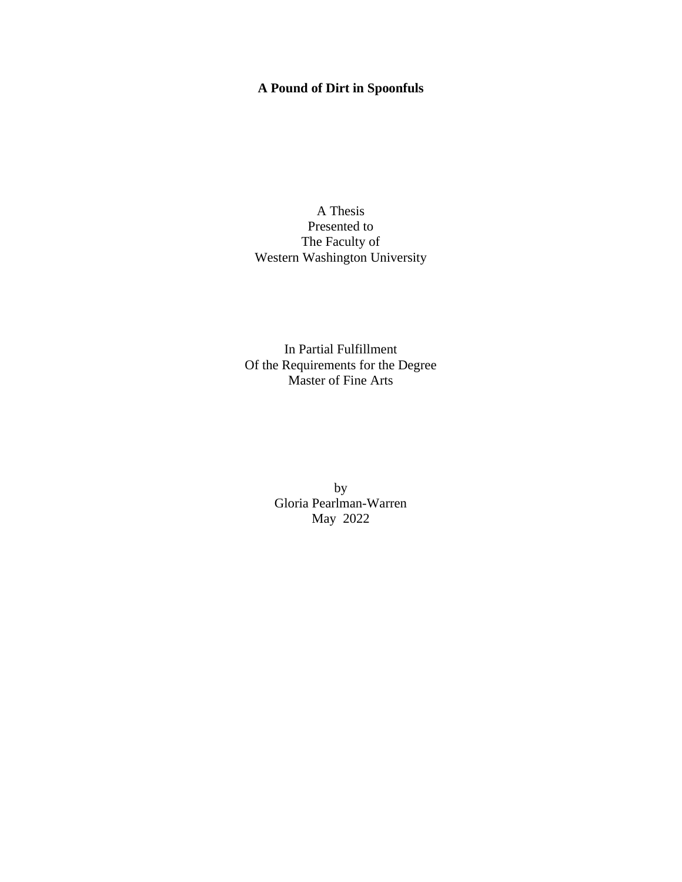## **A Pound of Dirt in Spoonfuls**

A Thesis Presented to The Faculty of Western Washington University

In Partial Fulfillment Of the Requirements for the Degree Master of Fine Arts

> by Gloria Pearlman-Warren May 2022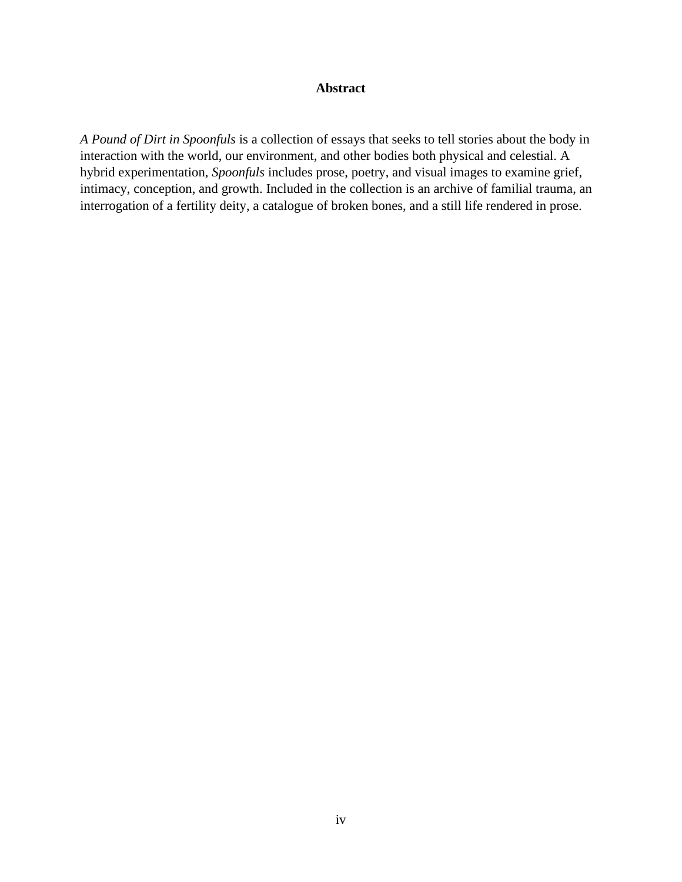#### **Abstract**

*A Pound of Dirt in Spoonfuls* is a collection of essays that seeks to tell stories about the body in interaction with the world, our environment, and other bodies both physical and celestial. A hybrid experimentation, *Spoonfuls* includes prose, poetry, and visual images to examine grief, intimacy, conception, and growth. Included in the collection is an archive of familial trauma, an interrogation of a fertility deity, a catalogue of broken bones, and a still life rendered in prose.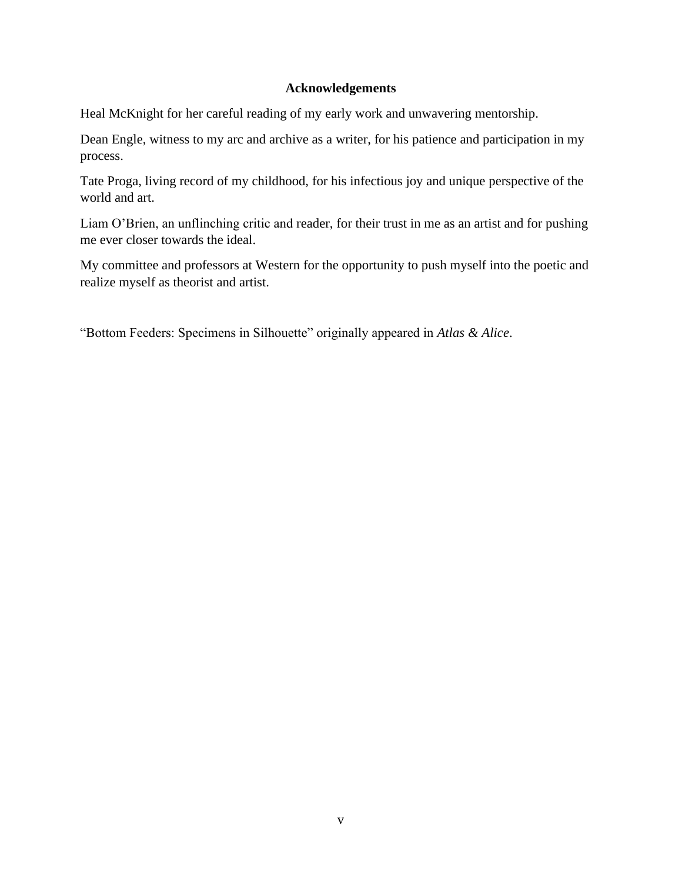#### **Acknowledgements**

Heal McKnight for her careful reading of my early work and unwavering mentorship.

Dean Engle, witness to my arc and archive as a writer, for his patience and participation in my process.

Tate Proga, living record of my childhood, for his infectious joy and unique perspective of the world and art.

Liam O'Brien, an unflinching critic and reader, for their trust in me as an artist and for pushing me ever closer towards the ideal.

My committee and professors at Western for the opportunity to push myself into the poetic and realize myself as theorist and artist.

"Bottom Feeders: Specimens in Silhouette" originally appeared in *Atlas & Alice*.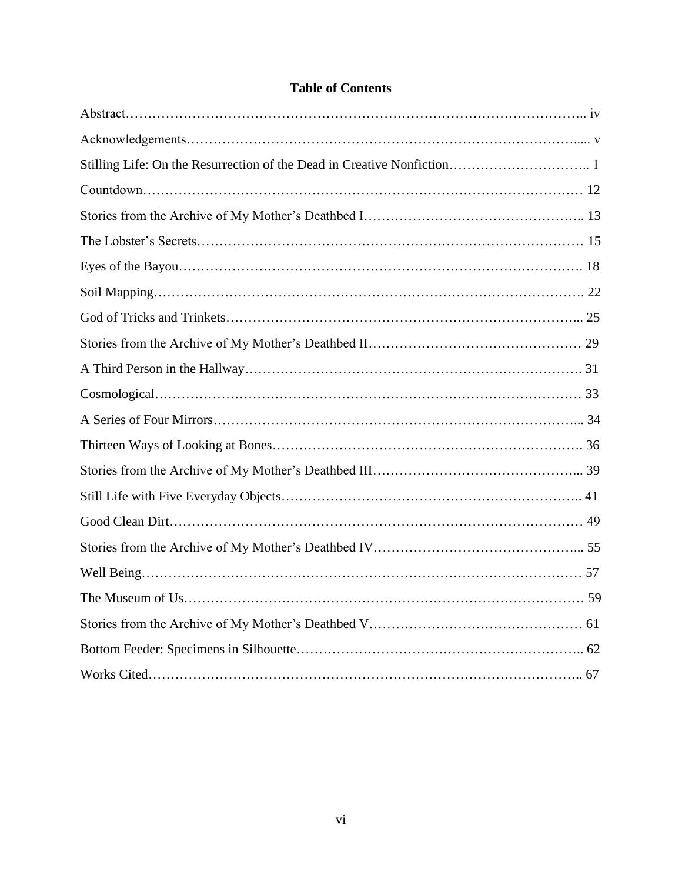## **Table of Contents**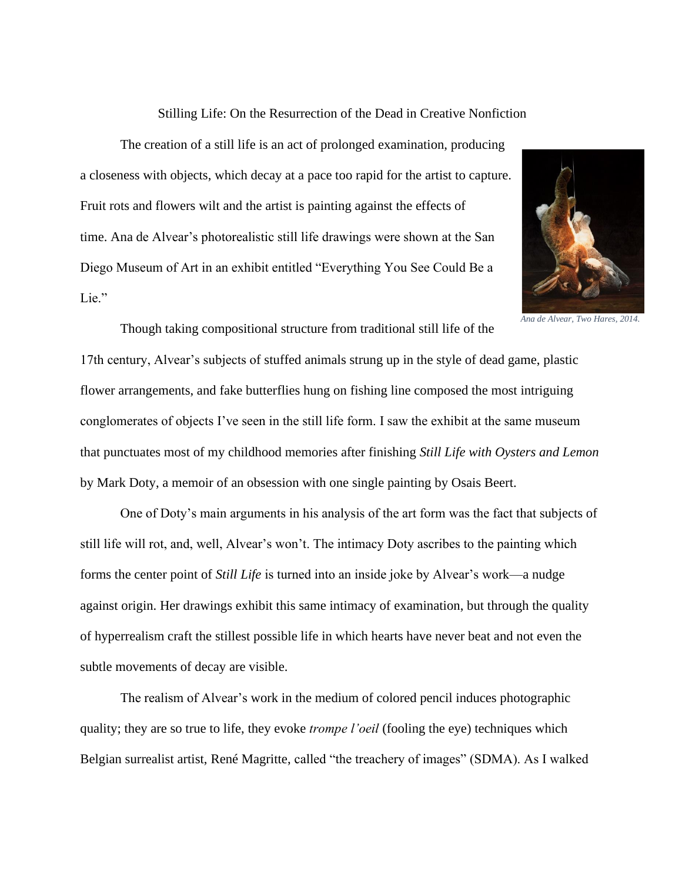Stilling Life: On the Resurrection of the Dead in Creative Nonfiction

The creation of a still life is an act of prolonged examination, producing a closeness with objects, which decay at a pace too rapid for the artist to capture. Fruit rots and flowers wilt and the artist is painting against the effects of time. Ana de Alvear's photorealistic still life drawings were shown at the San Diego Museum of Art in an exhibit entitled "Everything You See Could Be a Lie."



*Ana de Alvear, Two Hares, 2014.*

Though taking compositional structure from traditional still life of the

17th century, Alvear's subjects of stuffed animals strung up in the style of dead game, plastic flower arrangements, and fake butterflies hung on fishing line composed the most intriguing conglomerates of objects I've seen in the still life form. I saw the exhibit at the same museum that punctuates most of my childhood memories after finishing *Still Life with Oysters and Lemon* by Mark Doty, a memoir of an obsession with one single painting by Osais Beert.

One of Doty's main arguments in his analysis of the art form was the fact that subjects of still life will rot, and, well, Alvear's won't. The intimacy Doty ascribes to the painting which forms the center point of *Still Life* is turned into an inside joke by Alvear's work—a nudge against origin. Her drawings exhibit this same intimacy of examination, but through the quality of hyperrealism craft the stillest possible life in which hearts have never beat and not even the subtle movements of decay are visible.

The realism of Alvear's work in the medium of colored pencil induces photographic quality; they are so true to life, they evoke *trompe l'oeil* (fooling the eye) techniques which Belgian surrealist artist, René Magritte, called "the treachery of images" (SDMA). As I walked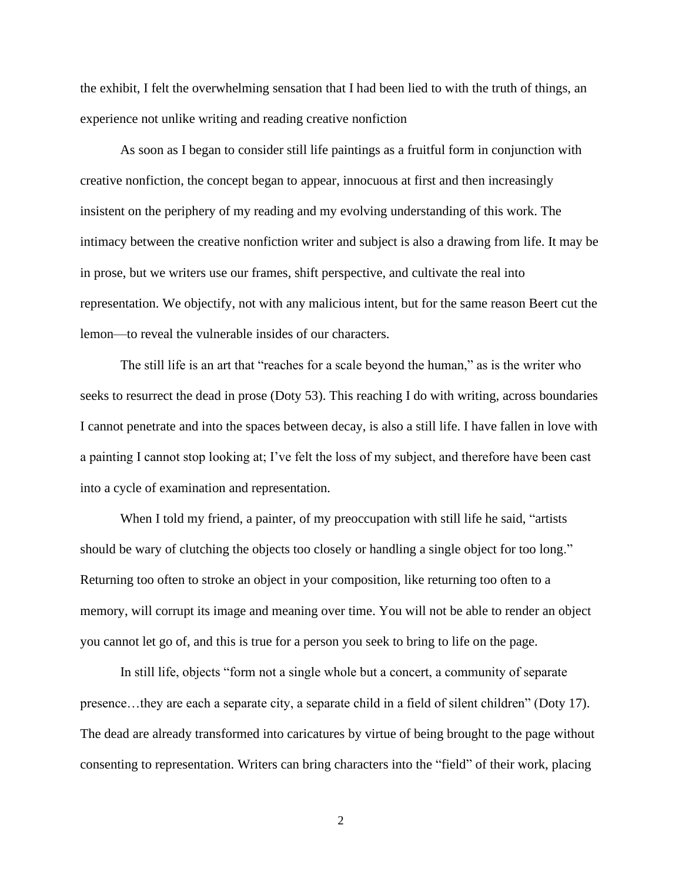the exhibit, I felt the overwhelming sensation that I had been lied to with the truth of things, an experience not unlike writing and reading creative nonfiction

As soon as I began to consider still life paintings as a fruitful form in conjunction with creative nonfiction, the concept began to appear, innocuous at first and then increasingly insistent on the periphery of my reading and my evolving understanding of this work. The intimacy between the creative nonfiction writer and subject is also a drawing from life. It may be in prose, but we writers use our frames, shift perspective, and cultivate the real into representation. We objectify, not with any malicious intent, but for the same reason Beert cut the lemon—to reveal the vulnerable insides of our characters.

The still life is an art that "reaches for a scale beyond the human," as is the writer who seeks to resurrect the dead in prose (Doty 53). This reaching I do with writing, across boundaries I cannot penetrate and into the spaces between decay, is also a still life. I have fallen in love with a painting I cannot stop looking at; I've felt the loss of my subject, and therefore have been cast into a cycle of examination and representation.

When I told my friend, a painter, of my preoccupation with still life he said, "artists" should be wary of clutching the objects too closely or handling a single object for too long." Returning too often to stroke an object in your composition, like returning too often to a memory, will corrupt its image and meaning over time. You will not be able to render an object you cannot let go of, and this is true for a person you seek to bring to life on the page.

In still life, objects "form not a single whole but a concert, a community of separate presence…they are each a separate city, a separate child in a field of silent children" (Doty 17). The dead are already transformed into caricatures by virtue of being brought to the page without consenting to representation. Writers can bring characters into the "field" of their work, placing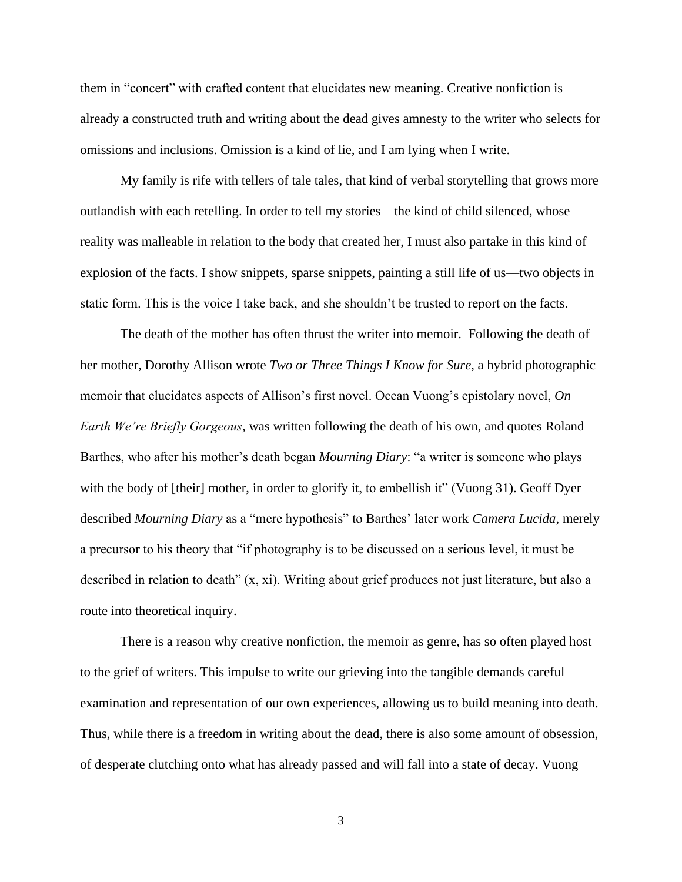them in "concert" with crafted content that elucidates new meaning. Creative nonfiction is already a constructed truth and writing about the dead gives amnesty to the writer who selects for omissions and inclusions. Omission is a kind of lie, and I am lying when I write.

My family is rife with tellers of tale tales, that kind of verbal storytelling that grows more outlandish with each retelling. In order to tell my stories—the kind of child silenced, whose reality was malleable in relation to the body that created her, I must also partake in this kind of explosion of the facts. I show snippets, sparse snippets, painting a still life of us—two objects in static form. This is the voice I take back, and she shouldn't be trusted to report on the facts.

The death of the mother has often thrust the writer into memoir. Following the death of her mother, Dorothy Allison wrote *Two or Three Things I Know for Sure*, a hybrid photographic memoir that elucidates aspects of Allison's first novel. Ocean Vuong's epistolary novel, *On Earth We're Briefly Gorgeous*, was written following the death of his own, and quotes Roland Barthes, who after his mother's death began *Mourning Diary*: "a writer is someone who plays with the body of [their] mother, in order to glorify it, to embellish it" (Vuong 31). Geoff Dyer described *Mourning Diary* as a "mere hypothesis" to Barthes' later work *Camera Lucida*, merely a precursor to his theory that "if photography is to be discussed on a serious level, it must be described in relation to death" (x, xi). Writing about grief produces not just literature, but also a route into theoretical inquiry.

There is a reason why creative nonfiction, the memoir as genre, has so often played host to the grief of writers. This impulse to write our grieving into the tangible demands careful examination and representation of our own experiences, allowing us to build meaning into death. Thus, while there is a freedom in writing about the dead, there is also some amount of obsession, of desperate clutching onto what has already passed and will fall into a state of decay. Vuong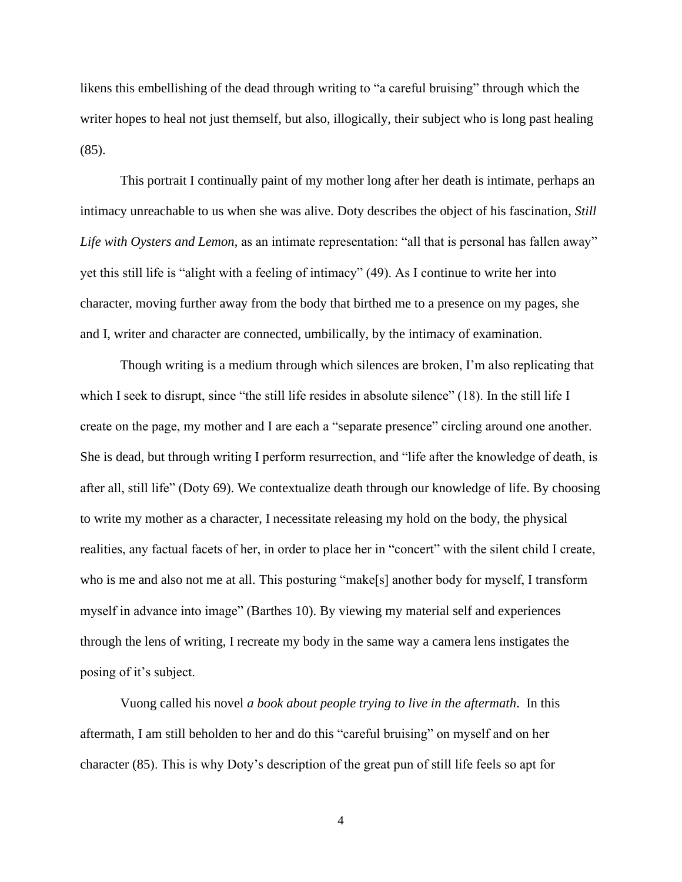likens this embellishing of the dead through writing to "a careful bruising" through which the writer hopes to heal not just themself, but also, illogically, their subject who is long past healing (85).

This portrait I continually paint of my mother long after her death is intimate, perhaps an intimacy unreachable to us when she was alive. Doty describes the object of his fascination, *Still Life with Oysters and Lemon*, as an intimate representation: "all that is personal has fallen away" yet this still life is "alight with a feeling of intimacy" (49). As I continue to write her into character, moving further away from the body that birthed me to a presence on my pages, she and I, writer and character are connected, umbilically, by the intimacy of examination.

Though writing is a medium through which silences are broken, I'm also replicating that which I seek to disrupt, since "the still life resides in absolute silence" (18). In the still life I create on the page, my mother and I are each a "separate presence" circling around one another. She is dead, but through writing I perform resurrection, and "life after the knowledge of death, is after all, still life" (Doty 69). We contextualize death through our knowledge of life. By choosing to write my mother as a character, I necessitate releasing my hold on the body, the physical realities, any factual facets of her, in order to place her in "concert" with the silent child I create, who is me and also not me at all. This posturing "make[s] another body for myself, I transform myself in advance into image" (Barthes 10). By viewing my material self and experiences through the lens of writing, I recreate my body in the same way a camera lens instigates the posing of it's subject.

Vuong called his novel *a book about people trying to live in the aftermath*. In this aftermath, I am still beholden to her and do this "careful bruising" on myself and on her character (85). This is why Doty's description of the great pun of still life feels so apt for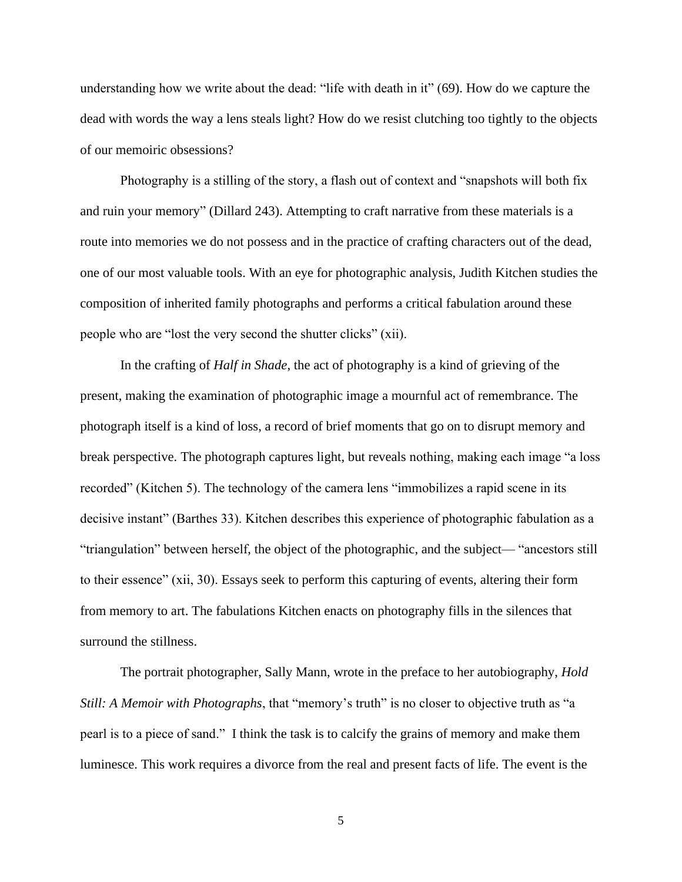understanding how we write about the dead: "life with death in it" (69). How do we capture the dead with words the way a lens steals light? How do we resist clutching too tightly to the objects of our memoiric obsessions?

Photography is a stilling of the story, a flash out of context and "snapshots will both fix and ruin your memory" (Dillard 243). Attempting to craft narrative from these materials is a route into memories we do not possess and in the practice of crafting characters out of the dead, one of our most valuable tools. With an eye for photographic analysis, Judith Kitchen studies the composition of inherited family photographs and performs a critical fabulation around these people who are "lost the very second the shutter clicks" (xii).

In the crafting of *Half in Shade*, the act of photography is a kind of grieving of the present, making the examination of photographic image a mournful act of remembrance. The photograph itself is a kind of loss, a record of brief moments that go on to disrupt memory and break perspective. The photograph captures light, but reveals nothing, making each image "a loss recorded" (Kitchen 5). The technology of the camera lens "immobilizes a rapid scene in its decisive instant" (Barthes 33). Kitchen describes this experience of photographic fabulation as a "triangulation" between herself, the object of the photographic, and the subject— "ancestors still to their essence" (xii, 30). Essays seek to perform this capturing of events, altering their form from memory to art. The fabulations Kitchen enacts on photography fills in the silences that surround the stillness.

The portrait photographer, Sally Mann, wrote in the preface to her autobiography, *Hold Still: A Memoir with Photographs*, that "memory's truth" is no closer to objective truth as "a pearl is to a piece of sand." I think the task is to calcify the grains of memory and make them luminesce. This work requires a divorce from the real and present facts of life. The event is the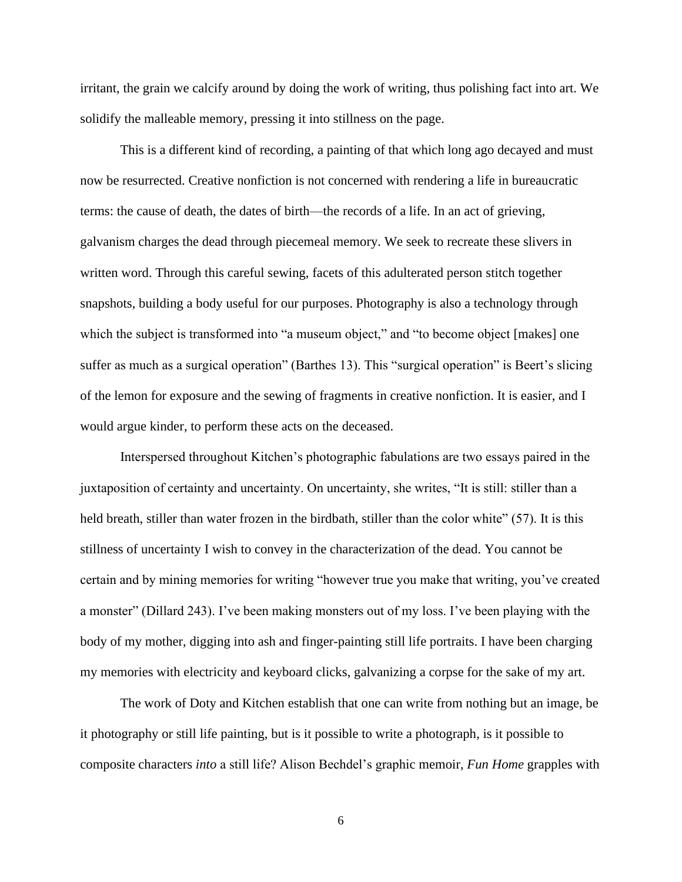irritant, the grain we calcify around by doing the work of writing, thus polishing fact into art. We solidify the malleable memory, pressing it into stillness on the page.

 This is a different kind of recording, a painting of that which long ago decayed and must now be resurrected. Creative nonfiction is not concerned with rendering a life in bureaucratic terms: the cause of death, the dates of birth—the records of a life. In an act of grieving, galvanism charges the dead through piecemeal memory. We seek to recreate these slivers in written word. Through this careful sewing, facets of this adulterated person stitch together snapshots, building a body useful for our purposes. Photography is also a technology through which the subject is transformed into "a museum object," and "to become object [makes] one suffer as much as a surgical operation" (Barthes 13). This "surgical operation" is Beert's slicing of the lemon for exposure and the sewing of fragments in creative nonfiction. It is easier, and I would argue kinder, to perform these acts on the deceased.

 Interspersed throughout Kitchen's photographic fabulations are two essays paired in the juxtaposition of certainty and uncertainty. On uncertainty, she writes, "It is still: stiller than a held breath, stiller than water frozen in the birdbath, stiller than the color white" (57). It is this stillness of uncertainty I wish to convey in the characterization of the dead. You cannot be certain and by mining memories for writing "however true you make that writing, you've created a monster" (Dillard 243). I've been making monsters out of my loss. I've been playing with the body of my mother, digging into ash and finger-painting still life portraits. I have been charging my memories with electricity and keyboard clicks, galvanizing a corpse for the sake of my art.

The work of Doty and Kitchen establish that one can write from nothing but an image, be it photography or still life painting, but is it possible to write a photograph, is it possible to composite characters *into* a still life? Alison Bechdel's graphic memoir, *Fun Home* grapples with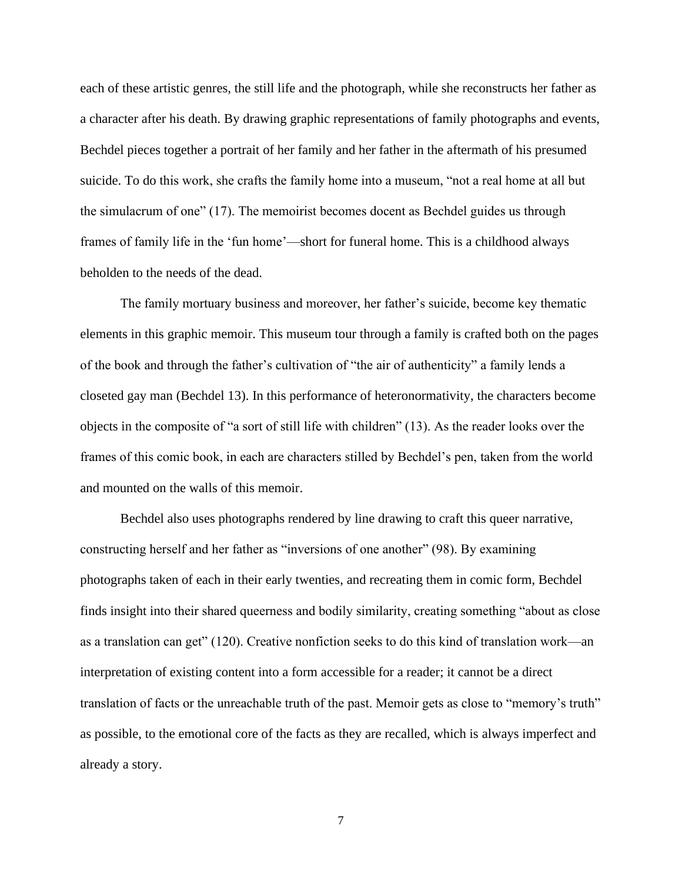each of these artistic genres, the still life and the photograph, while she reconstructs her father as a character after his death. By drawing graphic representations of family photographs and events, Bechdel pieces together a portrait of her family and her father in the aftermath of his presumed suicide. To do this work, she crafts the family home into a museum, "not a real home at all but the simulacrum of one" (17). The memoirist becomes docent as Bechdel guides us through frames of family life in the 'fun home'—short for funeral home. This is a childhood always beholden to the needs of the dead.

The family mortuary business and moreover, her father's suicide, become key thematic elements in this graphic memoir. This museum tour through a family is crafted both on the pages of the book and through the father's cultivation of "the air of authenticity" a family lends a closeted gay man (Bechdel 13). In this performance of heteronormativity, the characters become objects in the composite of "a sort of still life with children" (13). As the reader looks over the frames of this comic book, in each are characters stilled by Bechdel's pen, taken from the world and mounted on the walls of this memoir.

Bechdel also uses photographs rendered by line drawing to craft this queer narrative, constructing herself and her father as "inversions of one another" (98). By examining photographs taken of each in their early twenties, and recreating them in comic form, Bechdel finds insight into their shared queerness and bodily similarity, creating something "about as close as a translation can get" (120). Creative nonfiction seeks to do this kind of translation work—an interpretation of existing content into a form accessible for a reader; it cannot be a direct translation of facts or the unreachable truth of the past. Memoir gets as close to "memory's truth" as possible, to the emotional core of the facts as they are recalled, which is always imperfect and already a story.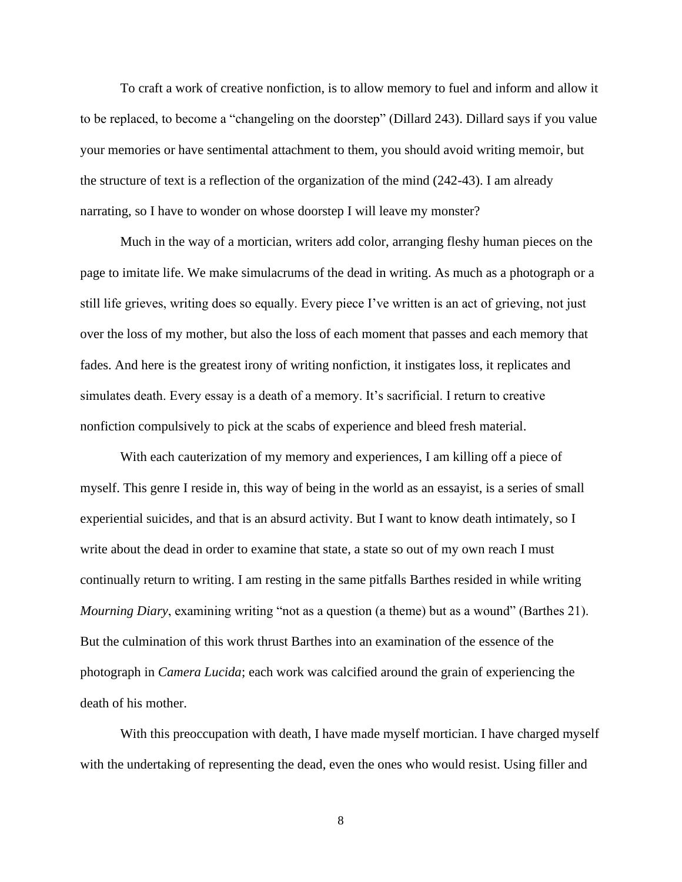To craft a work of creative nonfiction, is to allow memory to fuel and inform and allow it to be replaced, to become a "changeling on the doorstep" (Dillard 243). Dillard says if you value your memories or have sentimental attachment to them, you should avoid writing memoir, but the structure of text is a reflection of the organization of the mind (242-43). I am already narrating, so I have to wonder on whose doorstep I will leave my monster?

Much in the way of a mortician, writers add color, arranging fleshy human pieces on the page to imitate life. We make simulacrums of the dead in writing. As much as a photograph or a still life grieves, writing does so equally. Every piece I've written is an act of grieving, not just over the loss of my mother, but also the loss of each moment that passes and each memory that fades. And here is the greatest irony of writing nonfiction, it instigates loss, it replicates and simulates death. Every essay is a death of a memory. It's sacrificial. I return to creative nonfiction compulsively to pick at the scabs of experience and bleed fresh material.

With each cauterization of my memory and experiences, I am killing off a piece of myself. This genre I reside in, this way of being in the world as an essayist, is a series of small experiential suicides, and that is an absurd activity. But I want to know death intimately, so I write about the dead in order to examine that state, a state so out of my own reach I must continually return to writing. I am resting in the same pitfalls Barthes resided in while writing *Mourning Diary*, examining writing "not as a question (a theme) but as a wound" (Barthes 21). But the culmination of this work thrust Barthes into an examination of the essence of the photograph in *Camera Lucida*; each work was calcified around the grain of experiencing the death of his mother.

With this preoccupation with death, I have made myself mortician. I have charged myself with the undertaking of representing the dead, even the ones who would resist. Using filler and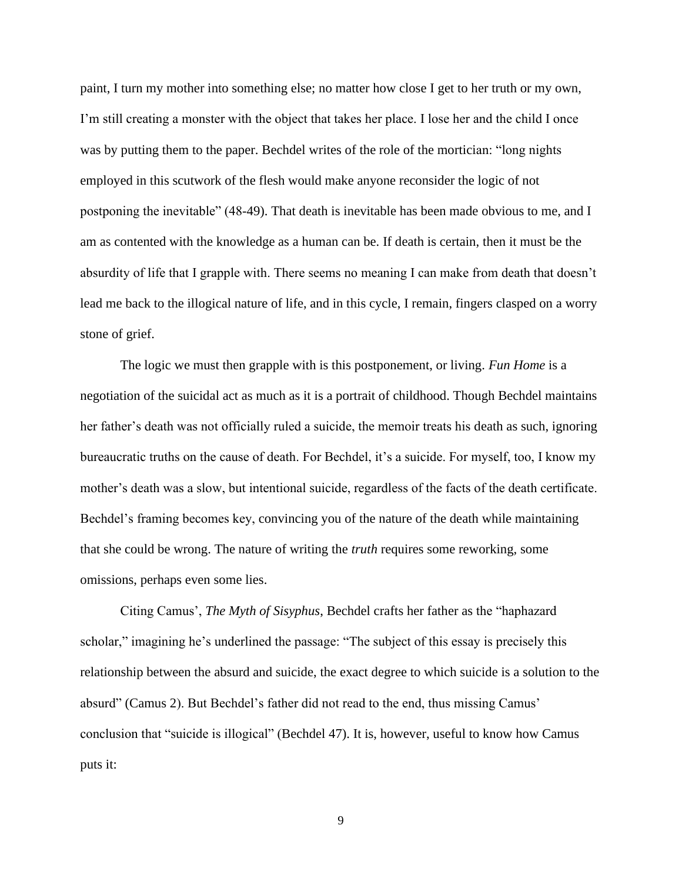paint, I turn my mother into something else; no matter how close I get to her truth or my own, I'm still creating a monster with the object that takes her place. I lose her and the child I once was by putting them to the paper. Bechdel writes of the role of the mortician: "long nights employed in this scutwork of the flesh would make anyone reconsider the logic of not postponing the inevitable" (48-49). That death is inevitable has been made obvious to me, and I am as contented with the knowledge as a human can be. If death is certain, then it must be the absurdity of life that I grapple with. There seems no meaning I can make from death that doesn't lead me back to the illogical nature of life, and in this cycle, I remain, fingers clasped on a worry stone of grief.

The logic we must then grapple with is this postponement, or living. *Fun Home* is a negotiation of the suicidal act as much as it is a portrait of childhood. Though Bechdel maintains her father's death was not officially ruled a suicide, the memoir treats his death as such, ignoring bureaucratic truths on the cause of death. For Bechdel, it's a suicide. For myself, too, I know my mother's death was a slow, but intentional suicide, regardless of the facts of the death certificate. Bechdel's framing becomes key, convincing you of the nature of the death while maintaining that she could be wrong. The nature of writing the *truth* requires some reworking, some omissions, perhaps even some lies.

Citing Camus', *The Myth of Sisyphus*, Bechdel crafts her father as the "haphazard scholar," imagining he's underlined the passage: "The subject of this essay is precisely this relationship between the absurd and suicide, the exact degree to which suicide is a solution to the absurd" (Camus 2). But Bechdel's father did not read to the end, thus missing Camus' conclusion that "suicide is illogical" (Bechdel 47). It is, however, useful to know how Camus puts it: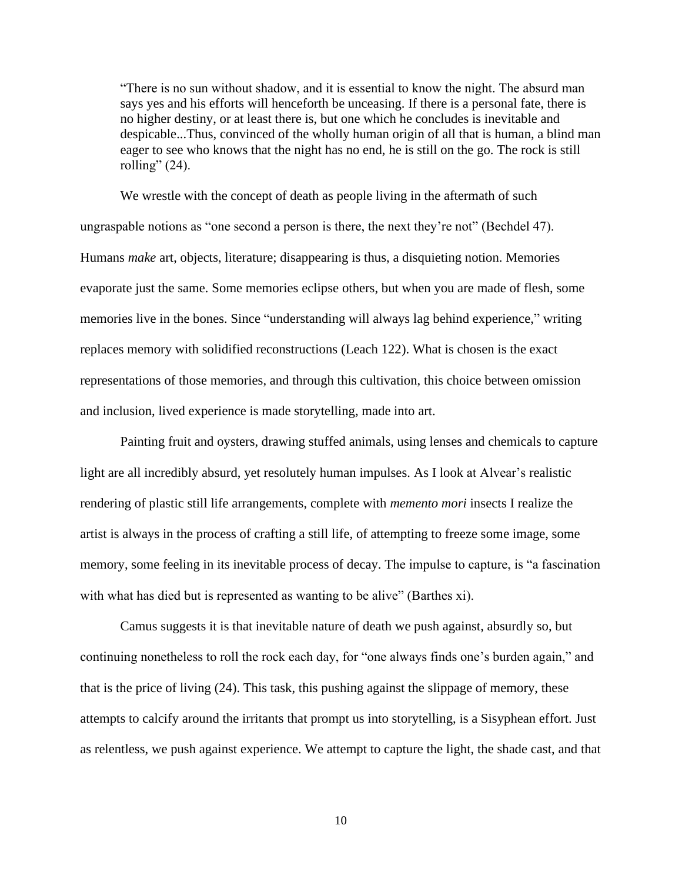"There is no sun without shadow, and it is essential to know the night. The absurd man says yes and his efforts will henceforth be unceasing. If there is a personal fate, there is no higher destiny, or at least there is, but one which he concludes is inevitable and despicable...Thus, convinced of the wholly human origin of all that is human, a blind man eager to see who knows that the night has no end, he is still on the go. The rock is still rolling"  $(24)$ .

We wrestle with the concept of death as people living in the aftermath of such ungraspable notions as "one second a person is there, the next they're not" (Bechdel 47). Humans *make* art, objects, literature; disappearing is thus, a disquieting notion. Memories evaporate just the same. Some memories eclipse others, but when you are made of flesh, some memories live in the bones. Since "understanding will always lag behind experience," writing replaces memory with solidified reconstructions (Leach 122). What is chosen is the exact representations of those memories, and through this cultivation, this choice between omission and inclusion, lived experience is made storytelling, made into art.

Painting fruit and oysters, drawing stuffed animals, using lenses and chemicals to capture light are all incredibly absurd, yet resolutely human impulses. As I look at Alvear's realistic rendering of plastic still life arrangements, complete with *memento mori* insects I realize the artist is always in the process of crafting a still life, of attempting to freeze some image, some memory, some feeling in its inevitable process of decay. The impulse to capture, is "a fascination with what has died but is represented as wanting to be alive" (Barthes xi).

Camus suggests it is that inevitable nature of death we push against, absurdly so, but continuing nonetheless to roll the rock each day, for "one always finds one's burden again," and that is the price of living (24). This task, this pushing against the slippage of memory, these attempts to calcify around the irritants that prompt us into storytelling, is a Sisyphean effort. Just as relentless, we push against experience. We attempt to capture the light, the shade cast, and that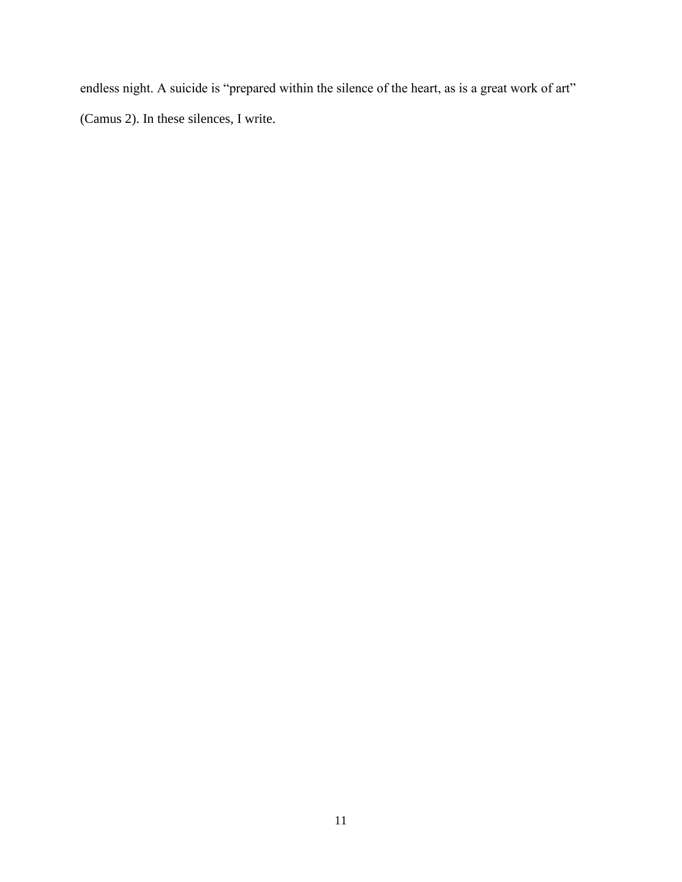endless night. A suicide is "prepared within the silence of the heart, as is a great work of art" (Camus 2). In these silences, I write.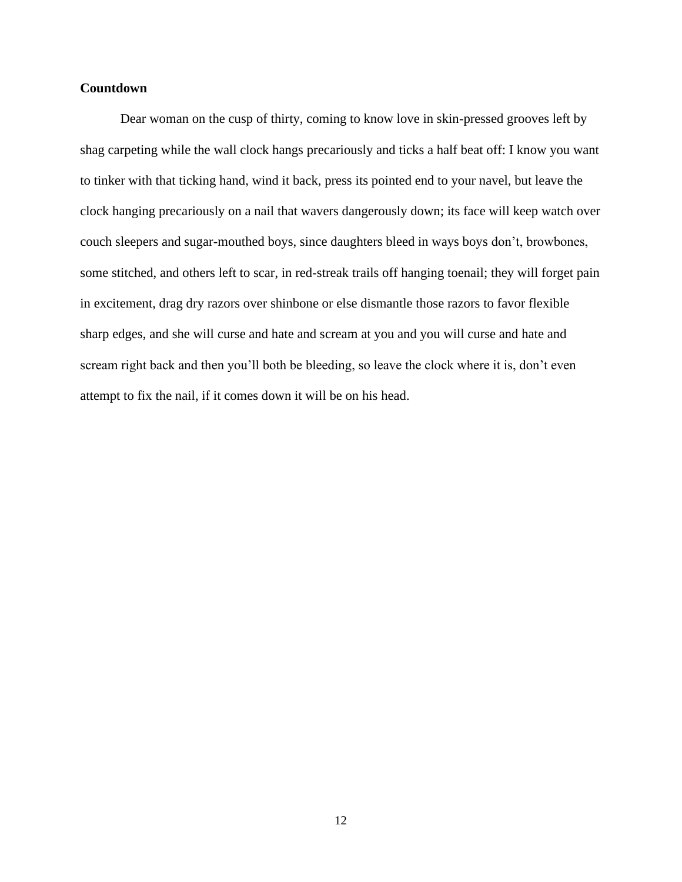#### **Countdown**

Dear woman on the cusp of thirty, coming to know love in skin-pressed grooves left by shag carpeting while the wall clock hangs precariously and ticks a half beat off: I know you want to tinker with that ticking hand, wind it back, press its pointed end to your navel, but leave the clock hanging precariously on a nail that wavers dangerously down; its face will keep watch over couch sleepers and sugar-mouthed boys, since daughters bleed in ways boys don't, browbones, some stitched, and others left to scar, in red-streak trails off hanging toenail; they will forget pain in excitement, drag dry razors over shinbone or else dismantle those razors to favor flexible sharp edges, and she will curse and hate and scream at you and you will curse and hate and scream right back and then you'll both be bleeding, so leave the clock where it is, don't even attempt to fix the nail, if it comes down it will be on his head.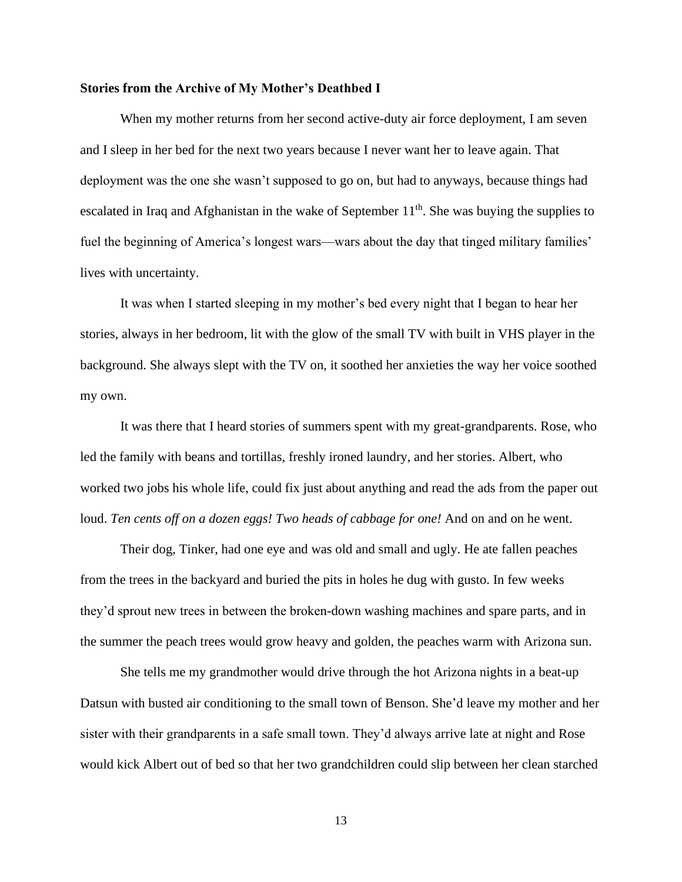#### **Stories from the Archive of My Mother's Deathbed I**

When my mother returns from her second active-duty air force deployment, I am seven and I sleep in her bed for the next two years because I never want her to leave again. That deployment was the one she wasn't supposed to go on, but had to anyways, because things had escalated in Iraq and Afghanistan in the wake of September  $11<sup>th</sup>$ . She was buying the supplies to fuel the beginning of America's longest wars—wars about the day that tinged military families' lives with uncertainty.

It was when I started sleeping in my mother's bed every night that I began to hear her stories, always in her bedroom, lit with the glow of the small TV with built in VHS player in the background. She always slept with the TV on, it soothed her anxieties the way her voice soothed my own.

It was there that I heard stories of summers spent with my great-grandparents. Rose, who led the family with beans and tortillas, freshly ironed laundry, and her stories. Albert, who worked two jobs his whole life, could fix just about anything and read the ads from the paper out loud. *Ten cents off on a dozen eggs! Two heads of cabbage for one!* And on and on he went.

Their dog, Tinker, had one eye and was old and small and ugly. He ate fallen peaches from the trees in the backyard and buried the pits in holes he dug with gusto. In few weeks they'd sprout new trees in between the broken-down washing machines and spare parts, and in the summer the peach trees would grow heavy and golden, the peaches warm with Arizona sun.

She tells me my grandmother would drive through the hot Arizona nights in a beat-up Datsun with busted air conditioning to the small town of Benson. She'd leave my mother and her sister with their grandparents in a safe small town. They'd always arrive late at night and Rose would kick Albert out of bed so that her two grandchildren could slip between her clean starched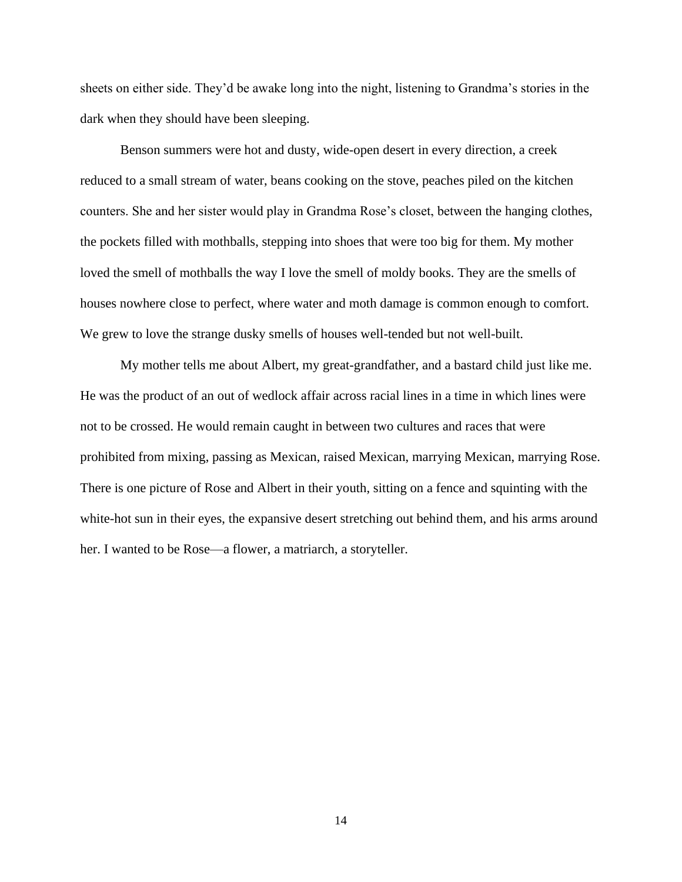sheets on either side. They'd be awake long into the night, listening to Grandma's stories in the dark when they should have been sleeping.

Benson summers were hot and dusty, wide-open desert in every direction, a creek reduced to a small stream of water, beans cooking on the stove, peaches piled on the kitchen counters. She and her sister would play in Grandma Rose's closet, between the hanging clothes, the pockets filled with mothballs, stepping into shoes that were too big for them. My mother loved the smell of mothballs the way I love the smell of moldy books. They are the smells of houses nowhere close to perfect, where water and moth damage is common enough to comfort. We grew to love the strange dusky smells of houses well-tended but not well-built.

My mother tells me about Albert, my great-grandfather, and a bastard child just like me. He was the product of an out of wedlock affair across racial lines in a time in which lines were not to be crossed. He would remain caught in between two cultures and races that were prohibited from mixing, passing as Mexican, raised Mexican, marrying Mexican, marrying Rose. There is one picture of Rose and Albert in their youth, sitting on a fence and squinting with the white-hot sun in their eyes, the expansive desert stretching out behind them, and his arms around her. I wanted to be Rose—a flower, a matriarch, a storyteller.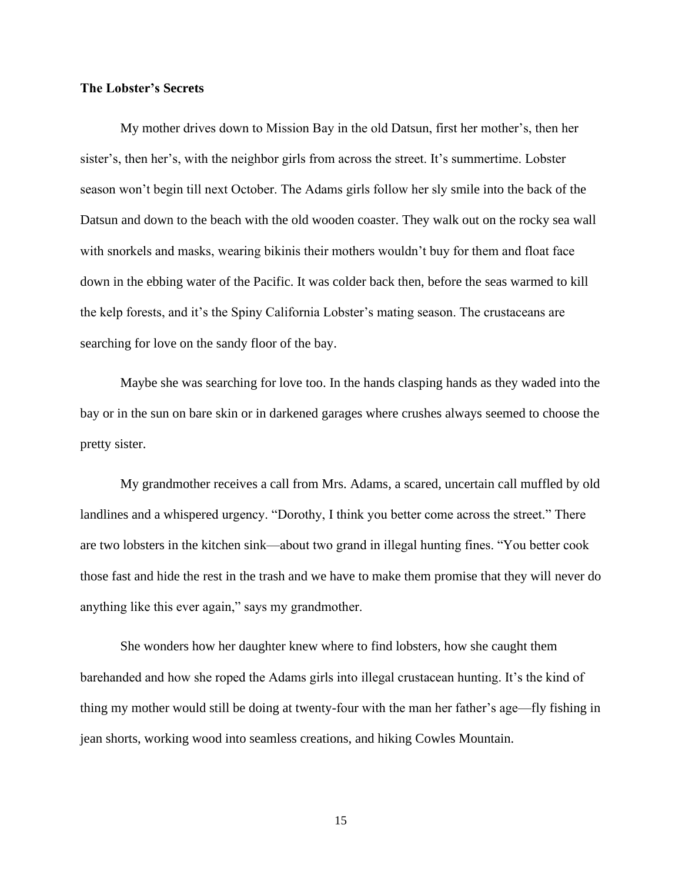#### **The Lobster's Secrets**

My mother drives down to Mission Bay in the old Datsun, first her mother's, then her sister's, then her's, with the neighbor girls from across the street. It's summertime. Lobster season won't begin till next October. The Adams girls follow her sly smile into the back of the Datsun and down to the beach with the old wooden coaster. They walk out on the rocky sea wall with snorkels and masks, wearing bikinis their mothers wouldn't buy for them and float face down in the ebbing water of the Pacific. It was colder back then, before the seas warmed to kill the kelp forests, and it's the Spiny California Lobster's mating season. The crustaceans are searching for love on the sandy floor of the bay.

Maybe she was searching for love too. In the hands clasping hands as they waded into the bay or in the sun on bare skin or in darkened garages where crushes always seemed to choose the pretty sister.

My grandmother receives a call from Mrs. Adams, a scared, uncertain call muffled by old landlines and a whispered urgency. "Dorothy, I think you better come across the street." There are two lobsters in the kitchen sink—about two grand in illegal hunting fines. "You better cook those fast and hide the rest in the trash and we have to make them promise that they will never do anything like this ever again," says my grandmother.

She wonders how her daughter knew where to find lobsters, how she caught them barehanded and how she roped the Adams girls into illegal crustacean hunting. It's the kind of thing my mother would still be doing at twenty-four with the man her father's age—fly fishing in jean shorts, working wood into seamless creations, and hiking Cowles Mountain.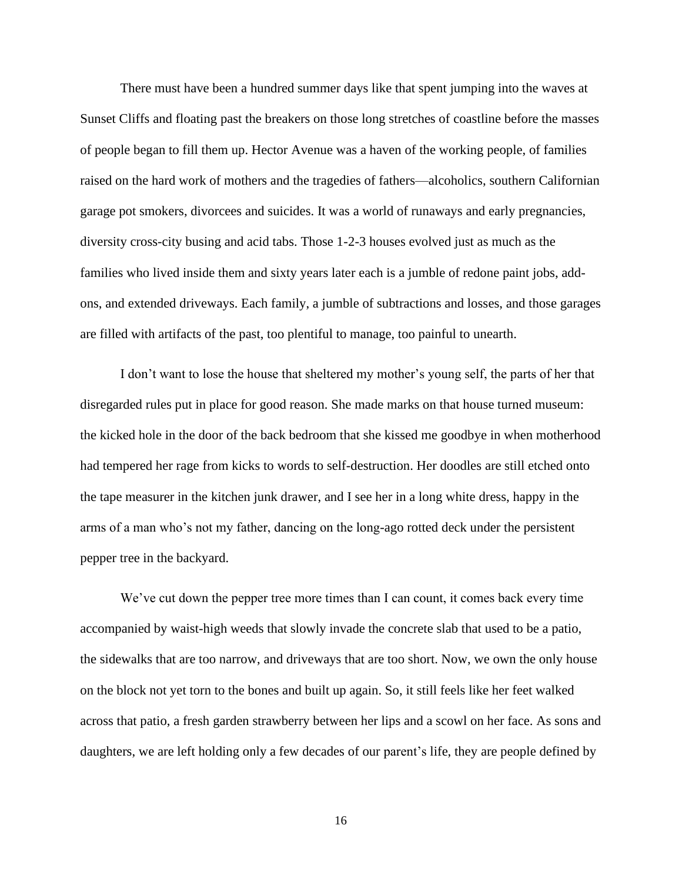There must have been a hundred summer days like that spent jumping into the waves at Sunset Cliffs and floating past the breakers on those long stretches of coastline before the masses of people began to fill them up. Hector Avenue was a haven of the working people, of families raised on the hard work of mothers and the tragedies of fathers—alcoholics, southern Californian garage pot smokers, divorcees and suicides. It was a world of runaways and early pregnancies, diversity cross-city busing and acid tabs. Those 1-2-3 houses evolved just as much as the families who lived inside them and sixty years later each is a jumble of redone paint jobs, addons, and extended driveways. Each family, a jumble of subtractions and losses, and those garages are filled with artifacts of the past, too plentiful to manage, too painful to unearth.

I don't want to lose the house that sheltered my mother's young self, the parts of her that disregarded rules put in place for good reason. She made marks on that house turned museum: the kicked hole in the door of the back bedroom that she kissed me goodbye in when motherhood had tempered her rage from kicks to words to self-destruction. Her doodles are still etched onto the tape measurer in the kitchen junk drawer, and I see her in a long white dress, happy in the arms of a man who's not my father, dancing on the long-ago rotted deck under the persistent pepper tree in the backyard.

We've cut down the pepper tree more times than I can count, it comes back every time accompanied by waist-high weeds that slowly invade the concrete slab that used to be a patio, the sidewalks that are too narrow, and driveways that are too short. Now, we own the only house on the block not yet torn to the bones and built up again. So, it still feels like her feet walked across that patio, a fresh garden strawberry between her lips and a scowl on her face. As sons and daughters, we are left holding only a few decades of our parent's life, they are people defined by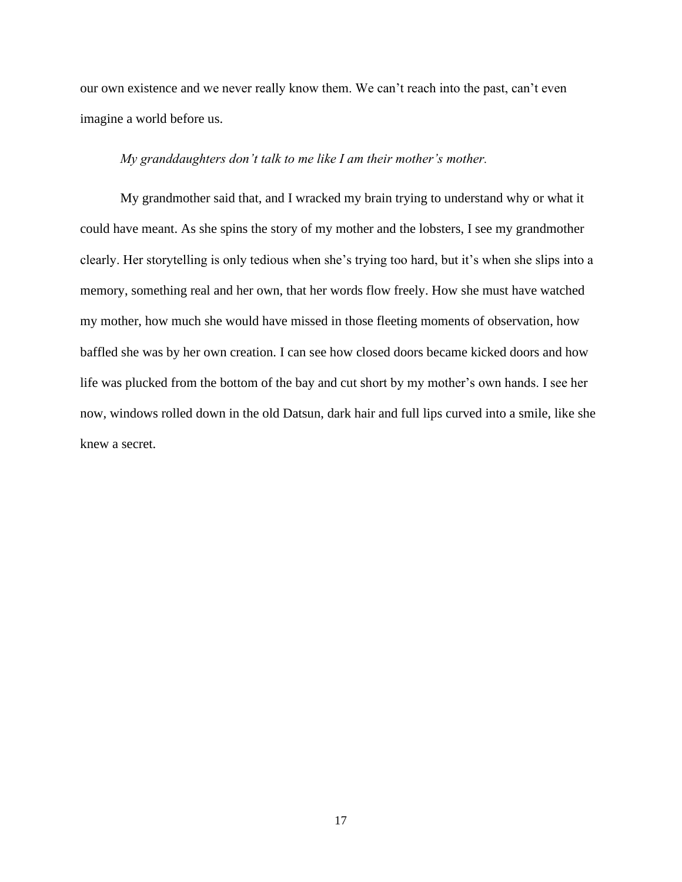our own existence and we never really know them. We can't reach into the past, can't even imagine a world before us.

#### *My granddaughters don't talk to me like I am their mother's mother.*

My grandmother said that, and I wracked my brain trying to understand why or what it could have meant. As she spins the story of my mother and the lobsters, I see my grandmother clearly. Her storytelling is only tedious when she's trying too hard, but it's when she slips into a memory, something real and her own, that her words flow freely. How she must have watched my mother, how much she would have missed in those fleeting moments of observation, how baffled she was by her own creation. I can see how closed doors became kicked doors and how life was plucked from the bottom of the bay and cut short by my mother's own hands. I see her now, windows rolled down in the old Datsun, dark hair and full lips curved into a smile, like she knew a secret.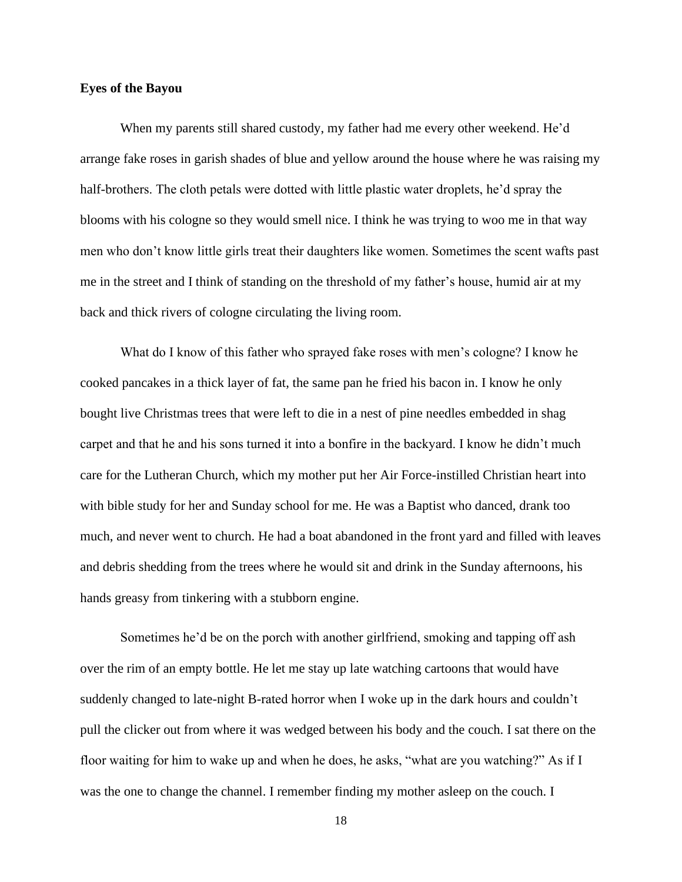#### **Eyes of the Bayou**

When my parents still shared custody, my father had me every other weekend. He'd arrange fake roses in garish shades of blue and yellow around the house where he was raising my half-brothers. The cloth petals were dotted with little plastic water droplets, he'd spray the blooms with his cologne so they would smell nice. I think he was trying to woo me in that way men who don't know little girls treat their daughters like women. Sometimes the scent wafts past me in the street and I think of standing on the threshold of my father's house, humid air at my back and thick rivers of cologne circulating the living room.

What do I know of this father who sprayed fake roses with men's cologne? I know he cooked pancakes in a thick layer of fat, the same pan he fried his bacon in. I know he only bought live Christmas trees that were left to die in a nest of pine needles embedded in shag carpet and that he and his sons turned it into a bonfire in the backyard. I know he didn't much care for the Lutheran Church, which my mother put her Air Force-instilled Christian heart into with bible study for her and Sunday school for me. He was a Baptist who danced, drank too much, and never went to church. He had a boat abandoned in the front yard and filled with leaves and debris shedding from the trees where he would sit and drink in the Sunday afternoons, his hands greasy from tinkering with a stubborn engine.

Sometimes he'd be on the porch with another girlfriend, smoking and tapping off ash over the rim of an empty bottle. He let me stay up late watching cartoons that would have suddenly changed to late-night B-rated horror when I woke up in the dark hours and couldn't pull the clicker out from where it was wedged between his body and the couch. I sat there on the floor waiting for him to wake up and when he does, he asks, "what are you watching?" As if I was the one to change the channel. I remember finding my mother asleep on the couch. I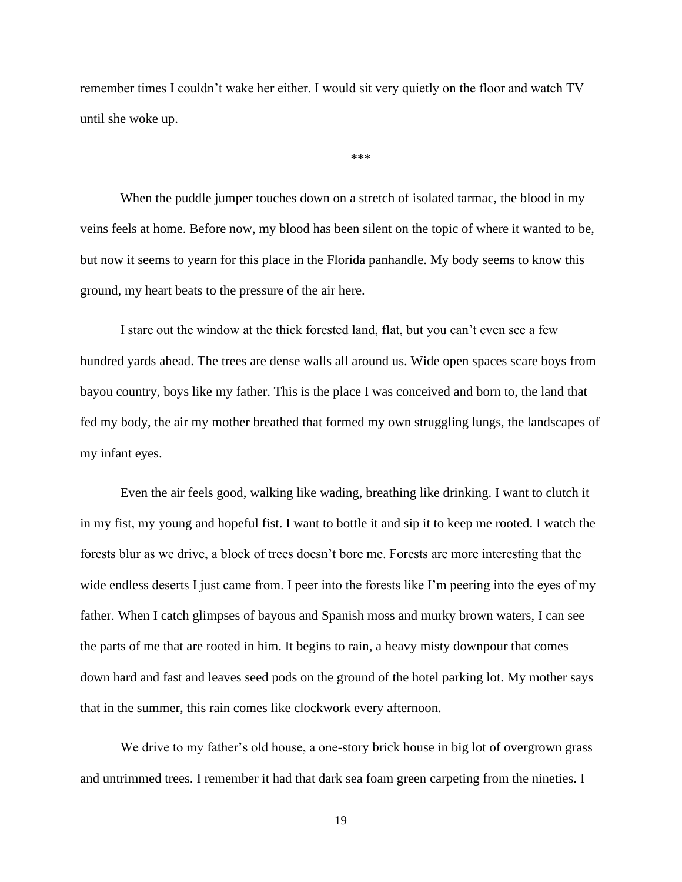remember times I couldn't wake her either. I would sit very quietly on the floor and watch TV until she woke up.

\*\*\*

When the puddle jumper touches down on a stretch of isolated tarmac, the blood in my veins feels at home. Before now, my blood has been silent on the topic of where it wanted to be, but now it seems to yearn for this place in the Florida panhandle. My body seems to know this ground, my heart beats to the pressure of the air here.

I stare out the window at the thick forested land, flat, but you can't even see a few hundred yards ahead. The trees are dense walls all around us. Wide open spaces scare boys from bayou country, boys like my father. This is the place I was conceived and born to, the land that fed my body, the air my mother breathed that formed my own struggling lungs, the landscapes of my infant eyes.

Even the air feels good, walking like wading, breathing like drinking. I want to clutch it in my fist, my young and hopeful fist. I want to bottle it and sip it to keep me rooted. I watch the forests blur as we drive, a block of trees doesn't bore me. Forests are more interesting that the wide endless deserts I just came from. I peer into the forests like I'm peering into the eyes of my father. When I catch glimpses of bayous and Spanish moss and murky brown waters, I can see the parts of me that are rooted in him. It begins to rain, a heavy misty downpour that comes down hard and fast and leaves seed pods on the ground of the hotel parking lot. My mother says that in the summer, this rain comes like clockwork every afternoon.

We drive to my father's old house, a one-story brick house in big lot of overgrown grass and untrimmed trees. I remember it had that dark sea foam green carpeting from the nineties. I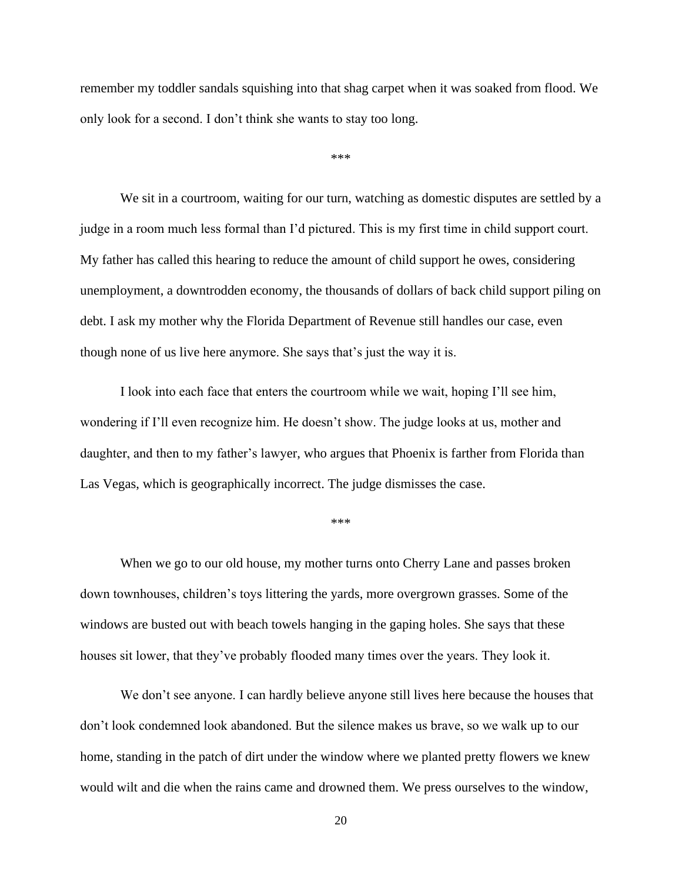remember my toddler sandals squishing into that shag carpet when it was soaked from flood. We only look for a second. I don't think she wants to stay too long.

\*\*\*

We sit in a courtroom, waiting for our turn, watching as domestic disputes are settled by a judge in a room much less formal than I'd pictured. This is my first time in child support court. My father has called this hearing to reduce the amount of child support he owes, considering unemployment, a downtrodden economy, the thousands of dollars of back child support piling on debt. I ask my mother why the Florida Department of Revenue still handles our case, even though none of us live here anymore. She says that's just the way it is.

I look into each face that enters the courtroom while we wait, hoping I'll see him, wondering if I'll even recognize him. He doesn't show. The judge looks at us, mother and daughter, and then to my father's lawyer, who argues that Phoenix is farther from Florida than Las Vegas, which is geographically incorrect. The judge dismisses the case.

\*\*\*

When we go to our old house, my mother turns onto Cherry Lane and passes broken down townhouses, children's toys littering the yards, more overgrown grasses. Some of the windows are busted out with beach towels hanging in the gaping holes. She says that these houses sit lower, that they've probably flooded many times over the years. They look it.

We don't see anyone. I can hardly believe anyone still lives here because the houses that don't look condemned look abandoned. But the silence makes us brave, so we walk up to our home, standing in the patch of dirt under the window where we planted pretty flowers we knew would wilt and die when the rains came and drowned them. We press ourselves to the window,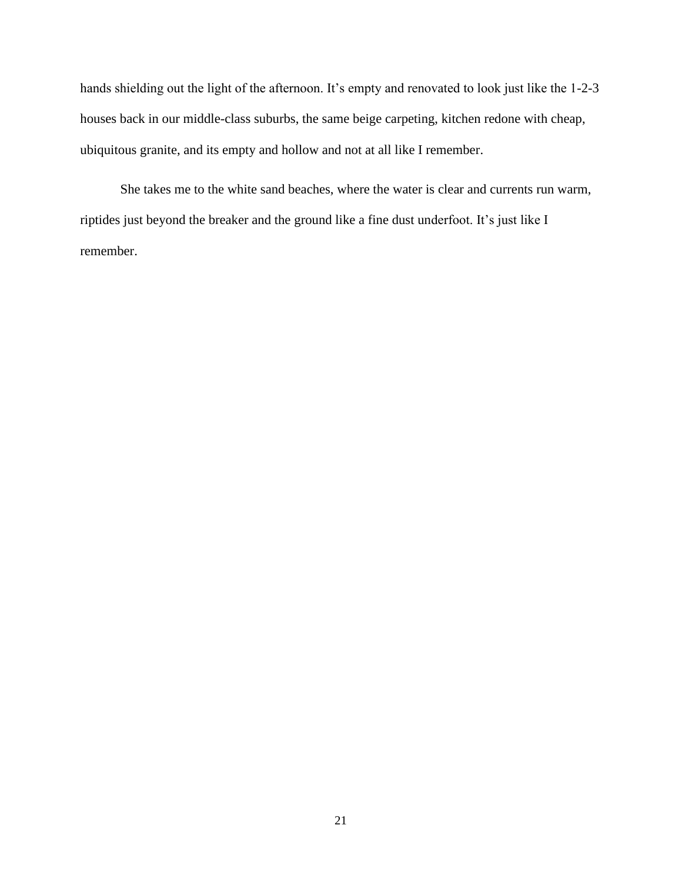hands shielding out the light of the afternoon. It's empty and renovated to look just like the 1-2-3 houses back in our middle-class suburbs, the same beige carpeting, kitchen redone with cheap, ubiquitous granite, and its empty and hollow and not at all like I remember.

She takes me to the white sand beaches, where the water is clear and currents run warm, riptides just beyond the breaker and the ground like a fine dust underfoot. It's just like I remember.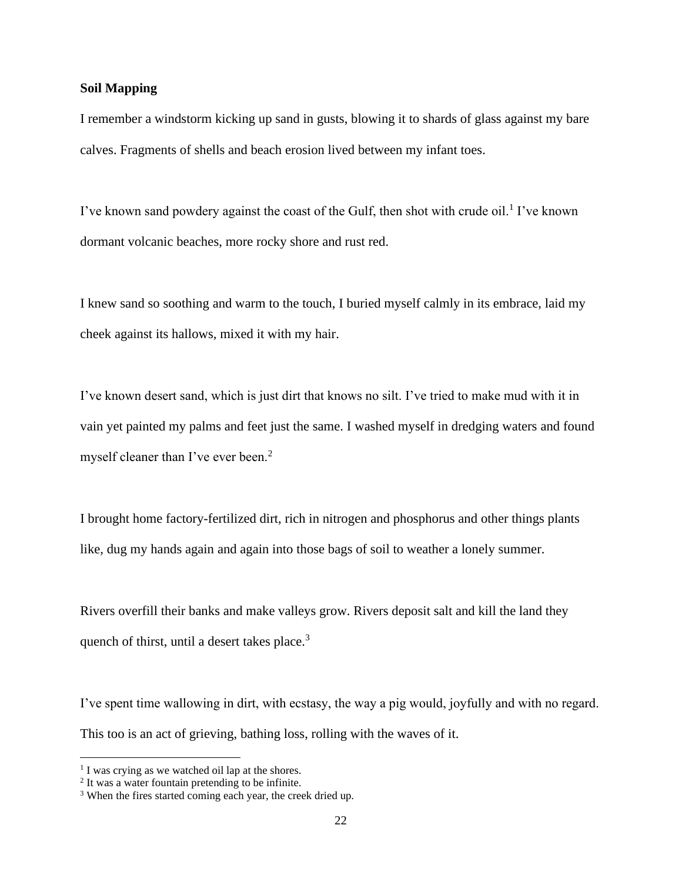#### **Soil Mapping**

I remember a windstorm kicking up sand in gusts, blowing it to shards of glass against my bare calves. Fragments of shells and beach erosion lived between my infant toes.

I've known sand powdery against the coast of the Gulf, then shot with crude oil.<sup>1</sup> I've known dormant volcanic beaches, more rocky shore and rust red.

I knew sand so soothing and warm to the touch, I buried myself calmly in its embrace, laid my cheek against its hallows, mixed it with my hair.

I've known desert sand, which is just dirt that knows no silt. I've tried to make mud with it in vain yet painted my palms and feet just the same. I washed myself in dredging waters and found myself cleaner than I've ever been.<sup>2</sup>

I brought home factory-fertilized dirt, rich in nitrogen and phosphorus and other things plants like, dug my hands again and again into those bags of soil to weather a lonely summer.

Rivers overfill their banks and make valleys grow. Rivers deposit salt and kill the land they quench of thirst, until a desert takes place.<sup>3</sup>

I've spent time wallowing in dirt, with ecstasy, the way a pig would, joyfully and with no regard. This too is an act of grieving, bathing loss, rolling with the waves of it.

<sup>&</sup>lt;sup>1</sup> I was crying as we watched oil lap at the shores.

 $2$  It was a water fountain pretending to be infinite.

<sup>&</sup>lt;sup>3</sup> When the fires started coming each year, the creek dried up.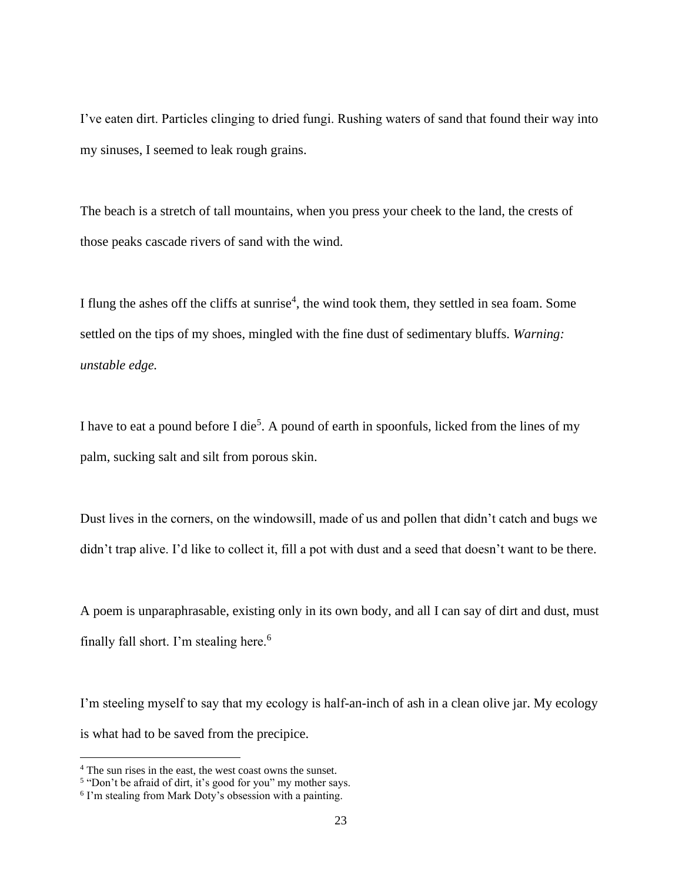I've eaten dirt. Particles clinging to dried fungi. Rushing waters of sand that found their way into my sinuses, I seemed to leak rough grains.

The beach is a stretch of tall mountains, when you press your cheek to the land, the crests of those peaks cascade rivers of sand with the wind.

I flung the ashes off the cliffs at sunrise<sup>4</sup>, the wind took them, they settled in sea foam. Some settled on the tips of my shoes, mingled with the fine dust of sedimentary bluffs. *Warning: unstable edge.* 

I have to eat a pound before I die<sup>5</sup>. A pound of earth in spoonfuls, licked from the lines of my palm, sucking salt and silt from porous skin.

Dust lives in the corners, on the windowsill, made of us and pollen that didn't catch and bugs we didn't trap alive. I'd like to collect it, fill a pot with dust and a seed that doesn't want to be there.

A poem is unparaphrasable, existing only in its own body, and all I can say of dirt and dust, must finally fall short. I'm stealing here.<sup>6</sup>

I'm steeling myself to say that my ecology is half-an-inch of ash in a clean olive jar. My ecology is what had to be saved from the precipice.

<sup>4</sup> The sun rises in the east, the west coast owns the sunset.

<sup>&</sup>lt;sup>5</sup> "Don't be afraid of dirt, it's good for you" my mother says.

<sup>&</sup>lt;sup>6</sup> I'm stealing from Mark Doty's obsession with a painting.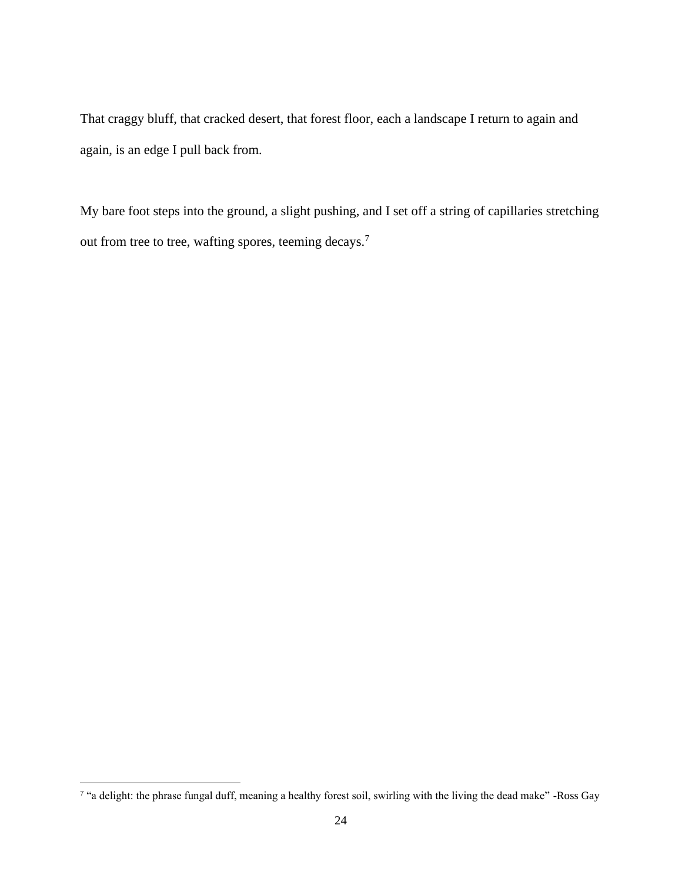That craggy bluff, that cracked desert, that forest floor, each a landscape I return to again and again, is an edge I pull back from.

My bare foot steps into the ground, a slight pushing, and I set off a string of capillaries stretching out from tree to tree, wafting spores, teeming decays.<sup>7</sup>

<sup>&</sup>lt;sup>7</sup> "a delight: the phrase fungal duff, meaning a healthy forest soil, swirling with the living the dead make" -Ross Gay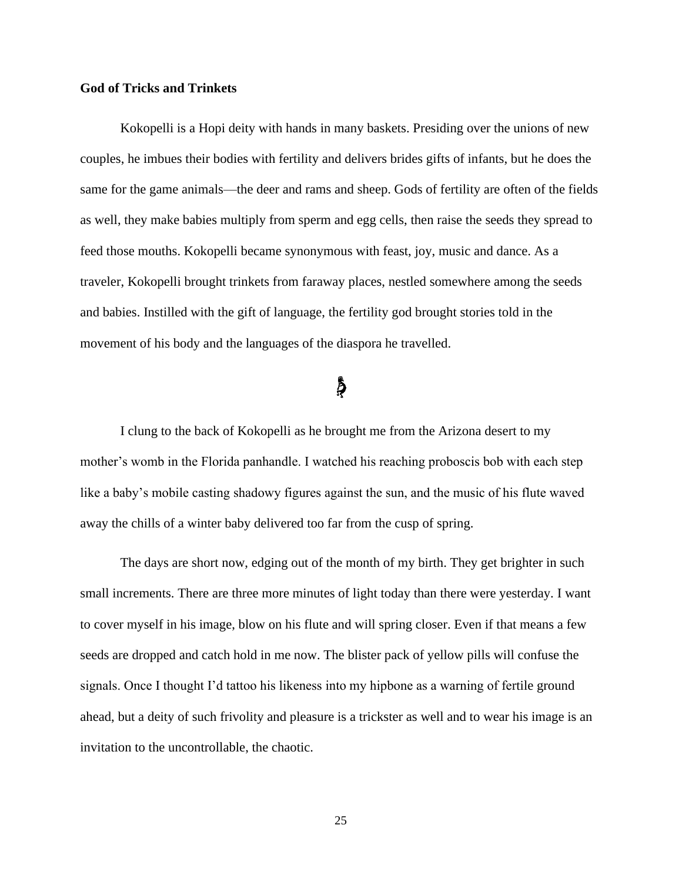#### **God of Tricks and Trinkets**

Kokopelli is a Hopi deity with hands in many baskets. Presiding over the unions of new couples, he imbues their bodies with fertility and delivers brides gifts of infants, but he does the same for the game animals—the deer and rams and sheep. Gods of fertility are often of the fields as well, they make babies multiply from sperm and egg cells, then raise the seeds they spread to feed those mouths. Kokopelli became synonymous with feast, joy, music and dance. As a traveler, Kokopelli brought trinkets from faraway places, nestled somewhere among the seeds and babies. Instilled with the gift of language, the fertility god brought stories told in the movement of his body and the languages of the diaspora he travelled.

## a<br>K

I clung to the back of Kokopelli as he brought me from the Arizona desert to my mother's womb in the Florida panhandle. I watched his reaching proboscis bob with each step like a baby's mobile casting shadowy figures against the sun, and the music of his flute waved away the chills of a winter baby delivered too far from the cusp of spring.

The days are short now, edging out of the month of my birth. They get brighter in such small increments. There are three more minutes of light today than there were yesterday. I want to cover myself in his image, blow on his flute and will spring closer. Even if that means a few seeds are dropped and catch hold in me now. The blister pack of yellow pills will confuse the signals. Once I thought I'd tattoo his likeness into my hipbone as a warning of fertile ground ahead, but a deity of such frivolity and pleasure is a trickster as well and to wear his image is an invitation to the uncontrollable, the chaotic.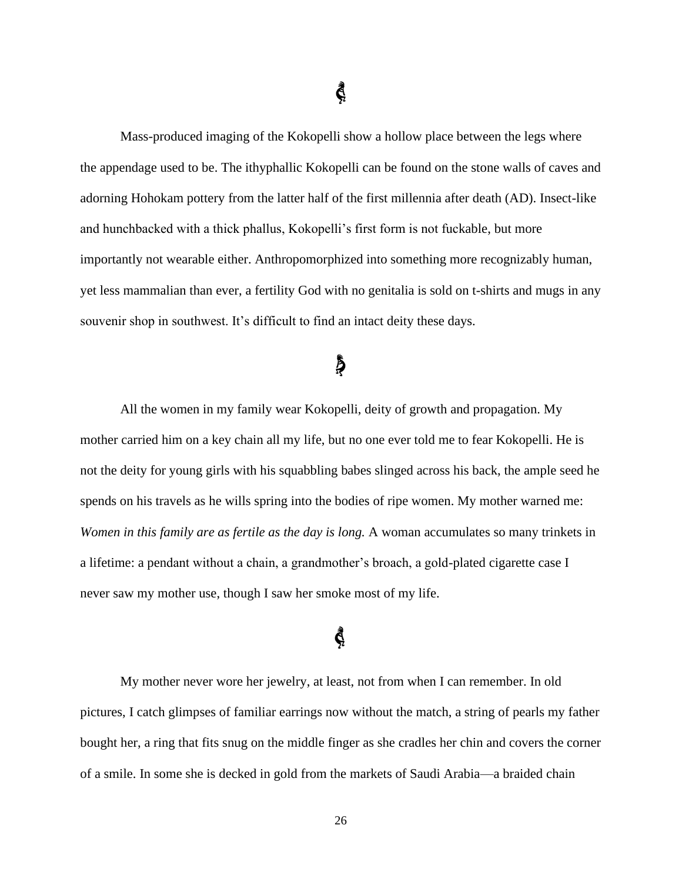Mass-produced imaging of the Kokopelli show a hollow place between the legs where the appendage used to be. The ithyphallic Kokopelli can be found on the stone walls of caves and adorning Hohokam pottery from the latter half of the first millennia after death (AD). Insect-like and hunchbacked with a thick phallus, Kokopelli's first form is not fuckable, but more importantly not wearable either. Anthropomorphized into something more recognizably human, yet less mammalian than ever, a fertility God with no genitalia is sold on t-shirts and mugs in any souvenir shop in southwest. It's difficult to find an intact deity these days.

# á

All the women in my family wear Kokopelli, deity of growth and propagation. My mother carried him on a key chain all my life, but no one ever told me to fear Kokopelli. He is not the deity for young girls with his squabbling babes slinged across his back, the ample seed he spends on his travels as he wills spring into the bodies of ripe women. My mother warned me: *Women in this family are as fertile as the day is long.* A woman accumulates so many trinkets in a lifetime: a pendant without a chain, a grandmother's broach, a gold-plated cigarette case I never saw my mother use, though I saw her smoke most of my life.

## Ŝ

My mother never wore her jewelry, at least, not from when I can remember. In old pictures, I catch glimpses of familiar earrings now without the match, a string of pearls my father bought her, a ring that fits snug on the middle finger as she cradles her chin and covers the corner of a smile. In some she is decked in gold from the markets of Saudi Arabia—a braided chain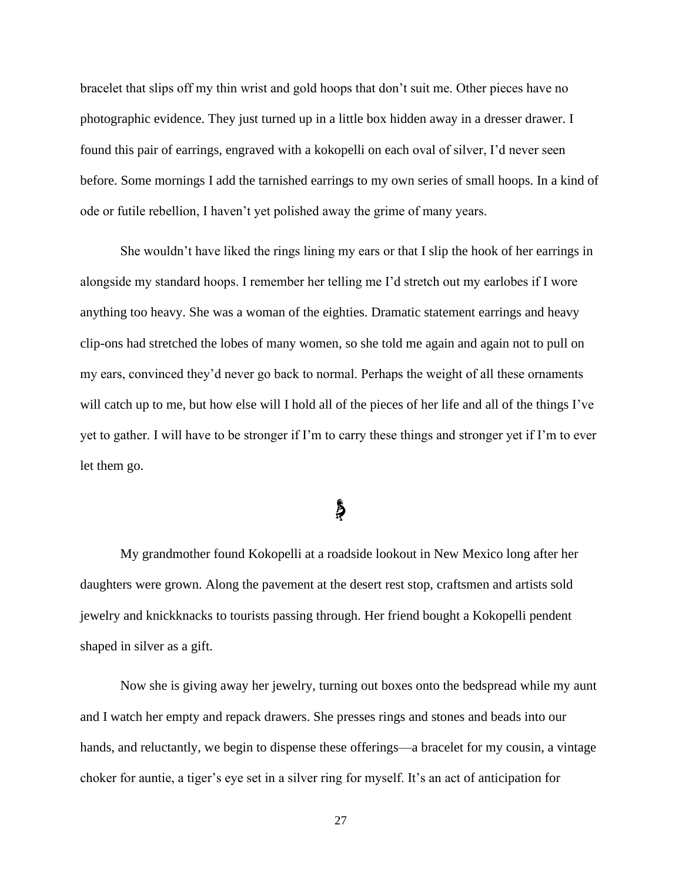bracelet that slips off my thin wrist and gold hoops that don't suit me. Other pieces have no photographic evidence. They just turned up in a little box hidden away in a dresser drawer. I found this pair of earrings, engraved with a kokopelli on each oval of silver, I'd never seen before. Some mornings I add the tarnished earrings to my own series of small hoops. In a kind of ode or futile rebellion, I haven't yet polished away the grime of many years.

She wouldn't have liked the rings lining my ears or that I slip the hook of her earrings in alongside my standard hoops. I remember her telling me I'd stretch out my earlobes if I wore anything too heavy. She was a woman of the eighties. Dramatic statement earrings and heavy clip-ons had stretched the lobes of many women, so she told me again and again not to pull on my ears, convinced they'd never go back to normal. Perhaps the weight of all these ornaments will catch up to me, but how else will I hold all of the pieces of her life and all of the things I've yet to gather. I will have to be stronger if I'm to carry these things and stronger yet if I'm to ever let them go.

# á,

My grandmother found Kokopelli at a roadside lookout in New Mexico long after her daughters were grown. Along the pavement at the desert rest stop, craftsmen and artists sold jewelry and knickknacks to tourists passing through. Her friend bought a Kokopelli pendent shaped in silver as a gift.

Now she is giving away her jewelry, turning out boxes onto the bedspread while my aunt and I watch her empty and repack drawers. She presses rings and stones and beads into our hands, and reluctantly, we begin to dispense these offerings—a bracelet for my cousin, a vintage choker for auntie, a tiger's eye set in a silver ring for myself. It's an act of anticipation for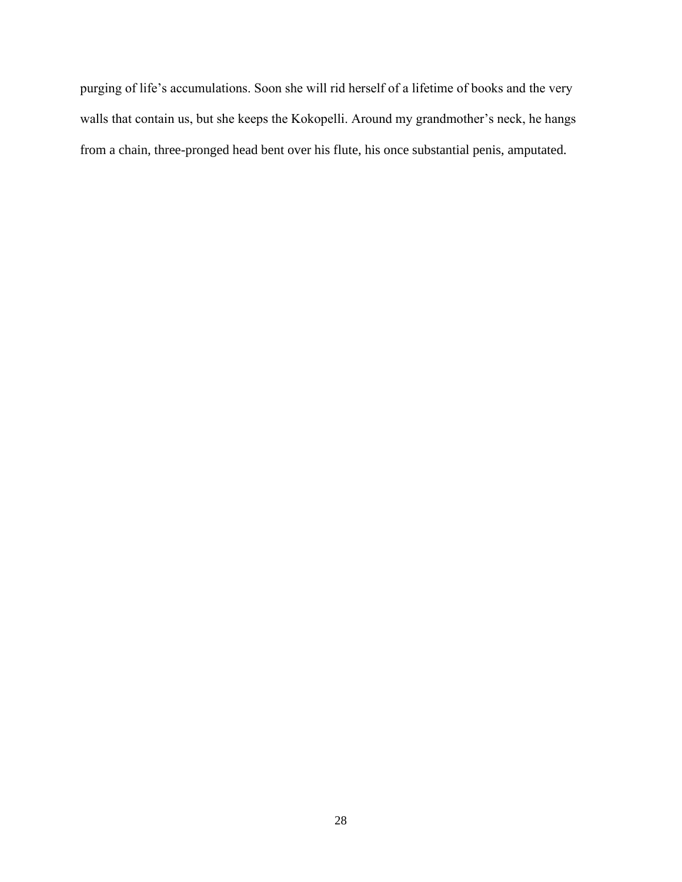purging of life's accumulations. Soon she will rid herself of a lifetime of books and the very walls that contain us, but she keeps the Kokopelli. Around my grandmother's neck, he hangs from a chain, three-pronged head bent over his flute, his once substantial penis, amputated.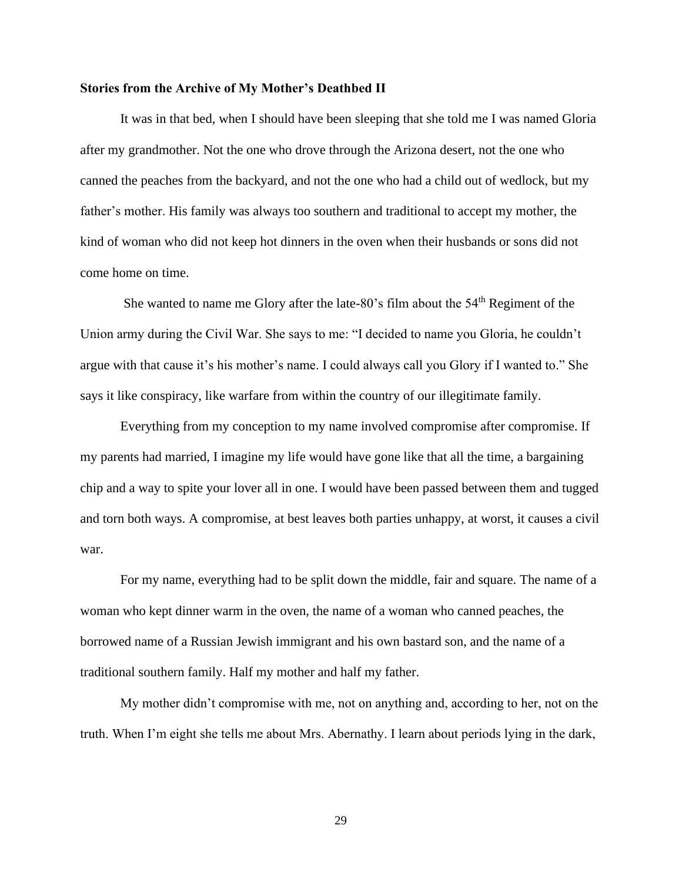#### **Stories from the Archive of My Mother's Deathbed II**

It was in that bed, when I should have been sleeping that she told me I was named Gloria after my grandmother. Not the one who drove through the Arizona desert, not the one who canned the peaches from the backyard, and not the one who had a child out of wedlock, but my father's mother. His family was always too southern and traditional to accept my mother, the kind of woman who did not keep hot dinners in the oven when their husbands or sons did not come home on time.

She wanted to name me Glory after the late-80's film about the 54th Regiment of the Union army during the Civil War. She says to me: "I decided to name you Gloria, he couldn't argue with that cause it's his mother's name. I could always call you Glory if I wanted to." She says it like conspiracy, like warfare from within the country of our illegitimate family.

Everything from my conception to my name involved compromise after compromise. If my parents had married, I imagine my life would have gone like that all the time, a bargaining chip and a way to spite your lover all in one. I would have been passed between them and tugged and torn both ways. A compromise, at best leaves both parties unhappy, at worst, it causes a civil war.

For my name, everything had to be split down the middle, fair and square. The name of a woman who kept dinner warm in the oven, the name of a woman who canned peaches, the borrowed name of a Russian Jewish immigrant and his own bastard son, and the name of a traditional southern family. Half my mother and half my father.

My mother didn't compromise with me, not on anything and, according to her, not on the truth. When I'm eight she tells me about Mrs. Abernathy. I learn about periods lying in the dark,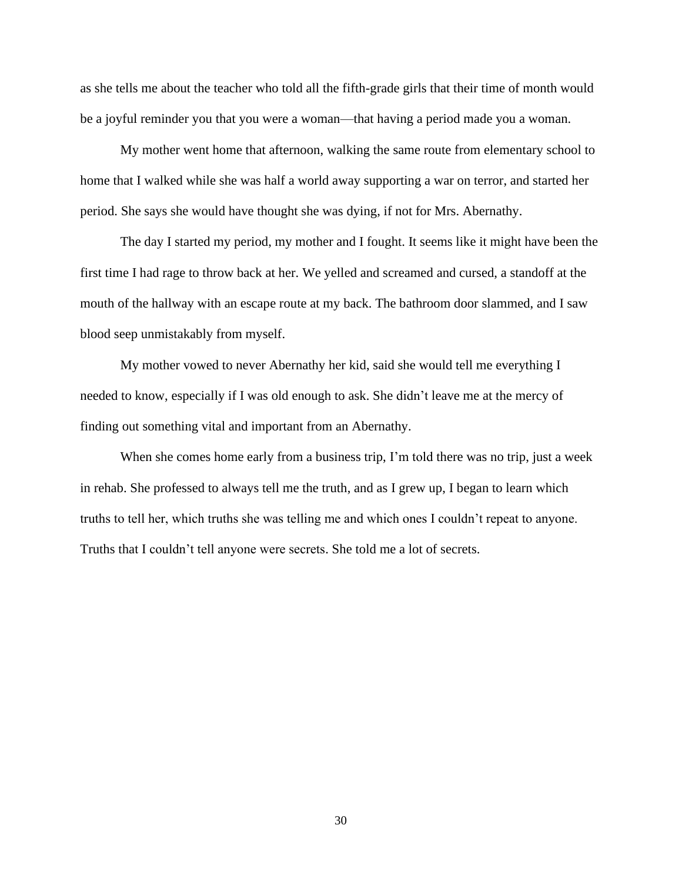as she tells me about the teacher who told all the fifth-grade girls that their time of month would be a joyful reminder you that you were a woman—that having a period made you a woman.

My mother went home that afternoon, walking the same route from elementary school to home that I walked while she was half a world away supporting a war on terror, and started her period. She says she would have thought she was dying, if not for Mrs. Abernathy.

The day I started my period, my mother and I fought. It seems like it might have been the first time I had rage to throw back at her. We yelled and screamed and cursed, a standoff at the mouth of the hallway with an escape route at my back. The bathroom door slammed, and I saw blood seep unmistakably from myself.

My mother vowed to never Abernathy her kid, said she would tell me everything I needed to know, especially if I was old enough to ask. She didn't leave me at the mercy of finding out something vital and important from an Abernathy.

When she comes home early from a business trip, I'm told there was no trip, just a week in rehab. She professed to always tell me the truth, and as I grew up, I began to learn which truths to tell her, which truths she was telling me and which ones I couldn't repeat to anyone. Truths that I couldn't tell anyone were secrets. She told me a lot of secrets.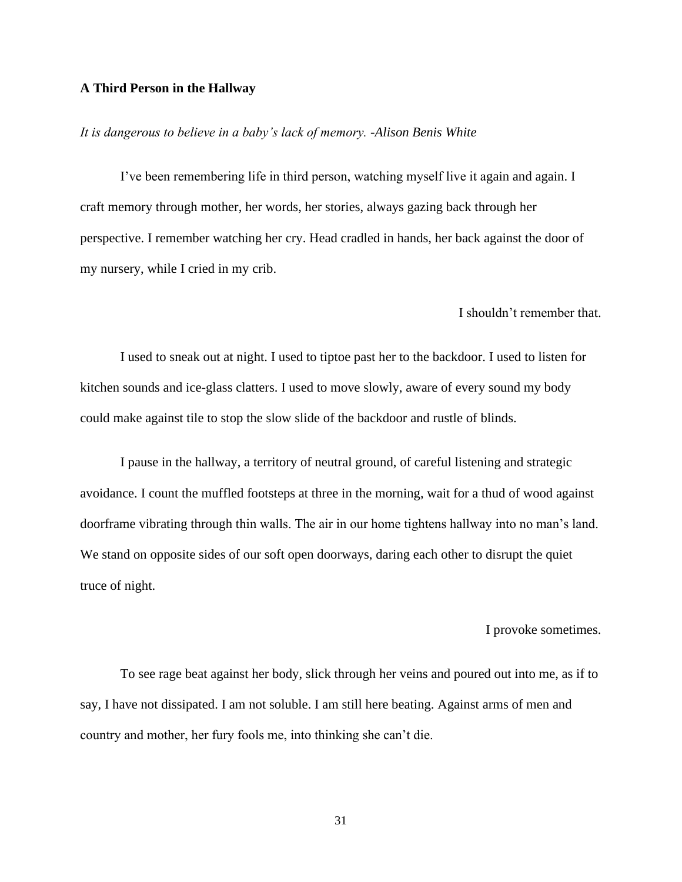## **A Third Person in the Hallway**

#### *It is dangerous to believe in a baby's lack of memory. -Alison Benis White*

I've been remembering life in third person, watching myself live it again and again. I craft memory through mother, her words, her stories, always gazing back through her perspective. I remember watching her cry. Head cradled in hands, her back against the door of my nursery, while I cried in my crib.

### I shouldn't remember that.

 I used to sneak out at night. I used to tiptoe past her to the backdoor. I used to listen for kitchen sounds and ice-glass clatters. I used to move slowly, aware of every sound my body could make against tile to stop the slow slide of the backdoor and rustle of blinds.

 I pause in the hallway, a territory of neutral ground, of careful listening and strategic avoidance. I count the muffled footsteps at three in the morning, wait for a thud of wood against doorframe vibrating through thin walls. The air in our home tightens hallway into no man's land. We stand on opposite sides of our soft open doorways, daring each other to disrupt the quiet truce of night.

#### I provoke sometimes.

 To see rage beat against her body, slick through her veins and poured out into me, as if to say, I have not dissipated. I am not soluble. I am still here beating. Against arms of men and country and mother, her fury fools me, into thinking she can't die.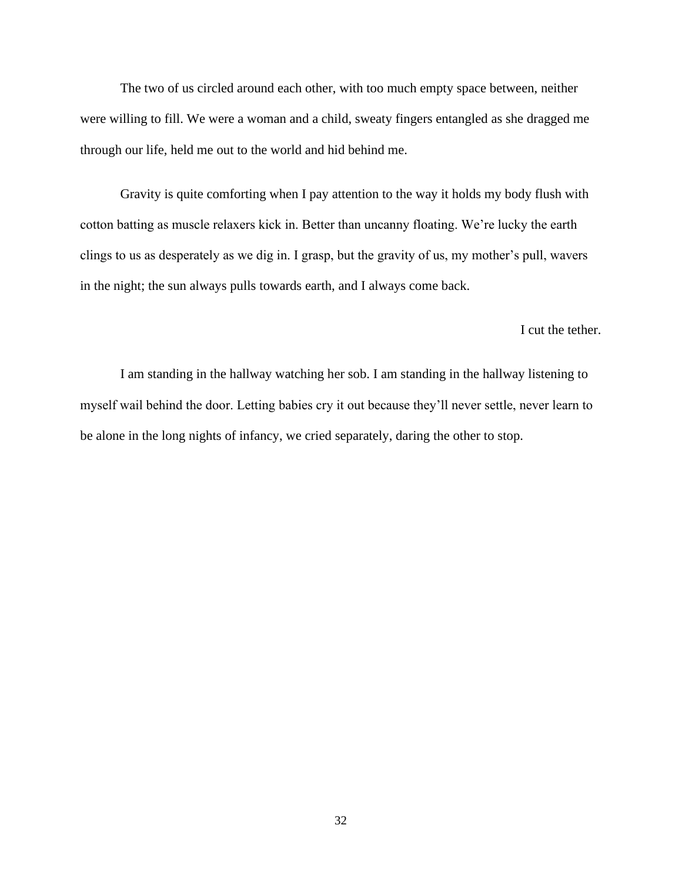The two of us circled around each other, with too much empty space between, neither were willing to fill. We were a woman and a child, sweaty fingers entangled as she dragged me through our life, held me out to the world and hid behind me.

Gravity is quite comforting when I pay attention to the way it holds my body flush with cotton batting as muscle relaxers kick in. Better than uncanny floating. We're lucky the earth clings to us as desperately as we dig in. I grasp, but the gravity of us, my mother's pull, wavers in the night; the sun always pulls towards earth, and I always come back.

I cut the tether.

I am standing in the hallway watching her sob. I am standing in the hallway listening to myself wail behind the door. Letting babies cry it out because they'll never settle, never learn to be alone in the long nights of infancy, we cried separately, daring the other to stop.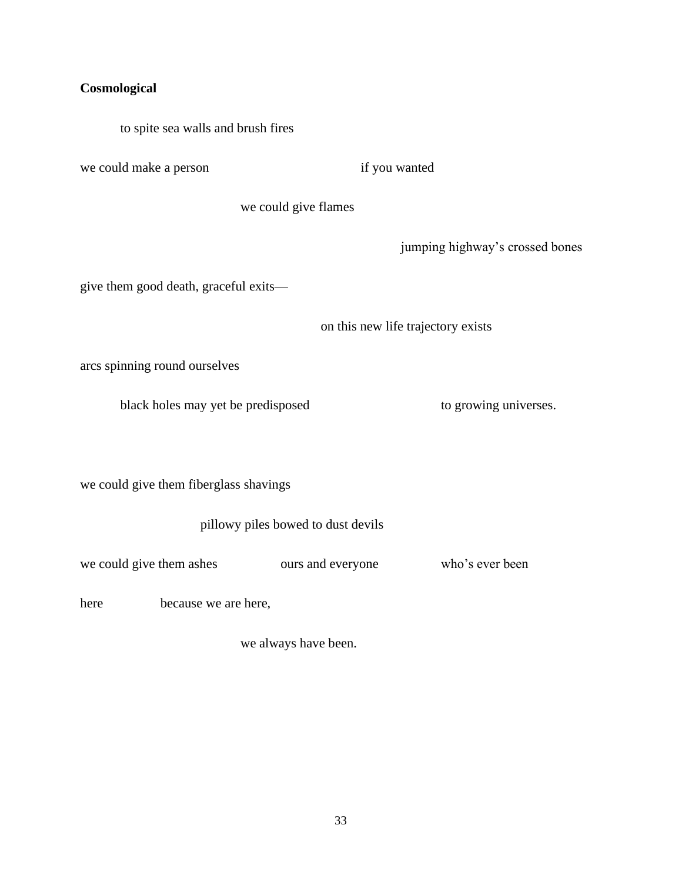# **Cosmological**

to spite sea walls and brush fires

we could make a person if you wanted

we could give flames

jumping highway's crossed bones

give them good death, graceful exits—

on this new life trajectory exists

arcs spinning round ourselves

black holes may yet be predisposed to growing universes.

we could give them fiberglass shavings

pillowy piles bowed to dust devils

we could give them ashes ours and everyone who's ever been

here because we are here,

we always have been.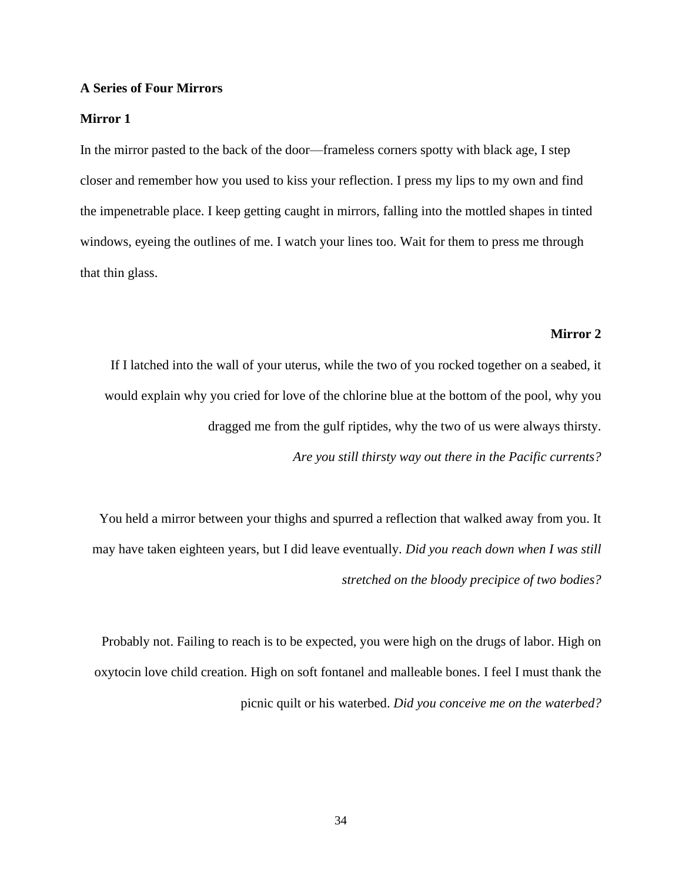## **A Series of Four Mirrors**

#### **Mirror 1**

In the mirror pasted to the back of the door—frameless corners spotty with black age, I step closer and remember how you used to kiss your reflection. I press my lips to my own and find the impenetrable place. I keep getting caught in mirrors, falling into the mottled shapes in tinted windows, eyeing the outlines of me. I watch your lines too. Wait for them to press me through that thin glass.

## **Mirror 2**

If I latched into the wall of your uterus, while the two of you rocked together on a seabed, it would explain why you cried for love of the chlorine blue at the bottom of the pool, why you dragged me from the gulf riptides, why the two of us were always thirsty. *Are you still thirsty way out there in the Pacific currents?*

You held a mirror between your thighs and spurred a reflection that walked away from you. It may have taken eighteen years, but I did leave eventually. *Did you reach down when I was still stretched on the bloody precipice of two bodies?*

Probably not. Failing to reach is to be expected, you were high on the drugs of labor. High on oxytocin love child creation. High on soft fontanel and malleable bones. I feel I must thank the picnic quilt or his waterbed. *Did you conceive me on the waterbed?*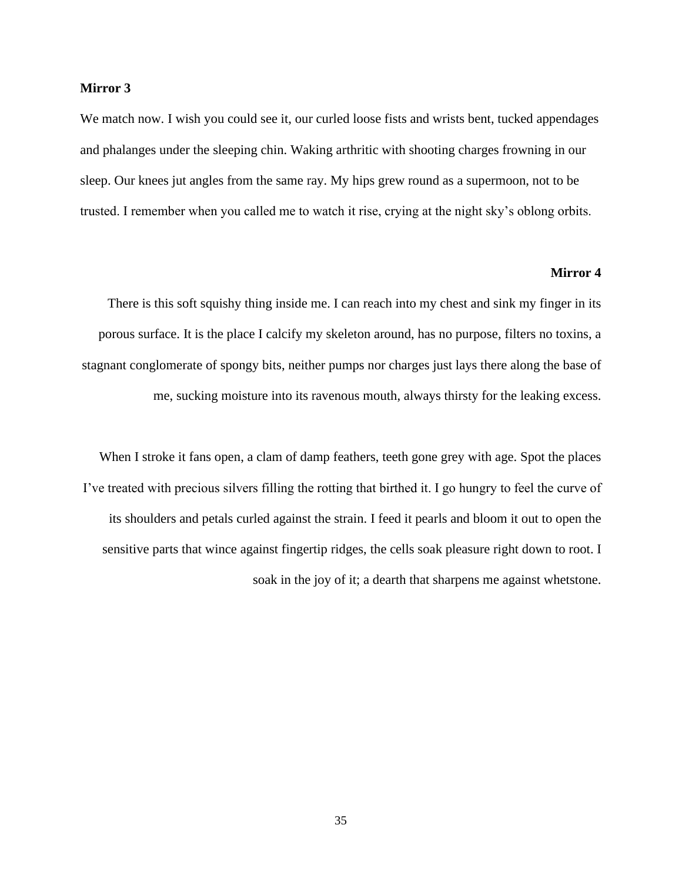## **Mirror 3**

We match now. I wish you could see it, our curled loose fists and wrists bent, tucked appendages and phalanges under the sleeping chin. Waking arthritic with shooting charges frowning in our sleep. Our knees jut angles from the same ray. My hips grew round as a supermoon, not to be trusted. I remember when you called me to watch it rise, crying at the night sky's oblong orbits.

## **Mirror 4**

There is this soft squishy thing inside me. I can reach into my chest and sink my finger in its porous surface. It is the place I calcify my skeleton around, has no purpose, filters no toxins, a stagnant conglomerate of spongy bits, neither pumps nor charges just lays there along the base of me, sucking moisture into its ravenous mouth, always thirsty for the leaking excess.

When I stroke it fans open, a clam of damp feathers, teeth gone grey with age. Spot the places I've treated with precious silvers filling the rotting that birthed it. I go hungry to feel the curve of its shoulders and petals curled against the strain. I feed it pearls and bloom it out to open the sensitive parts that wince against fingertip ridges, the cells soak pleasure right down to root. I soak in the joy of it; a dearth that sharpens me against whetstone.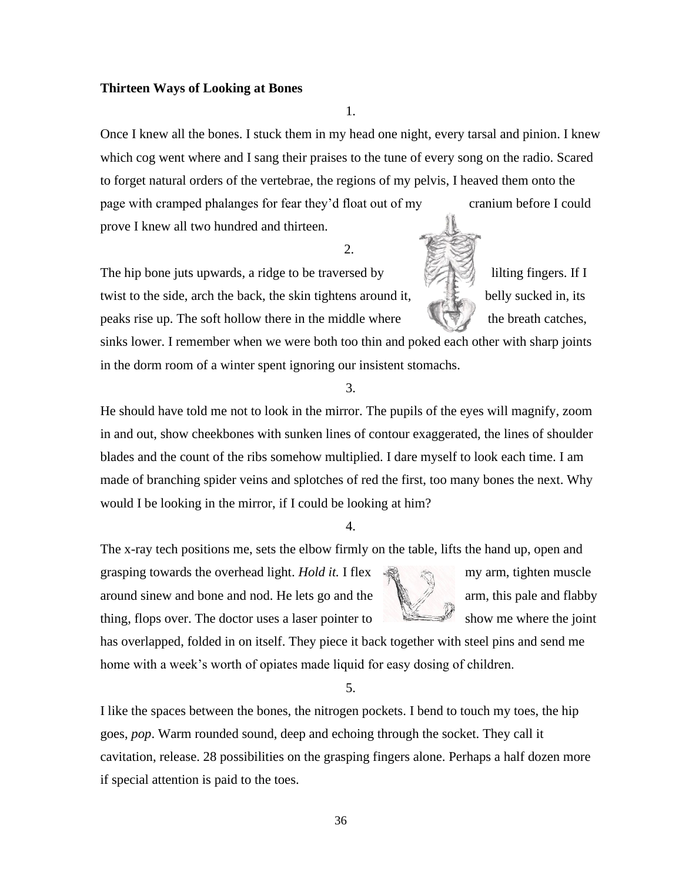## **Thirteen Ways of Looking at Bones**

1.

Once I knew all the bones. I stuck them in my head one night, every tarsal and pinion. I knew which cog went where and I sang their praises to the tune of every song on the radio. Scared to forget natural orders of the vertebrae, the regions of my pelvis, I heaved them onto the page with cramped phalanges for fear they'd float out of my cranium before I could prove I knew all two hundred and thirteen.

2.

The hip bone juts upwards, a ridge to be traversed by lilting fingers. If I twist to the side, arch the back, the skin tightens around it, belly sucked in, its peaks rise up. The soft hollow there in the middle where  $\mathbb{R}$  the breath catches,

sinks lower. I remember when we were both too thin and poked each other with sharp joints in the dorm room of a winter spent ignoring our insistent stomachs.

3.

He should have told me not to look in the mirror. The pupils of the eyes will magnify, zoom in and out, show cheekbones with sunken lines of contour exaggerated, the lines of shoulder blades and the count of the ribs somehow multiplied. I dare myself to look each time. I am made of branching spider veins and splotches of red the first, too many bones the next. Why would I be looking in the mirror, if I could be looking at him?

4.

The x-ray tech positions me, sets the elbow firmly on the table, lifts the hand up, open and

grasping towards the overhead light. *Hold it*. I flex  $\mathbb{R}$  my arm, tighten muscle around sinew and bone and nod. He lets go and the  $\Box$  arm, this pale and flabby thing, flops over. The doctor uses a laser pointer to show me where the joint



has overlapped, folded in on itself. They piece it back together with steel pins and send me home with a week's worth of opiates made liquid for easy dosing of children.

5.

I like the spaces between the bones, the nitrogen pockets. I bend to touch my toes, the hip goes, *pop*. Warm rounded sound, deep and echoing through the socket. They call it cavitation, release. 28 possibilities on the grasping fingers alone. Perhaps a half dozen more if special attention is paid to the toes.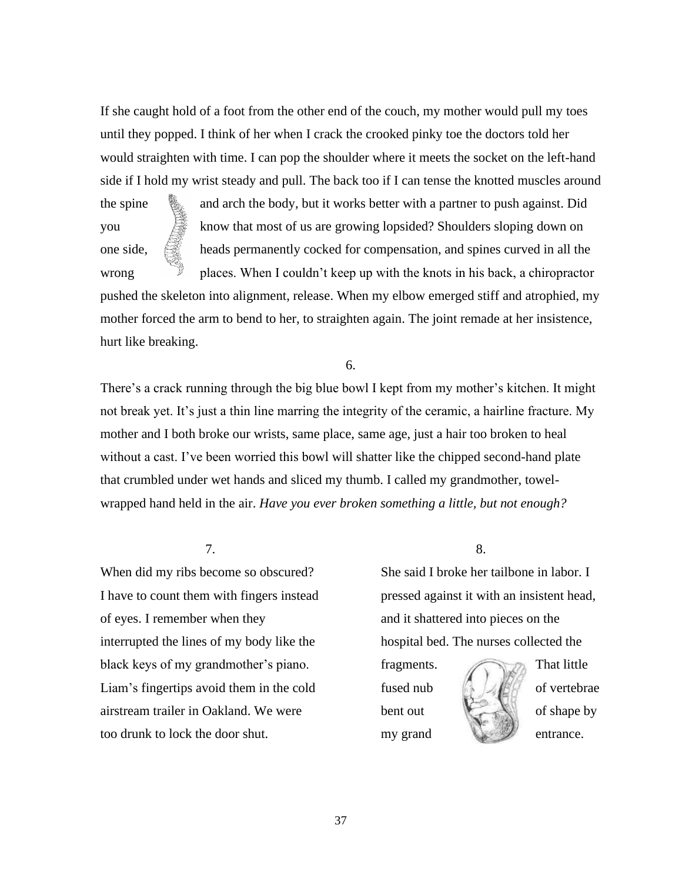If she caught hold of a foot from the other end of the couch, my mother would pull my toes until they popped. I think of her when I crack the crooked pinky toe the doctors told her would straighten with time. I can pop the shoulder where it meets the socket on the left-hand side if I hold my wrist steady and pull. The back too if I can tense the knotted muscles around

the spine and arch the body, but it works better with a partner to push against. Did you know that most of us are growing lopsided? Shoulders sloping down on one side,  $\frac{1}{2}$  heads permanently cocked for compensation, and spines curved in all the wrong  $\mathbb{F}$  places. When I couldn't keep up with the knots in his back, a chiropractor pushed the skeleton into alignment, release. When my elbow emerged stiff and atrophied, my mother forced the arm to bend to her, to straighten again. The joint remade at her insistence, hurt like breaking.

6.

There's a crack running through the big blue bowl I kept from my mother's kitchen. It might not break yet. It's just a thin line marring the integrity of the ceramic, a hairline fracture. My mother and I both broke our wrists, same place, same age, just a hair too broken to heal without a cast. I've been worried this bowl will shatter like the chipped second-hand plate that crumbled under wet hands and sliced my thumb. I called my grandmother, towelwrapped hand held in the air. *Have you ever broken something a little, but not enough?*

7.

When did my ribs become so obscured? I have to count them with fingers instead of eyes. I remember when they interrupted the lines of my body like the black keys of my grandmother's piano. Liam's fingertips avoid them in the cold airstream trailer in Oakland. We were too drunk to lock the door shut.

8.

She said I broke her tailbone in labor. I pressed against it with an insistent head, and it shattered into pieces on the hospital bed. The nurses collected the

fragments. That little my grand entrance.

fused nub **the set of vertebrac** bent out of shape by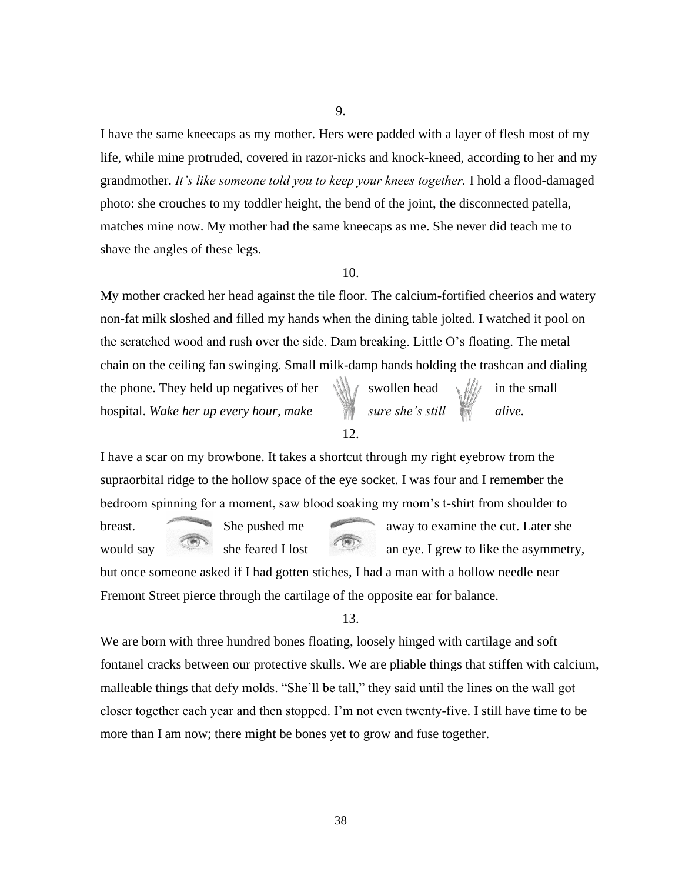I have the same kneecaps as my mother. Hers were padded with a layer of flesh most of my life, while mine protruded, covered in razor-nicks and knock-kneed, according to her and my grandmother. *It's like someone told you to keep your knees together.* I hold a flood-damaged photo: she crouches to my toddler height, the bend of the joint, the disconnected patella, matches mine now. My mother had the same kneecaps as me. She never did teach me to shave the angles of these legs.

10.

My mother cracked her head against the tile floor. The calcium-fortified cheerios and watery non-fat milk sloshed and filled my hands when the dining table jolted. I watched it pool on the scratched wood and rush over the side. Dam breaking. Little O's floating. The metal chain on the ceiling fan swinging. Small milk-damp hands holding the trashcan and dialing the phone. They held up negatives of her  $\frac{1}{100}$  swollen head  $\frac{1}{100}$  in the small hospital. Wake her up every hour, make sure she's still alive.

## 12.

I have a scar on my browbone. It takes a shortcut through my right eyebrow from the supraorbital ridge to the hollow space of the eye socket. I was four and I remember the bedroom spinning for a moment, saw blood soaking my mom's t-shirt from shoulder to

breast. She pushed me away to examine the cut. Later she would say she feared I lost an eye. I grew to like the asymmetry,

but once someone asked if I had gotten stiches, I had a man with a hollow needle near Fremont Street pierce through the cartilage of the opposite ear for balance.

## 13.

We are born with three hundred bones floating, loosely hinged with cartilage and soft fontanel cracks between our protective skulls. We are pliable things that stiffen with calcium, malleable things that defy molds. "She'll be tall," they said until the lines on the wall got closer together each year and then stopped. I'm not even twenty-five. I still have time to be more than I am now; there might be bones yet to grow and fuse together.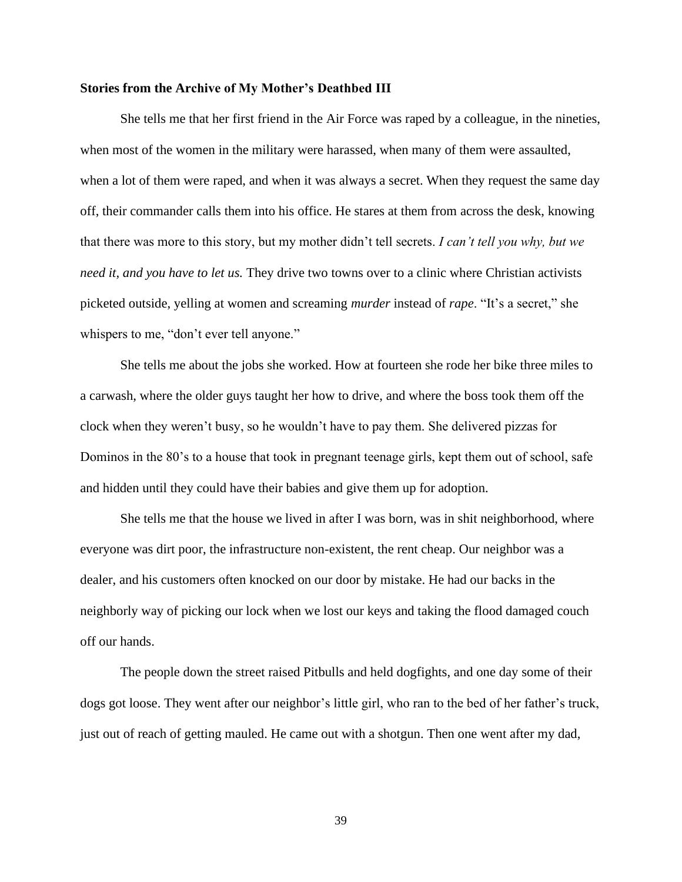#### **Stories from the Archive of My Mother's Deathbed III**

She tells me that her first friend in the Air Force was raped by a colleague, in the nineties, when most of the women in the military were harassed, when many of them were assaulted, when a lot of them were raped, and when it was always a secret. When they request the same day off, their commander calls them into his office. He stares at them from across the desk, knowing that there was more to this story, but my mother didn't tell secrets. *I can't tell you why, but we need it, and you have to let us.* They drive two towns over to a clinic where Christian activists picketed outside, yelling at women and screaming *murder* instead of *rape*. "It's a secret," she whispers to me, "don't ever tell anyone."

She tells me about the jobs she worked. How at fourteen she rode her bike three miles to a carwash, where the older guys taught her how to drive, and where the boss took them off the clock when they weren't busy, so he wouldn't have to pay them. She delivered pizzas for Dominos in the 80's to a house that took in pregnant teenage girls, kept them out of school, safe and hidden until they could have their babies and give them up for adoption.

She tells me that the house we lived in after I was born, was in shit neighborhood, where everyone was dirt poor, the infrastructure non-existent, the rent cheap. Our neighbor was a dealer, and his customers often knocked on our door by mistake. He had our backs in the neighborly way of picking our lock when we lost our keys and taking the flood damaged couch off our hands.

The people down the street raised Pitbulls and held dogfights, and one day some of their dogs got loose. They went after our neighbor's little girl, who ran to the bed of her father's truck, just out of reach of getting mauled. He came out with a shotgun. Then one went after my dad,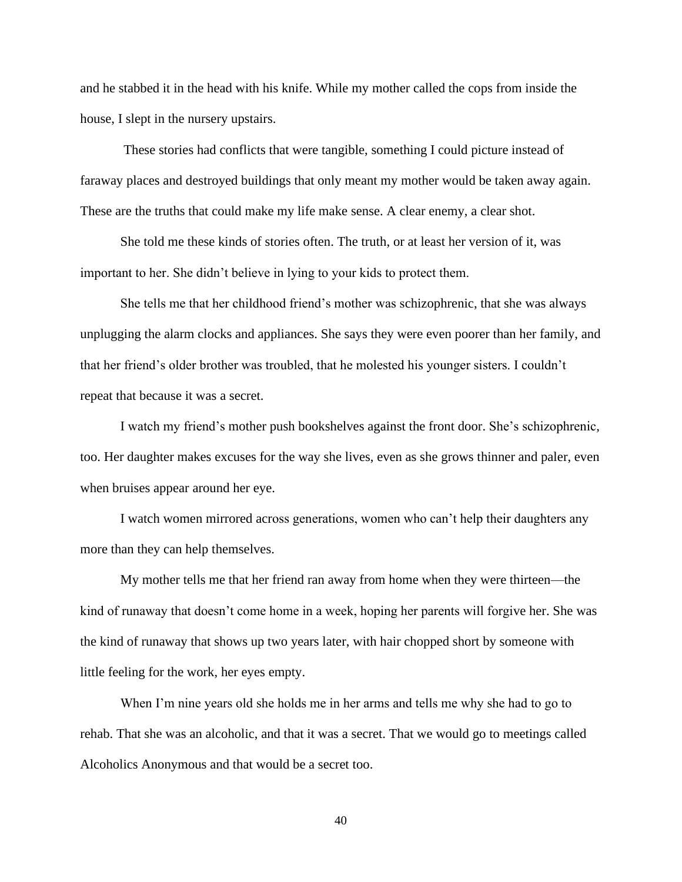and he stabbed it in the head with his knife. While my mother called the cops from inside the house, I slept in the nursery upstairs.

These stories had conflicts that were tangible, something I could picture instead of faraway places and destroyed buildings that only meant my mother would be taken away again. These are the truths that could make my life make sense. A clear enemy, a clear shot.

She told me these kinds of stories often. The truth, or at least her version of it, was important to her. She didn't believe in lying to your kids to protect them.

She tells me that her childhood friend's mother was schizophrenic, that she was always unplugging the alarm clocks and appliances. She says they were even poorer than her family, and that her friend's older brother was troubled, that he molested his younger sisters. I couldn't repeat that because it was a secret.

I watch my friend's mother push bookshelves against the front door. She's schizophrenic, too. Her daughter makes excuses for the way she lives, even as she grows thinner and paler, even when bruises appear around her eye.

I watch women mirrored across generations, women who can't help their daughters any more than they can help themselves.

My mother tells me that her friend ran away from home when they were thirteen—the kind of runaway that doesn't come home in a week, hoping her parents will forgive her. She was the kind of runaway that shows up two years later, with hair chopped short by someone with little feeling for the work, her eyes empty.

When I'm nine years old she holds me in her arms and tells me why she had to go to rehab. That she was an alcoholic, and that it was a secret. That we would go to meetings called Alcoholics Anonymous and that would be a secret too.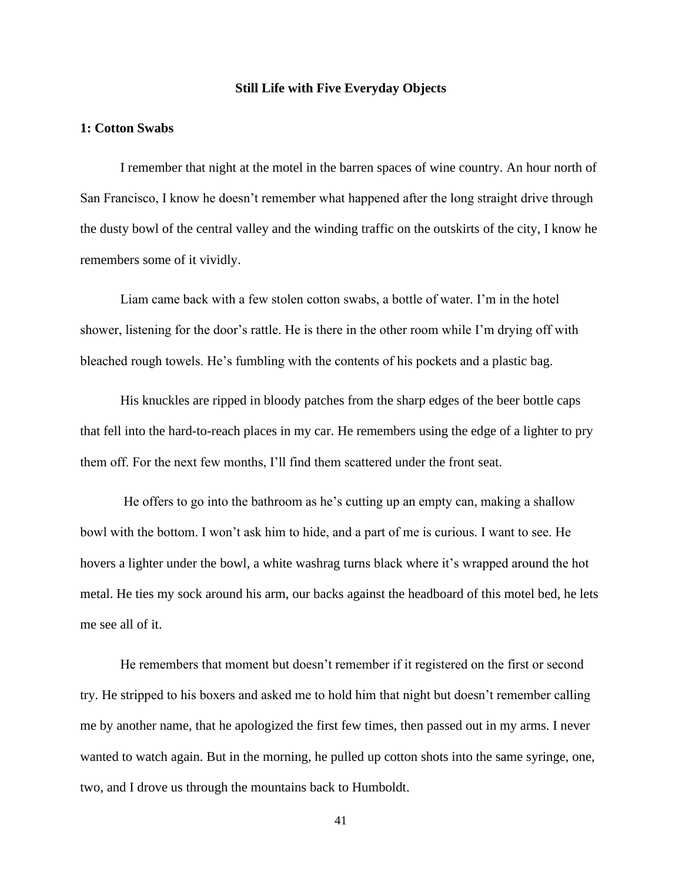## **Still Life with Five Everyday Objects**

### **1: Cotton Swabs**

I remember that night at the motel in the barren spaces of wine country. An hour north of San Francisco, I know he doesn't remember what happened after the long straight drive through the dusty bowl of the central valley and the winding traffic on the outskirts of the city, I know he remembers some of it vividly.

Liam came back with a few stolen cotton swabs, a bottle of water. I'm in the hotel shower, listening for the door's rattle. He is there in the other room while I'm drying off with bleached rough towels. He's fumbling with the contents of his pockets and a plastic bag.

His knuckles are ripped in bloody patches from the sharp edges of the beer bottle caps that fell into the hard-to-reach places in my car. He remembers using the edge of a lighter to pry them off. For the next few months, I'll find them scattered under the front seat.

He offers to go into the bathroom as he's cutting up an empty can, making a shallow bowl with the bottom. I won't ask him to hide, and a part of me is curious. I want to see. He hovers a lighter under the bowl, a white washrag turns black where it's wrapped around the hot metal. He ties my sock around his arm, our backs against the headboard of this motel bed, he lets me see all of it.

He remembers that moment but doesn't remember if it registered on the first or second try. He stripped to his boxers and asked me to hold him that night but doesn't remember calling me by another name, that he apologized the first few times, then passed out in my arms. I never wanted to watch again. But in the morning, he pulled up cotton shots into the same syringe, one, two, and I drove us through the mountains back to Humboldt.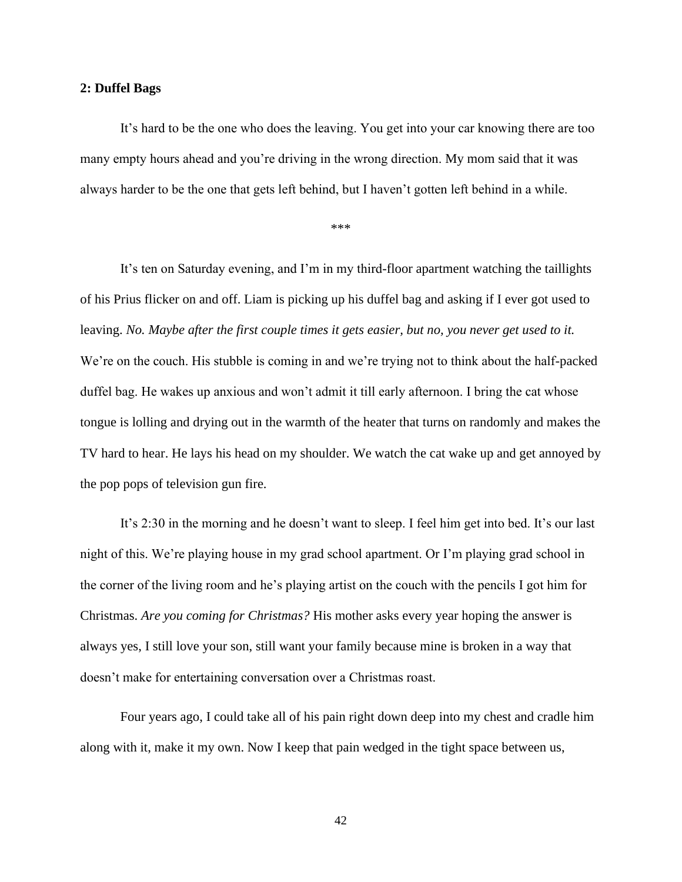## **2: Duffel Bags**

It's hard to be the one who does the leaving. You get into your car knowing there are too many empty hours ahead and you're driving in the wrong direction. My mom said that it was always harder to be the one that gets left behind, but I haven't gotten left behind in a while.

\*\*\*

It's ten on Saturday evening, and I'm in my third-floor apartment watching the taillights of his Prius flicker on and off. Liam is picking up his duffel bag and asking if I ever got used to leaving. *No. Maybe after the first couple times it gets easier, but no, you never get used to it.* We're on the couch. His stubble is coming in and we're trying not to think about the half-packed duffel bag. He wakes up anxious and won't admit it till early afternoon. I bring the cat whose tongue is lolling and drying out in the warmth of the heater that turns on randomly and makes the TV hard to hear. He lays his head on my shoulder. We watch the cat wake up and get annoyed by the pop pops of television gun fire.

It's 2:30 in the morning and he doesn't want to sleep. I feel him get into bed. It's our last night of this. We're playing house in my grad school apartment. Or I'm playing grad school in the corner of the living room and he's playing artist on the couch with the pencils I got him for Christmas. *Are you coming for Christmas?* His mother asks every year hoping the answer is always yes, I still love your son, still want your family because mine is broken in a way that doesn't make for entertaining conversation over a Christmas roast.

Four years ago, I could take all of his pain right down deep into my chest and cradle him along with it, make it my own. Now I keep that pain wedged in the tight space between us,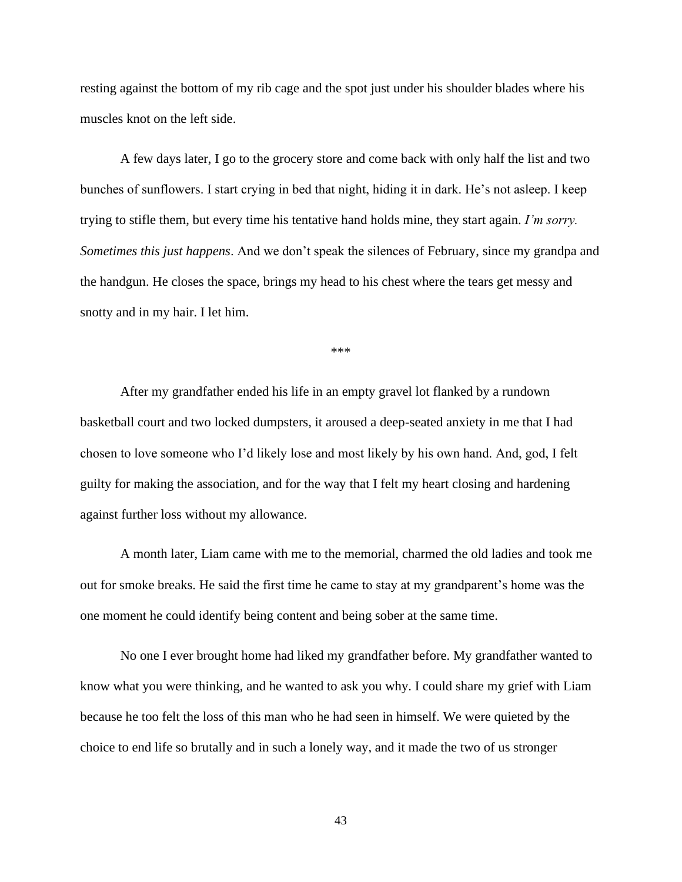resting against the bottom of my rib cage and the spot just under his shoulder blades where his muscles knot on the left side.

A few days later, I go to the grocery store and come back with only half the list and two bunches of sunflowers. I start crying in bed that night, hiding it in dark. He's not asleep. I keep trying to stifle them, but every time his tentative hand holds mine, they start again. *I'm sorry. Sometimes this just happens*. And we don't speak the silences of February, since my grandpa and the handgun. He closes the space, brings my head to his chest where the tears get messy and snotty and in my hair. I let him.

\*\*\*

After my grandfather ended his life in an empty gravel lot flanked by a rundown basketball court and two locked dumpsters, it aroused a deep-seated anxiety in me that I had chosen to love someone who I'd likely lose and most likely by his own hand. And, god, I felt guilty for making the association, and for the way that I felt my heart closing and hardening against further loss without my allowance.

A month later, Liam came with me to the memorial, charmed the old ladies and took me out for smoke breaks. He said the first time he came to stay at my grandparent's home was the one moment he could identify being content and being sober at the same time.

No one I ever brought home had liked my grandfather before. My grandfather wanted to know what you were thinking, and he wanted to ask you why. I could share my grief with Liam because he too felt the loss of this man who he had seen in himself. We were quieted by the choice to end life so brutally and in such a lonely way, and it made the two of us stronger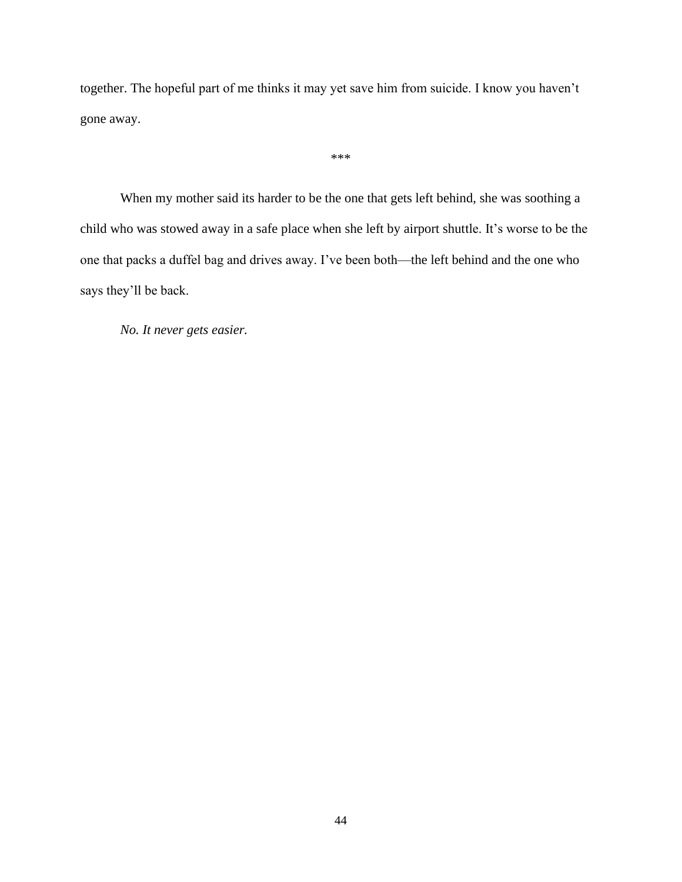together. The hopeful part of me thinks it may yet save him from suicide. I know you haven't gone away.

\*\*\*

When my mother said its harder to be the one that gets left behind, she was soothing a child who was stowed away in a safe place when she left by airport shuttle. It's worse to be the one that packs a duffel bag and drives away. I've been both—the left behind and the one who says they'll be back.

*No. It never gets easier.*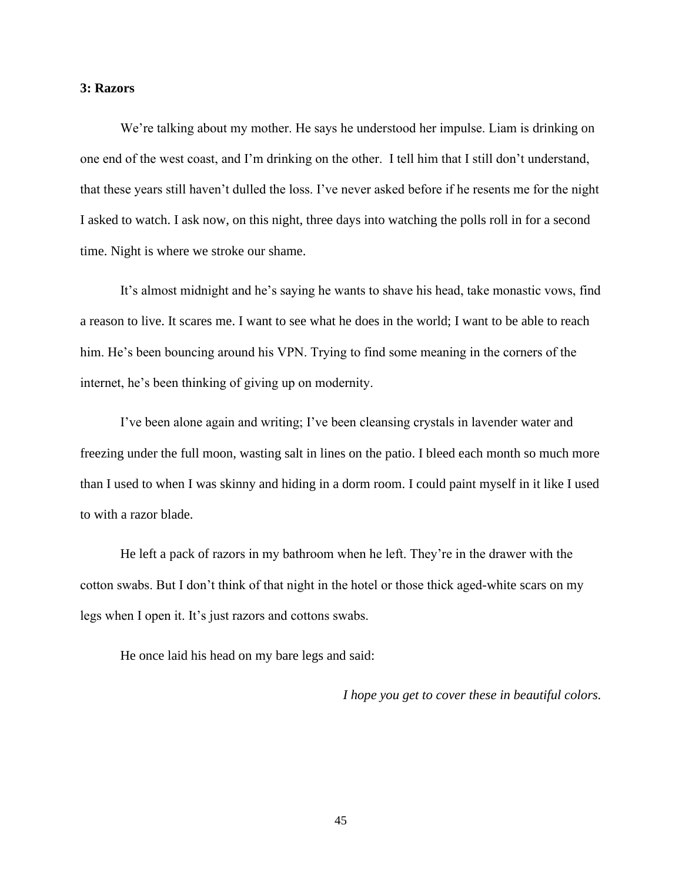## **3: Razors**

We're talking about my mother. He says he understood her impulse. Liam is drinking on one end of the west coast, and I'm drinking on the other. I tell him that I still don't understand, that these years still haven't dulled the loss. I've never asked before if he resents me for the night I asked to watch. I ask now, on this night, three days into watching the polls roll in for a second time. Night is where we stroke our shame.

It's almost midnight and he's saying he wants to shave his head, take monastic vows, find a reason to live. It scares me. I want to see what he does in the world; I want to be able to reach him. He's been bouncing around his VPN. Trying to find some meaning in the corners of the internet, he's been thinking of giving up on modernity.

I've been alone again and writing; I've been cleansing crystals in lavender water and freezing under the full moon, wasting salt in lines on the patio. I bleed each month so much more than I used to when I was skinny and hiding in a dorm room. I could paint myself in it like I used to with a razor blade.

He left a pack of razors in my bathroom when he left. They're in the drawer with the cotton swabs. But I don't think of that night in the hotel or those thick aged-white scars on my legs when I open it. It's just razors and cottons swabs.

He once laid his head on my bare legs and said:

*I hope you get to cover these in beautiful colors.*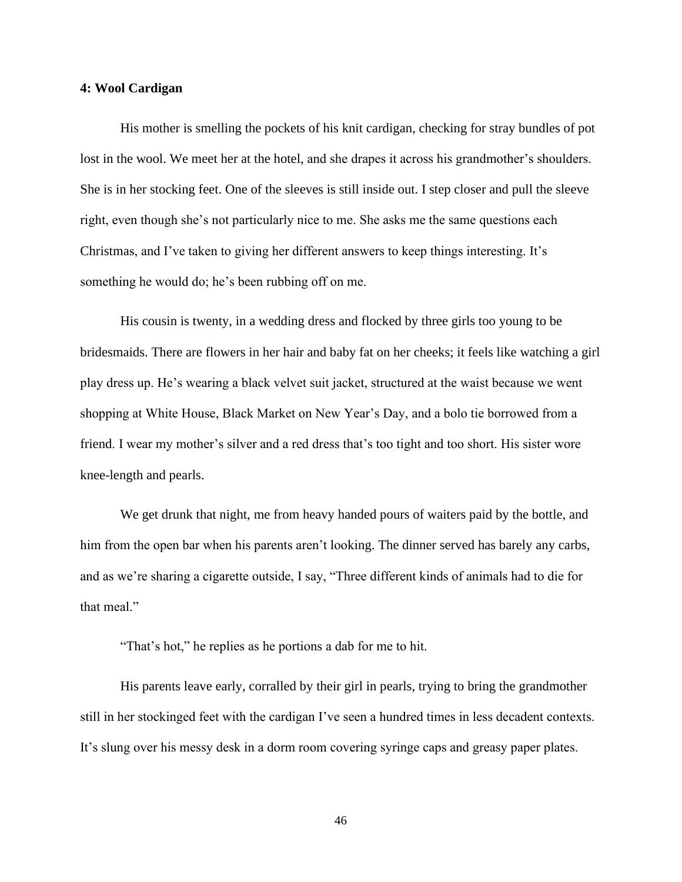## **4: Wool Cardigan**

His mother is smelling the pockets of his knit cardigan, checking for stray bundles of pot lost in the wool. We meet her at the hotel, and she drapes it across his grandmother's shoulders. She is in her stocking feet. One of the sleeves is still inside out. I step closer and pull the sleeve right, even though she's not particularly nice to me. She asks me the same questions each Christmas, and I've taken to giving her different answers to keep things interesting. It's something he would do; he's been rubbing off on me.

His cousin is twenty, in a wedding dress and flocked by three girls too young to be bridesmaids. There are flowers in her hair and baby fat on her cheeks; it feels like watching a girl play dress up. He's wearing a black velvet suit jacket, structured at the waist because we went shopping at White House, Black Market on New Year's Day, and a bolo tie borrowed from a friend. I wear my mother's silver and a red dress that's too tight and too short. His sister wore knee-length and pearls.

We get drunk that night, me from heavy handed pours of waiters paid by the bottle, and him from the open bar when his parents aren't looking. The dinner served has barely any carbs, and as we're sharing a cigarette outside, I say, "Three different kinds of animals had to die for that meal."

"That's hot," he replies as he portions a dab for me to hit.

His parents leave early, corralled by their girl in pearls, trying to bring the grandmother still in her stockinged feet with the cardigan I've seen a hundred times in less decadent contexts. It's slung over his messy desk in a dorm room covering syringe caps and greasy paper plates.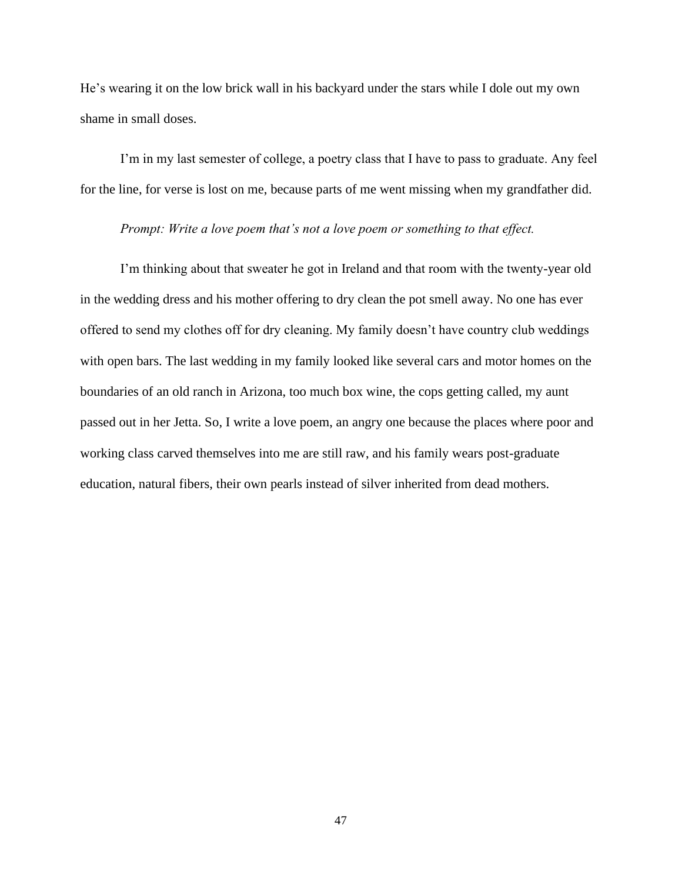He's wearing it on the low brick wall in his backyard under the stars while I dole out my own shame in small doses.

I'm in my last semester of college, a poetry class that I have to pass to graduate. Any feel for the line, for verse is lost on me, because parts of me went missing when my grandfather did.

## *Prompt: Write a love poem that's not a love poem or something to that effect.*

I'm thinking about that sweater he got in Ireland and that room with the twenty-year old in the wedding dress and his mother offering to dry clean the pot smell away. No one has ever offered to send my clothes off for dry cleaning. My family doesn't have country club weddings with open bars. The last wedding in my family looked like several cars and motor homes on the boundaries of an old ranch in Arizona, too much box wine, the cops getting called, my aunt passed out in her Jetta. So, I write a love poem, an angry one because the places where poor and working class carved themselves into me are still raw, and his family wears post-graduate education, natural fibers, their own pearls instead of silver inherited from dead mothers.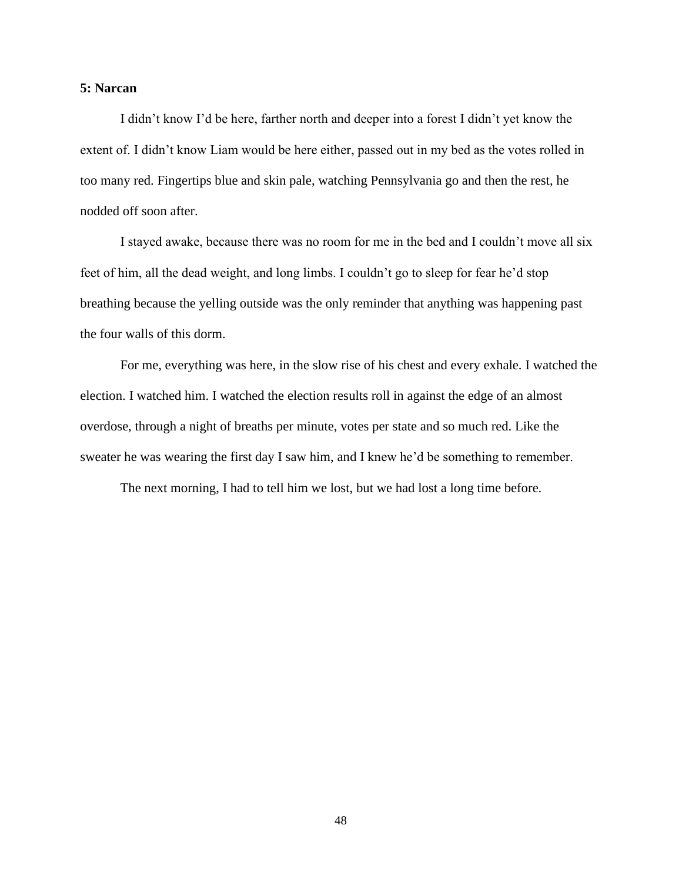## **5: Narcan**

I didn't know I'd be here, farther north and deeper into a forest I didn't yet know the extent of. I didn't know Liam would be here either, passed out in my bed as the votes rolled in too many red. Fingertips blue and skin pale, watching Pennsylvania go and then the rest, he nodded off soon after.

I stayed awake, because there was no room for me in the bed and I couldn't move all six feet of him, all the dead weight, and long limbs. I couldn't go to sleep for fear he'd stop breathing because the yelling outside was the only reminder that anything was happening past the four walls of this dorm.

For me, everything was here, in the slow rise of his chest and every exhale. I watched the election. I watched him. I watched the election results roll in against the edge of an almost overdose, through a night of breaths per minute, votes per state and so much red. Like the sweater he was wearing the first day I saw him, and I knew he'd be something to remember.

The next morning, I had to tell him we lost, but we had lost a long time before.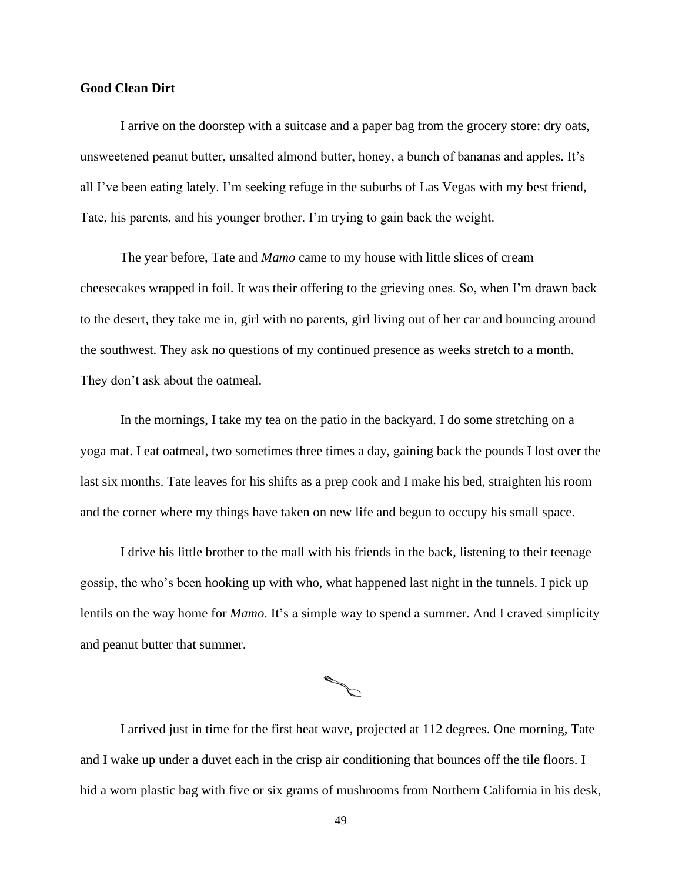## **Good Clean Dirt**

I arrive on the doorstep with a suitcase and a paper bag from the grocery store: dry oats, unsweetened peanut butter, unsalted almond butter, honey, a bunch of bananas and apples. It's all I've been eating lately. I'm seeking refuge in the suburbs of Las Vegas with my best friend, Tate, his parents, and his younger brother. I'm trying to gain back the weight.

The year before, Tate and *Mamo* came to my house with little slices of cream cheesecakes wrapped in foil. It was their offering to the grieving ones. So, when I'm drawn back to the desert, they take me in, girl with no parents, girl living out of her car and bouncing around the southwest. They ask no questions of my continued presence as weeks stretch to a month. They don't ask about the oatmeal.

In the mornings, I take my tea on the patio in the backyard. I do some stretching on a yoga mat. I eat oatmeal, two sometimes three times a day, gaining back the pounds I lost over the last six months. Tate leaves for his shifts as a prep cook and I make his bed, straighten his room and the corner where my things have taken on new life and begun to occupy his small space.

I drive his little brother to the mall with his friends in the back, listening to their teenage gossip, the who's been hooking up with who, what happened last night in the tunnels. I pick up lentils on the way home for *Mamo*. It's a simple way to spend a summer. And I craved simplicity and peanut butter that summer.

I arrived just in time for the first heat wave, projected at 112 degrees. One morning, Tate and I wake up under a duvet each in the crisp air conditioning that bounces off the tile floors. I hid a worn plastic bag with five or six grams of mushrooms from Northern California in his desk,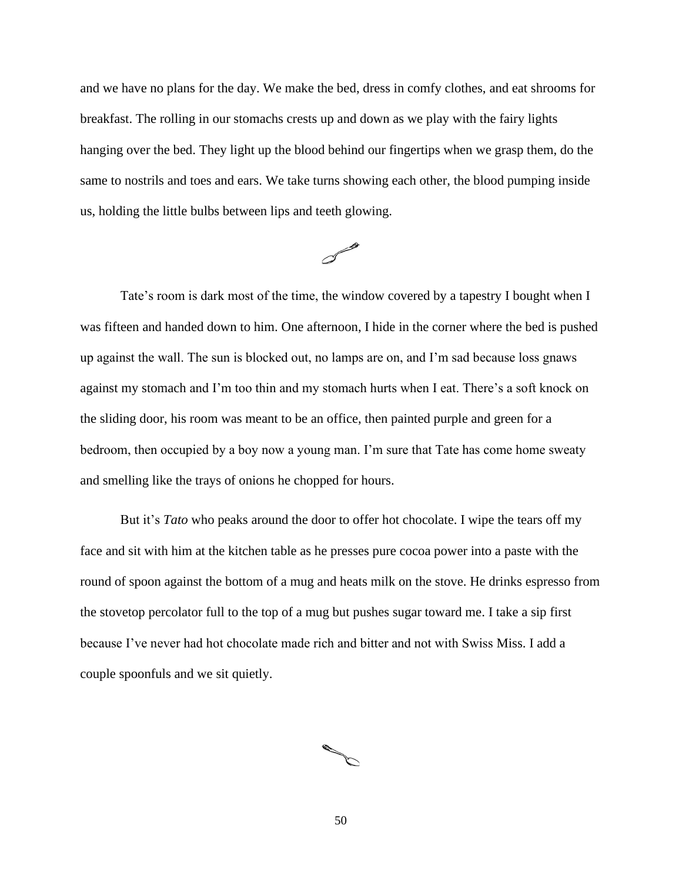and we have no plans for the day. We make the bed, dress in comfy clothes, and eat shrooms for breakfast. The rolling in our stomachs crests up and down as we play with the fairy lights hanging over the bed. They light up the blood behind our fingertips when we grasp them, do the same to nostrils and toes and ears. We take turns showing each other, the blood pumping inside us, holding the little bulbs between lips and teeth glowing.



Tate's room is dark most of the time, the window covered by a tapestry I bought when I was fifteen and handed down to him. One afternoon, I hide in the corner where the bed is pushed up against the wall. The sun is blocked out, no lamps are on, and I'm sad because loss gnaws against my stomach and I'm too thin and my stomach hurts when I eat. There's a soft knock on the sliding door, his room was meant to be an office, then painted purple and green for a bedroom, then occupied by a boy now a young man. I'm sure that Tate has come home sweaty and smelling like the trays of onions he chopped for hours.

But it's *Tato* who peaks around the door to offer hot chocolate. I wipe the tears off my face and sit with him at the kitchen table as he presses pure cocoa power into a paste with the round of spoon against the bottom of a mug and heats milk on the stove. He drinks espresso from the stovetop percolator full to the top of a mug but pushes sugar toward me. I take a sip first because I've never had hot chocolate made rich and bitter and not with Swiss Miss. I add a couple spoonfuls and we sit quietly.

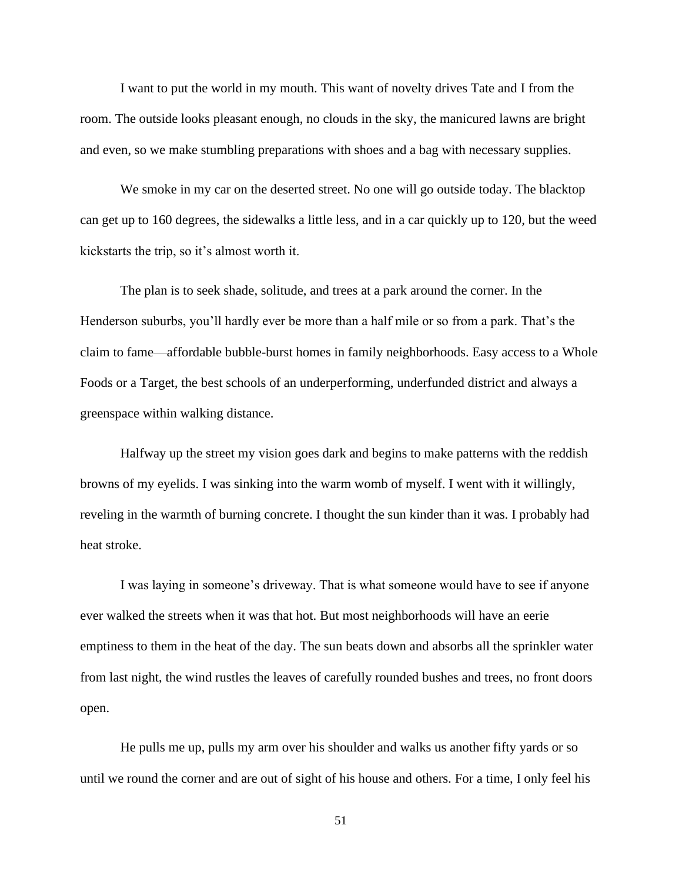I want to put the world in my mouth. This want of novelty drives Tate and I from the room. The outside looks pleasant enough, no clouds in the sky, the manicured lawns are bright and even, so we make stumbling preparations with shoes and a bag with necessary supplies.

We smoke in my car on the deserted street. No one will go outside today. The blacktop can get up to 160 degrees, the sidewalks a little less, and in a car quickly up to 120, but the weed kickstarts the trip, so it's almost worth it.

The plan is to seek shade, solitude, and trees at a park around the corner. In the Henderson suburbs, you'll hardly ever be more than a half mile or so from a park. That's the claim to fame—affordable bubble-burst homes in family neighborhoods. Easy access to a Whole Foods or a Target, the best schools of an underperforming, underfunded district and always a greenspace within walking distance.

Halfway up the street my vision goes dark and begins to make patterns with the reddish browns of my eyelids. I was sinking into the warm womb of myself. I went with it willingly, reveling in the warmth of burning concrete. I thought the sun kinder than it was. I probably had heat stroke.

I was laying in someone's driveway. That is what someone would have to see if anyone ever walked the streets when it was that hot. But most neighborhoods will have an eerie emptiness to them in the heat of the day. The sun beats down and absorbs all the sprinkler water from last night, the wind rustles the leaves of carefully rounded bushes and trees, no front doors open.

He pulls me up, pulls my arm over his shoulder and walks us another fifty yards or so until we round the corner and are out of sight of his house and others. For a time, I only feel his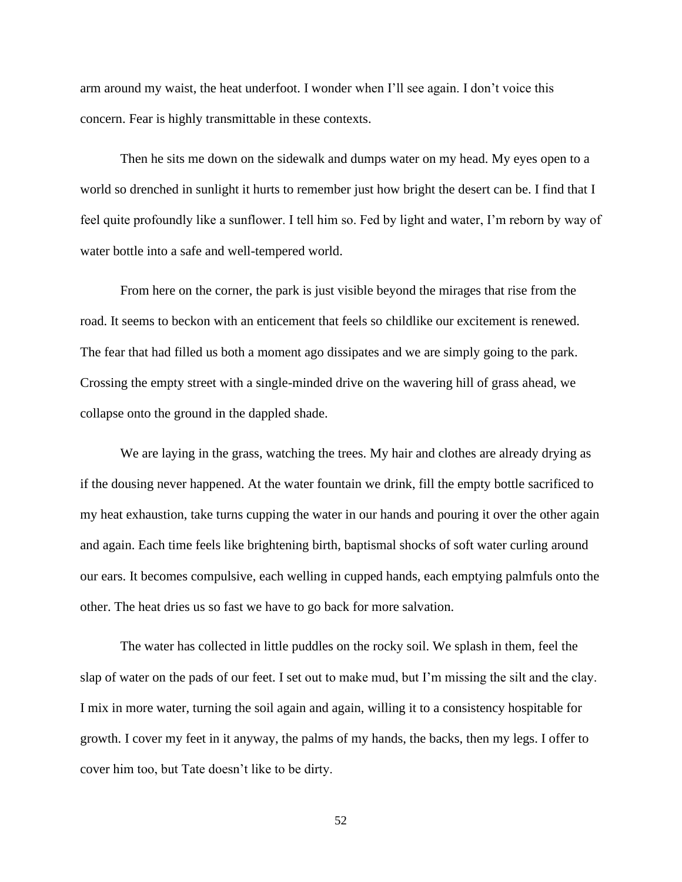arm around my waist, the heat underfoot. I wonder when I'll see again. I don't voice this concern. Fear is highly transmittable in these contexts.

Then he sits me down on the sidewalk and dumps water on my head. My eyes open to a world so drenched in sunlight it hurts to remember just how bright the desert can be. I find that I feel quite profoundly like a sunflower. I tell him so. Fed by light and water, I'm reborn by way of water bottle into a safe and well-tempered world.

From here on the corner, the park is just visible beyond the mirages that rise from the road. It seems to beckon with an enticement that feels so childlike our excitement is renewed. The fear that had filled us both a moment ago dissipates and we are simply going to the park. Crossing the empty street with a single-minded drive on the wavering hill of grass ahead, we collapse onto the ground in the dappled shade.

We are laying in the grass, watching the trees. My hair and clothes are already drying as if the dousing never happened. At the water fountain we drink, fill the empty bottle sacrificed to my heat exhaustion, take turns cupping the water in our hands and pouring it over the other again and again. Each time feels like brightening birth, baptismal shocks of soft water curling around our ears. It becomes compulsive, each welling in cupped hands, each emptying palmfuls onto the other. The heat dries us so fast we have to go back for more salvation.

The water has collected in little puddles on the rocky soil. We splash in them, feel the slap of water on the pads of our feet. I set out to make mud, but I'm missing the silt and the clay. I mix in more water, turning the soil again and again, willing it to a consistency hospitable for growth. I cover my feet in it anyway, the palms of my hands, the backs, then my legs. I offer to cover him too, but Tate doesn't like to be dirty.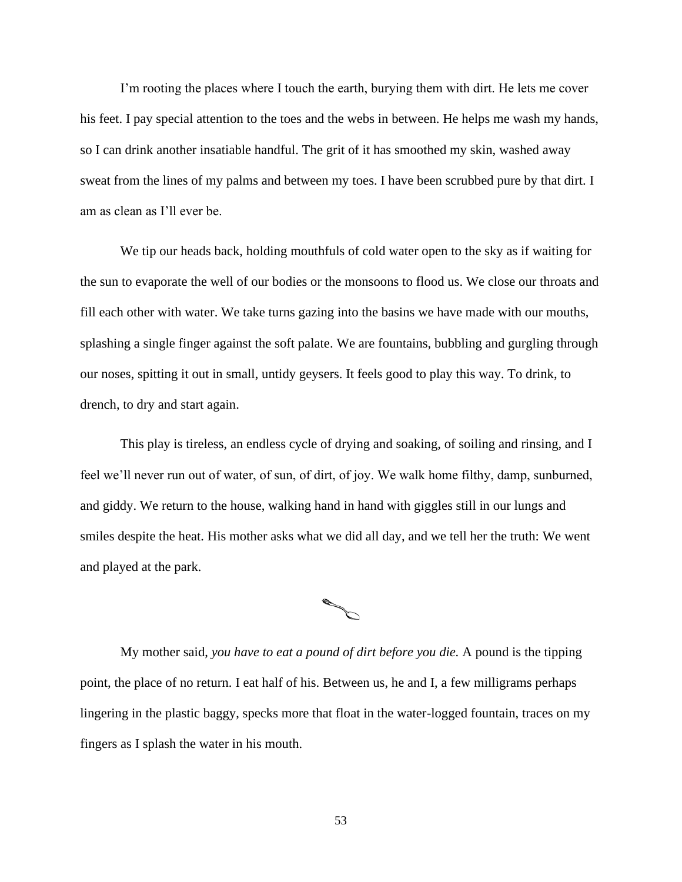I'm rooting the places where I touch the earth, burying them with dirt. He lets me cover his feet. I pay special attention to the toes and the webs in between. He helps me wash my hands, so I can drink another insatiable handful. The grit of it has smoothed my skin, washed away sweat from the lines of my palms and between my toes. I have been scrubbed pure by that dirt. I am as clean as I'll ever be.

We tip our heads back, holding mouthfuls of cold water open to the sky as if waiting for the sun to evaporate the well of our bodies or the monsoons to flood us. We close our throats and fill each other with water. We take turns gazing into the basins we have made with our mouths, splashing a single finger against the soft palate. We are fountains, bubbling and gurgling through our noses, spitting it out in small, untidy geysers. It feels good to play this way. To drink, to drench, to dry and start again.

This play is tireless, an endless cycle of drying and soaking, of soiling and rinsing, and I feel we'll never run out of water, of sun, of dirt, of joy. We walk home filthy, damp, sunburned, and giddy. We return to the house, walking hand in hand with giggles still in our lungs and smiles despite the heat. His mother asks what we did all day, and we tell her the truth: We went and played at the park.



My mother said, *you have to eat a pound of dirt before you die.* A pound is the tipping point, the place of no return. I eat half of his. Between us, he and I, a few milligrams perhaps lingering in the plastic baggy, specks more that float in the water-logged fountain, traces on my fingers as I splash the water in his mouth.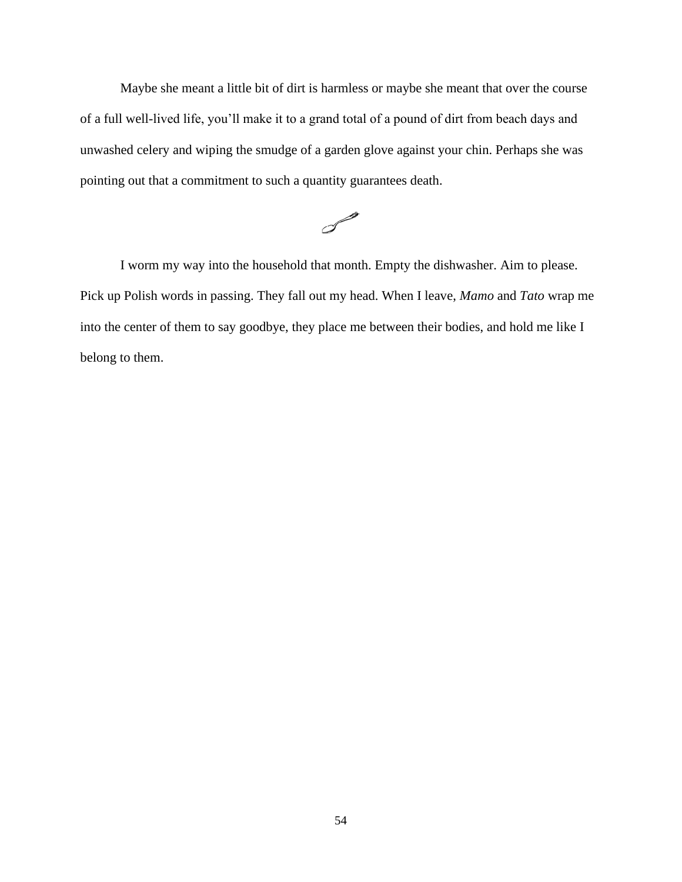Maybe she meant a little bit of dirt is harmless or maybe she meant that over the course of a full well-lived life, you'll make it to a grand total of a pound of dirt from beach days and unwashed celery and wiping the smudge of a garden glove against your chin. Perhaps she was pointing out that a commitment to such a quantity guarantees death.



I worm my way into the household that month. Empty the dishwasher. Aim to please. Pick up Polish words in passing. They fall out my head. When I leave, *Mamo* and *Tato* wrap me into the center of them to say goodbye, they place me between their bodies, and hold me like I belong to them.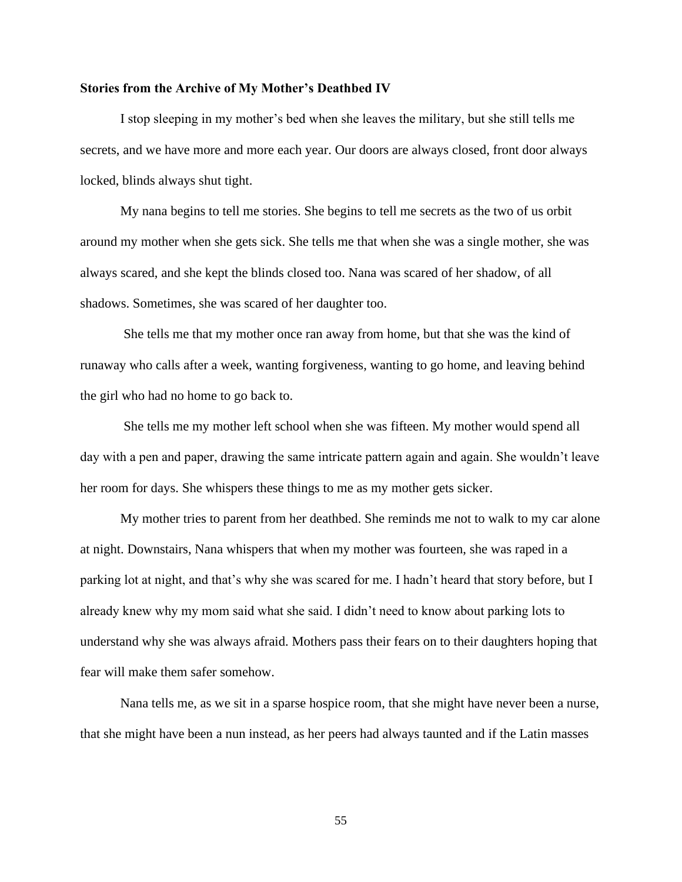#### **Stories from the Archive of My Mother's Deathbed IV**

I stop sleeping in my mother's bed when she leaves the military, but she still tells me secrets, and we have more and more each year. Our doors are always closed, front door always locked, blinds always shut tight.

My nana begins to tell me stories. She begins to tell me secrets as the two of us orbit around my mother when she gets sick. She tells me that when she was a single mother, she was always scared, and she kept the blinds closed too. Nana was scared of her shadow, of all shadows. Sometimes, she was scared of her daughter too.

She tells me that my mother once ran away from home, but that she was the kind of runaway who calls after a week, wanting forgiveness, wanting to go home, and leaving behind the girl who had no home to go back to.

She tells me my mother left school when she was fifteen. My mother would spend all day with a pen and paper, drawing the same intricate pattern again and again. She wouldn't leave her room for days. She whispers these things to me as my mother gets sicker.

My mother tries to parent from her deathbed. She reminds me not to walk to my car alone at night. Downstairs, Nana whispers that when my mother was fourteen, she was raped in a parking lot at night, and that's why she was scared for me. I hadn't heard that story before, but I already knew why my mom said what she said. I didn't need to know about parking lots to understand why she was always afraid. Mothers pass their fears on to their daughters hoping that fear will make them safer somehow.

Nana tells me, as we sit in a sparse hospice room, that she might have never been a nurse, that she might have been a nun instead, as her peers had always taunted and if the Latin masses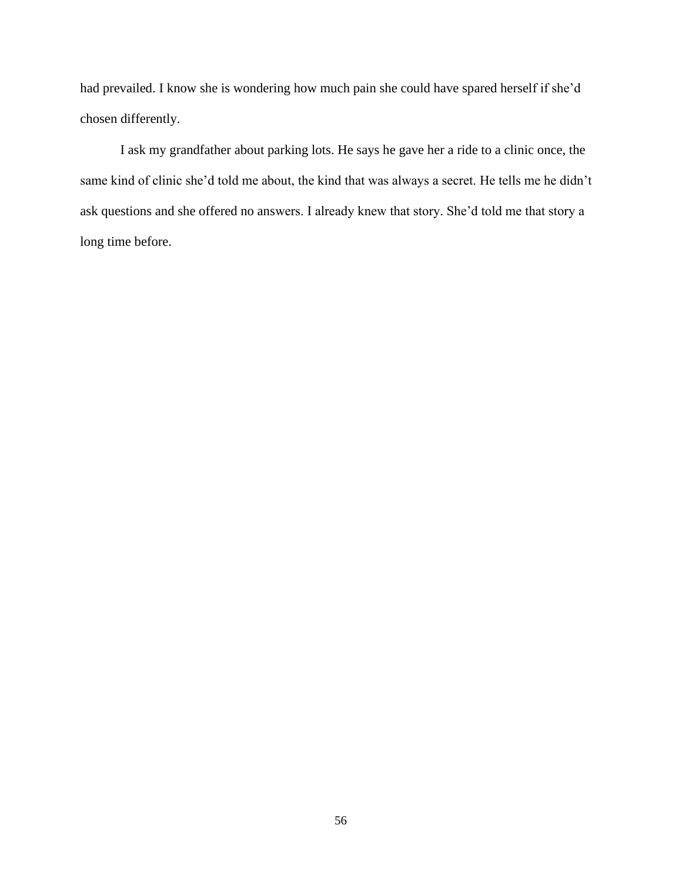had prevailed. I know she is wondering how much pain she could have spared herself if she'd chosen differently.

I ask my grandfather about parking lots. He says he gave her a ride to a clinic once, the same kind of clinic she'd told me about, the kind that was always a secret. He tells me he didn't ask questions and she offered no answers. I already knew that story. She'd told me that story a long time before.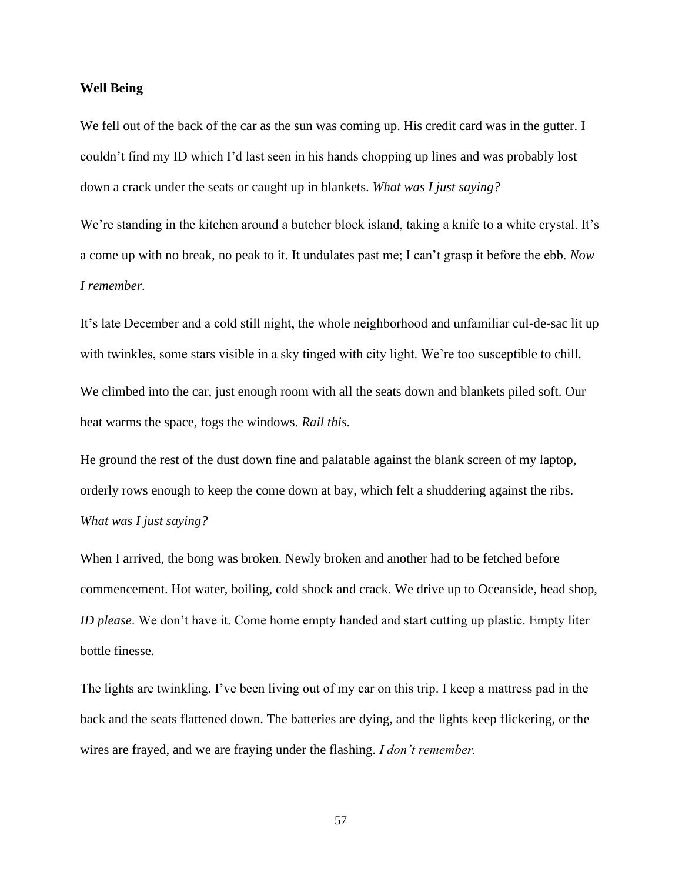### **Well Being**

We fell out of the back of the car as the sun was coming up. His credit card was in the gutter. I couldn't find my ID which I'd last seen in his hands chopping up lines and was probably lost down a crack under the seats or caught up in blankets. *What was I just saying?*

We're standing in the kitchen around a butcher block island, taking a knife to a white crystal. It's a come up with no break, no peak to it. It undulates past me; I can't grasp it before the ebb. *Now I remember.*

It's late December and a cold still night, the whole neighborhood and unfamiliar cul-de-sac lit up with twinkles, some stars visible in a sky tinged with city light. We're too susceptible to chill.

We climbed into the car, just enough room with all the seats down and blankets piled soft. Our heat warms the space, fogs the windows. *Rail this*.

He ground the rest of the dust down fine and palatable against the blank screen of my laptop, orderly rows enough to keep the come down at bay, which felt a shuddering against the ribs. *What was I just saying?*

When I arrived, the bong was broken. Newly broken and another had to be fetched before commencement. Hot water, boiling, cold shock and crack. We drive up to Oceanside, head shop, *ID please*. We don't have it. Come home empty handed and start cutting up plastic. Empty liter bottle finesse.

The lights are twinkling. I've been living out of my car on this trip. I keep a mattress pad in the back and the seats flattened down. The batteries are dying, and the lights keep flickering, or the wires are frayed, and we are fraying under the flashing. *I don't remember.*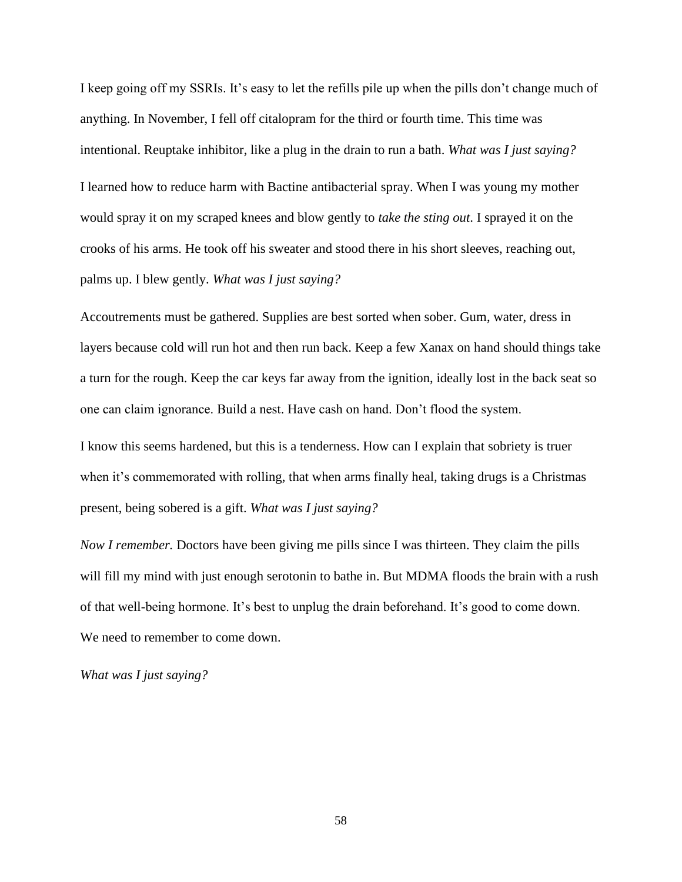I keep going off my SSRIs. It's easy to let the refills pile up when the pills don't change much of anything. In November, I fell off citalopram for the third or fourth time. This time was intentional. Reuptake inhibitor, like a plug in the drain to run a bath. *What was I just saying?* I learned how to reduce harm with Bactine antibacterial spray. When I was young my mother would spray it on my scraped knees and blow gently to *take the sting out*. I sprayed it on the crooks of his arms. He took off his sweater and stood there in his short sleeves, reaching out, palms up. I blew gently. *What was I just saying?*

Accoutrements must be gathered. Supplies are best sorted when sober. Gum, water, dress in layers because cold will run hot and then run back. Keep a few Xanax on hand should things take a turn for the rough. Keep the car keys far away from the ignition, ideally lost in the back seat so one can claim ignorance. Build a nest. Have cash on hand. Don't flood the system.

I know this seems hardened, but this is a tenderness. How can I explain that sobriety is truer when it's commemorated with rolling, that when arms finally heal, taking drugs is a Christmas present, being sobered is a gift. *What was I just saying?*

*Now I remember.* Doctors have been giving me pills since I was thirteen. They claim the pills will fill my mind with just enough serotonin to bathe in. But MDMA floods the brain with a rush of that well-being hormone. It's best to unplug the drain beforehand. It's good to come down. We need to remember to come down.

*What was I just saying?*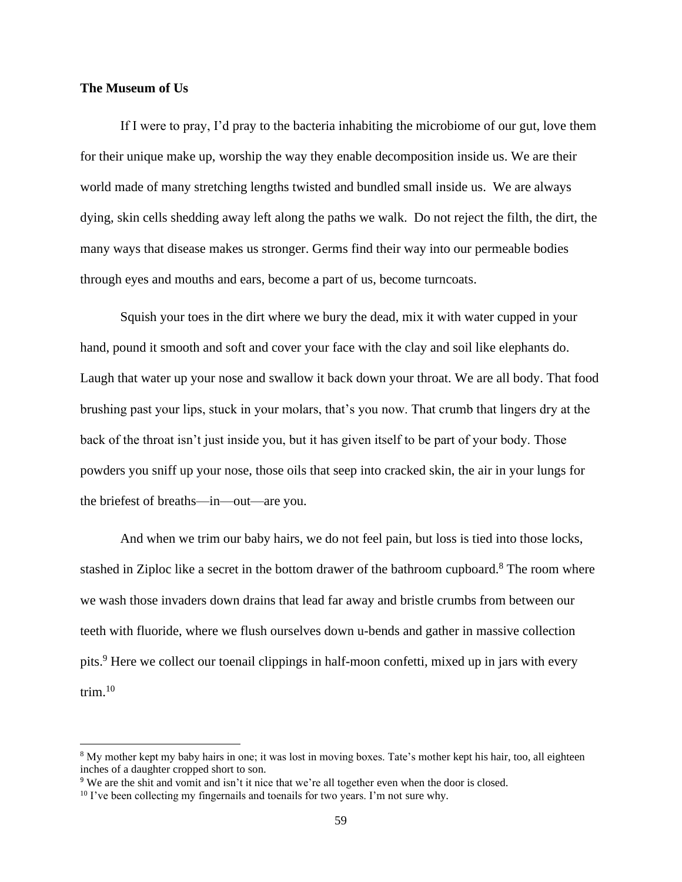## **The Museum of Us**

If I were to pray, I'd pray to the bacteria inhabiting the microbiome of our gut, love them for their unique make up, worship the way they enable decomposition inside us. We are their world made of many stretching lengths twisted and bundled small inside us. We are always dying, skin cells shedding away left along the paths we walk. Do not reject the filth, the dirt, the many ways that disease makes us stronger. Germs find their way into our permeable bodies through eyes and mouths and ears, become a part of us, become turncoats.

Squish your toes in the dirt where we bury the dead, mix it with water cupped in your hand, pound it smooth and soft and cover your face with the clay and soil like elephants do. Laugh that water up your nose and swallow it back down your throat. We are all body. That food brushing past your lips, stuck in your molars, that's you now. That crumb that lingers dry at the back of the throat isn't just inside you, but it has given itself to be part of your body. Those powders you sniff up your nose, those oils that seep into cracked skin, the air in your lungs for the briefest of breaths—in—out—are you.

And when we trim our baby hairs, we do not feel pain, but loss is tied into those locks, stashed in Ziploc like a secret in the bottom drawer of the bathroom cupboard.<sup>8</sup> The room where we wash those invaders down drains that lead far away and bristle crumbs from between our teeth with fluoride, where we flush ourselves down u-bends and gather in massive collection pits.<sup>9</sup> Here we collect our toenail clippings in half-moon confetti, mixed up in jars with every trim. $10$ 

<sup>&</sup>lt;sup>8</sup> My mother kept my baby hairs in one; it was lost in moving boxes. Tate's mother kept his hair, too, all eighteen inches of a daughter cropped short to son.

<sup>9</sup> We are the shit and vomit and isn't it nice that we're all together even when the door is closed.

<sup>&</sup>lt;sup>10</sup> I've been collecting my fingernails and toenails for two years. I'm not sure why.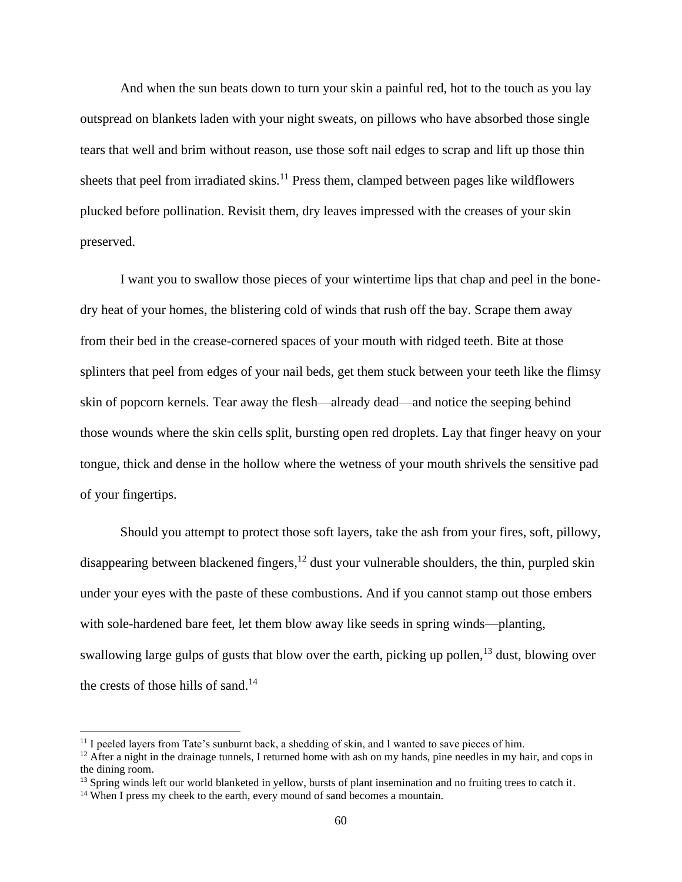And when the sun beats down to turn your skin a painful red, hot to the touch as you lay outspread on blankets laden with your night sweats, on pillows who have absorbed those single tears that well and brim without reason, use those soft nail edges to scrap and lift up those thin sheets that peel from irradiated skins.<sup>11</sup> Press them, clamped between pages like wildflowers plucked before pollination. Revisit them, dry leaves impressed with the creases of your skin preserved.

I want you to swallow those pieces of your wintertime lips that chap and peel in the bonedry heat of your homes, the blistering cold of winds that rush off the bay. Scrape them away from their bed in the crease-cornered spaces of your mouth with ridged teeth. Bite at those splinters that peel from edges of your nail beds, get them stuck between your teeth like the flimsy skin of popcorn kernels. Tear away the flesh—already dead—and notice the seeping behind those wounds where the skin cells split, bursting open red droplets. Lay that finger heavy on your tongue, thick and dense in the hollow where the wetness of your mouth shrivels the sensitive pad of your fingertips.

Should you attempt to protect those soft layers, take the ash from your fires, soft, pillowy, disappearing between blackened fingers,  $12$  dust your vulnerable shoulders, the thin, purpled skin under your eyes with the paste of these combustions. And if you cannot stamp out those embers with sole-hardened bare feet, let them blow away like seeds in spring winds—planting, swallowing large gulps of gusts that blow over the earth, picking up pollen,  $13$  dust, blowing over the crests of those hills of sand.<sup>14</sup>

 $11$  I peeled layers from Tate's sunburnt back, a shedding of skin, and I wanted to save pieces of him.

 $12$  After a night in the drainage tunnels, I returned home with ash on my hands, pine needles in my hair, and cops in the dining room.

<sup>&</sup>lt;sup>13</sup> Spring winds left our world blanketed in yellow, bursts of plant insemination and no fruiting trees to catch it.

<sup>&</sup>lt;sup>14</sup> When I press my cheek to the earth, every mound of sand becomes a mountain.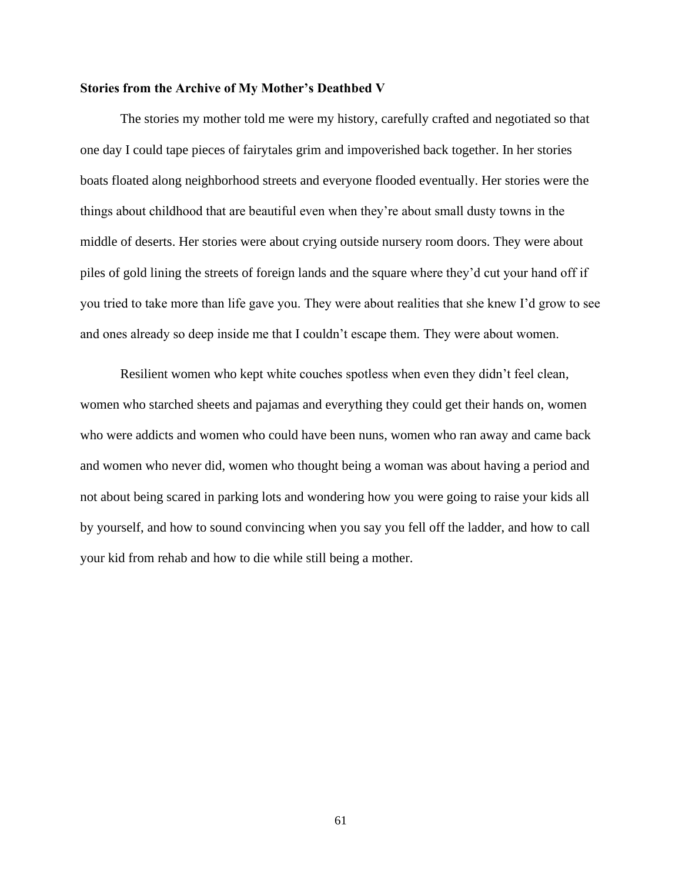## **Stories from the Archive of My Mother's Deathbed V**

The stories my mother told me were my history, carefully crafted and negotiated so that one day I could tape pieces of fairytales grim and impoverished back together. In her stories boats floated along neighborhood streets and everyone flooded eventually. Her stories were the things about childhood that are beautiful even when they're about small dusty towns in the middle of deserts. Her stories were about crying outside nursery room doors. They were about piles of gold lining the streets of foreign lands and the square where they'd cut your hand off if you tried to take more than life gave you. They were about realities that she knew I'd grow to see and ones already so deep inside me that I couldn't escape them. They were about women.

Resilient women who kept white couches spotless when even they didn't feel clean, women who starched sheets and pajamas and everything they could get their hands on, women who were addicts and women who could have been nuns, women who ran away and came back and women who never did, women who thought being a woman was about having a period and not about being scared in parking lots and wondering how you were going to raise your kids all by yourself, and how to sound convincing when you say you fell off the ladder, and how to call your kid from rehab and how to die while still being a mother.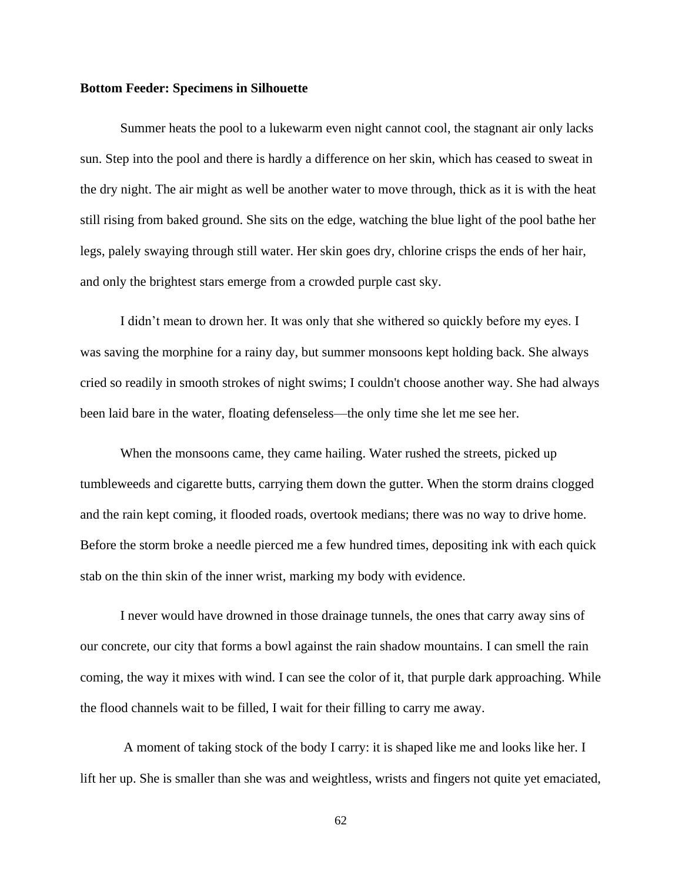#### **Bottom Feeder: Specimens in Silhouette**

Summer heats the pool to a lukewarm even night cannot cool, the stagnant air only lacks sun. Step into the pool and there is hardly a difference on her skin, which has ceased to sweat in the dry night. The air might as well be another water to move through, thick as it is with the heat still rising from baked ground. She sits on the edge, watching the blue light of the pool bathe her legs, palely swaying through still water. Her skin goes dry, chlorine crisps the ends of her hair, and only the brightest stars emerge from a crowded purple cast sky.

I didn't mean to drown her. It was only that she withered so quickly before my eyes. I was saving the morphine for a rainy day, but summer monsoons kept holding back. She always cried so readily in smooth strokes of night swims; I couldn't choose another way. She had always been laid bare in the water, floating defenseless—the only time she let me see her.

 When the monsoons came, they came hailing. Water rushed the streets, picked up tumbleweeds and cigarette butts, carrying them down the gutter. When the storm drains clogged and the rain kept coming, it flooded roads, overtook medians; there was no way to drive home. Before the storm broke a needle pierced me a few hundred times, depositing ink with each quick stab on the thin skin of the inner wrist, marking my body with evidence.

 I never would have drowned in those drainage tunnels, the ones that carry away sins of our concrete, our city that forms a bowl against the rain shadow mountains. I can smell the rain coming, the way it mixes with wind. I can see the color of it, that purple dark approaching. While the flood channels wait to be filled, I wait for their filling to carry me away.

 A moment of taking stock of the body I carry: it is shaped like me and looks like her. I lift her up. She is smaller than she was and weightless, wrists and fingers not quite yet emaciated,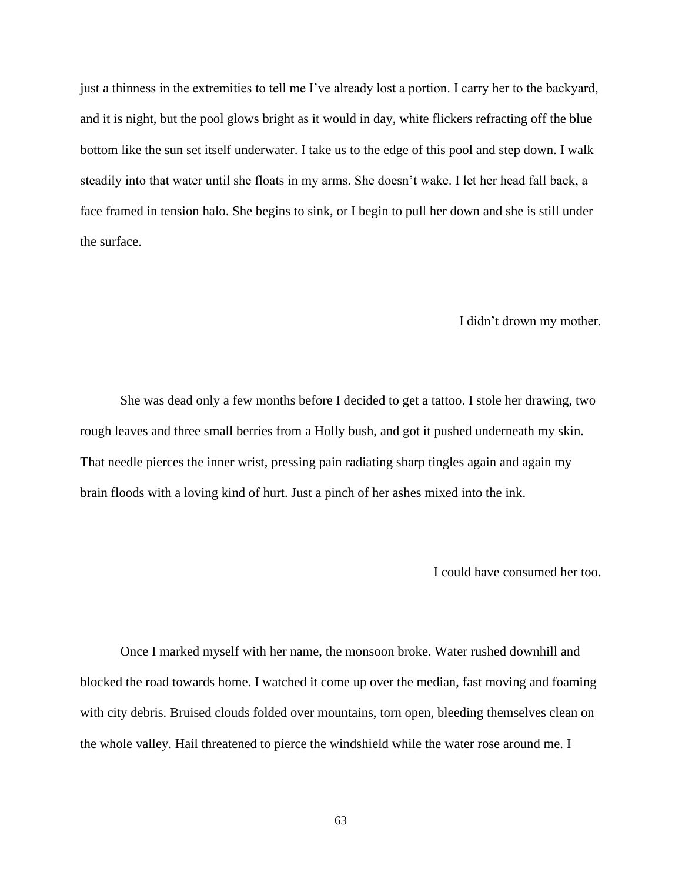just a thinness in the extremities to tell me I've already lost a portion. I carry her to the backyard, and it is night, but the pool glows bright as it would in day, white flickers refracting off the blue bottom like the sun set itself underwater. I take us to the edge of this pool and step down. I walk steadily into that water until she floats in my arms. She doesn't wake. I let her head fall back, a face framed in tension halo. She begins to sink, or I begin to pull her down and she is still under the surface.

## I didn't drown my mother.

 She was dead only a few months before I decided to get a tattoo. I stole her drawing, two rough leaves and three small berries from a Holly bush, and got it pushed underneath my skin. That needle pierces the inner wrist, pressing pain radiating sharp tingles again and again my brain floods with a loving kind of hurt. Just a pinch of her ashes mixed into the ink.

I could have consumed her too.

 Once I marked myself with her name, the monsoon broke. Water rushed downhill and blocked the road towards home. I watched it come up over the median, fast moving and foaming with city debris. Bruised clouds folded over mountains, torn open, bleeding themselves clean on the whole valley. Hail threatened to pierce the windshield while the water rose around me. I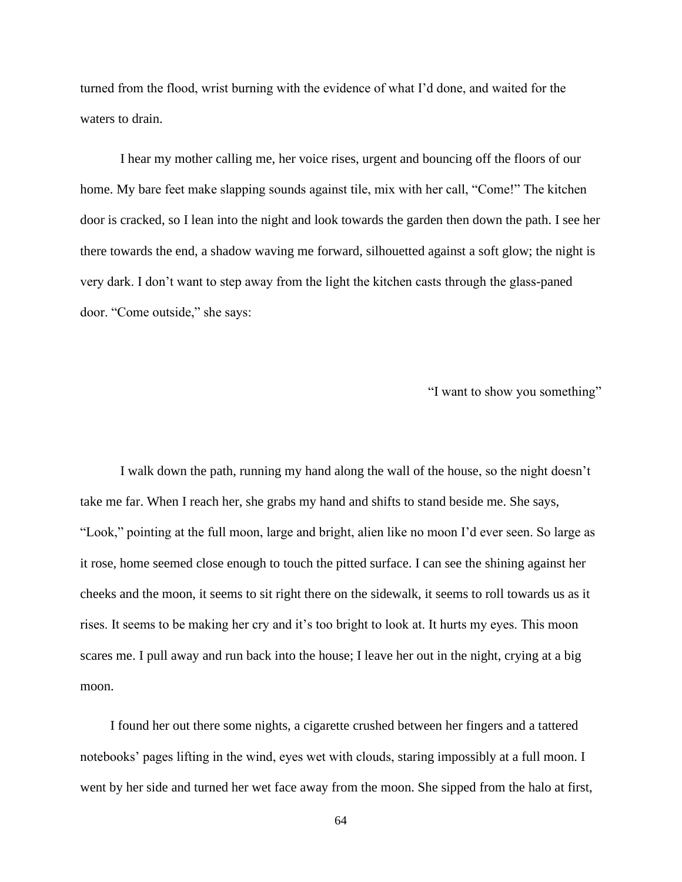turned from the flood, wrist burning with the evidence of what I'd done, and waited for the waters to drain.

 I hear my mother calling me, her voice rises, urgent and bouncing off the floors of our home. My bare feet make slapping sounds against tile, mix with her call, "Come!" The kitchen door is cracked, so I lean into the night and look towards the garden then down the path. I see her there towards the end, a shadow waving me forward, silhouetted against a soft glow; the night is very dark. I don't want to step away from the light the kitchen casts through the glass-paned door. "Come outside," she says:

"I want to show you something"

 I walk down the path, running my hand along the wall of the house, so the night doesn't take me far. When I reach her, she grabs my hand and shifts to stand beside me. She says, "Look," pointing at the full moon, large and bright, alien like no moon I'd ever seen. So large as it rose, home seemed close enough to touch the pitted surface. I can see the shining against her cheeks and the moon, it seems to sit right there on the sidewalk, it seems to roll towards us as it rises. It seems to be making her cry and it's too bright to look at. It hurts my eyes. This moon scares me. I pull away and run back into the house; I leave her out in the night, crying at a big moon.

 I found her out there some nights, a cigarette crushed between her fingers and a tattered notebooks' pages lifting in the wind, eyes wet with clouds, staring impossibly at a full moon. I went by her side and turned her wet face away from the moon. She sipped from the halo at first,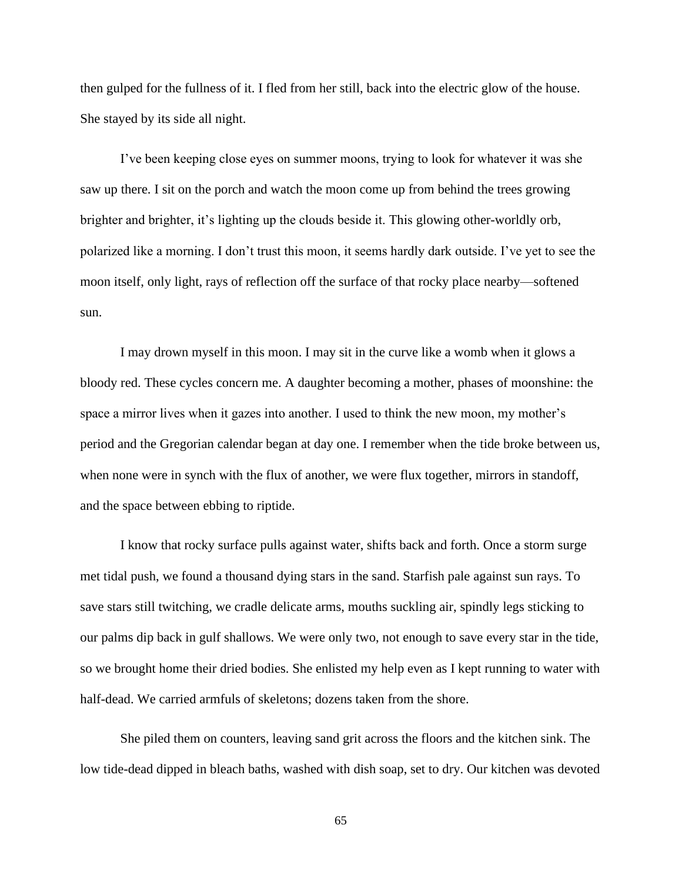then gulped for the fullness of it. I fled from her still, back into the electric glow of the house. She stayed by its side all night.

I've been keeping close eyes on summer moons, trying to look for whatever it was she saw up there. I sit on the porch and watch the moon come up from behind the trees growing brighter and brighter, it's lighting up the clouds beside it. This glowing other-worldly orb, polarized like a morning. I don't trust this moon, it seems hardly dark outside. I've yet to see the moon itself, only light, rays of reflection off the surface of that rocky place nearby—softened sun.

 I may drown myself in this moon. I may sit in the curve like a womb when it glows a bloody red. These cycles concern me. A daughter becoming a mother, phases of moonshine: the space a mirror lives when it gazes into another. I used to think the new moon, my mother's period and the Gregorian calendar began at day one. I remember when the tide broke between us, when none were in synch with the flux of another, we were flux together, mirrors in standoff, and the space between ebbing to riptide.

 I know that rocky surface pulls against water, shifts back and forth. Once a storm surge met tidal push, we found a thousand dying stars in the sand. Starfish pale against sun rays. To save stars still twitching, we cradle delicate arms, mouths suckling air, spindly legs sticking to our palms dip back in gulf shallows. We were only two, not enough to save every star in the tide, so we brought home their dried bodies. She enlisted my help even as I kept running to water with half-dead. We carried armfuls of skeletons; dozens taken from the shore.

 She piled them on counters, leaving sand grit across the floors and the kitchen sink. The low tide-dead dipped in bleach baths, washed with dish soap, set to dry. Our kitchen was devoted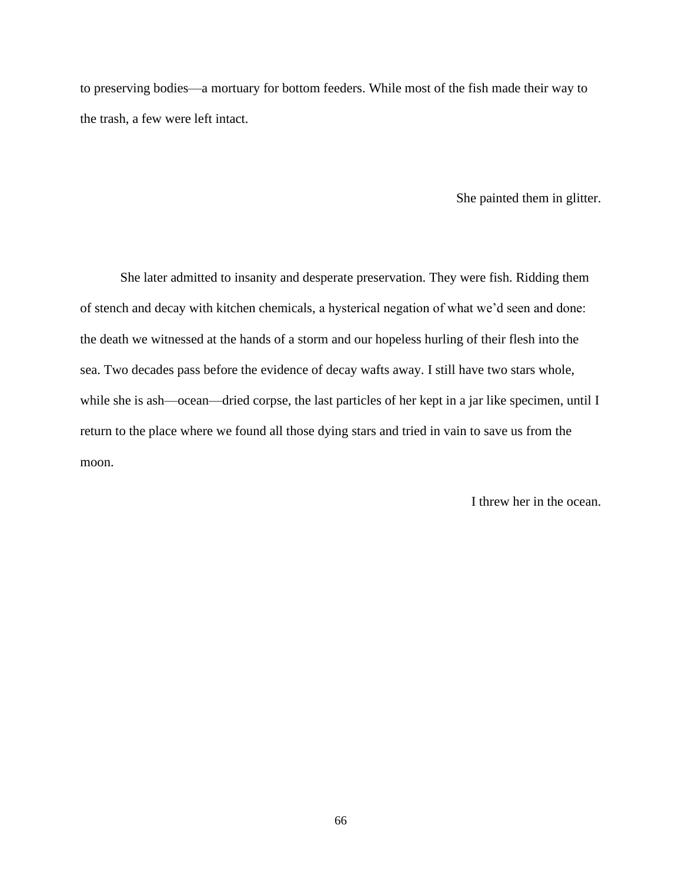to preserving bodies—a mortuary for bottom feeders. While most of the fish made their way to the trash, a few were left intact.

She painted them in glitter.

 She later admitted to insanity and desperate preservation. They were fish. Ridding them of stench and decay with kitchen chemicals, a hysterical negation of what we'd seen and done: the death we witnessed at the hands of a storm and our hopeless hurling of their flesh into the sea. Two decades pass before the evidence of decay wafts away. I still have two stars whole, while she is ash—ocean—dried corpse, the last particles of her kept in a jar like specimen, until I return to the place where we found all those dying stars and tried in vain to save us from the moon.

I threw her in the ocean.